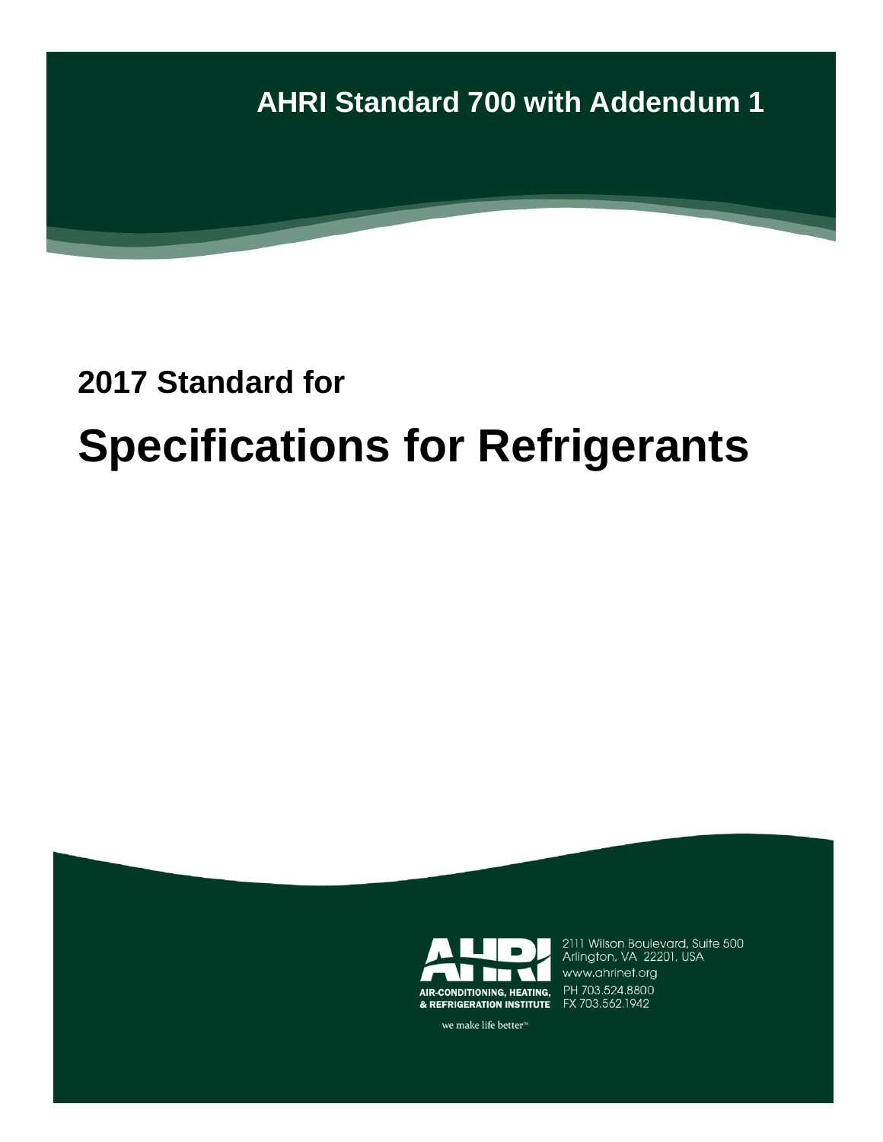

# **2017 Standard for Specifications for Refrigerants**



2111 Wilson Boulevard, Suite 500 Arlington, VA 22201, USA www.ahrinet.org PH 703.524.8800

we make life better<sup>™</sup>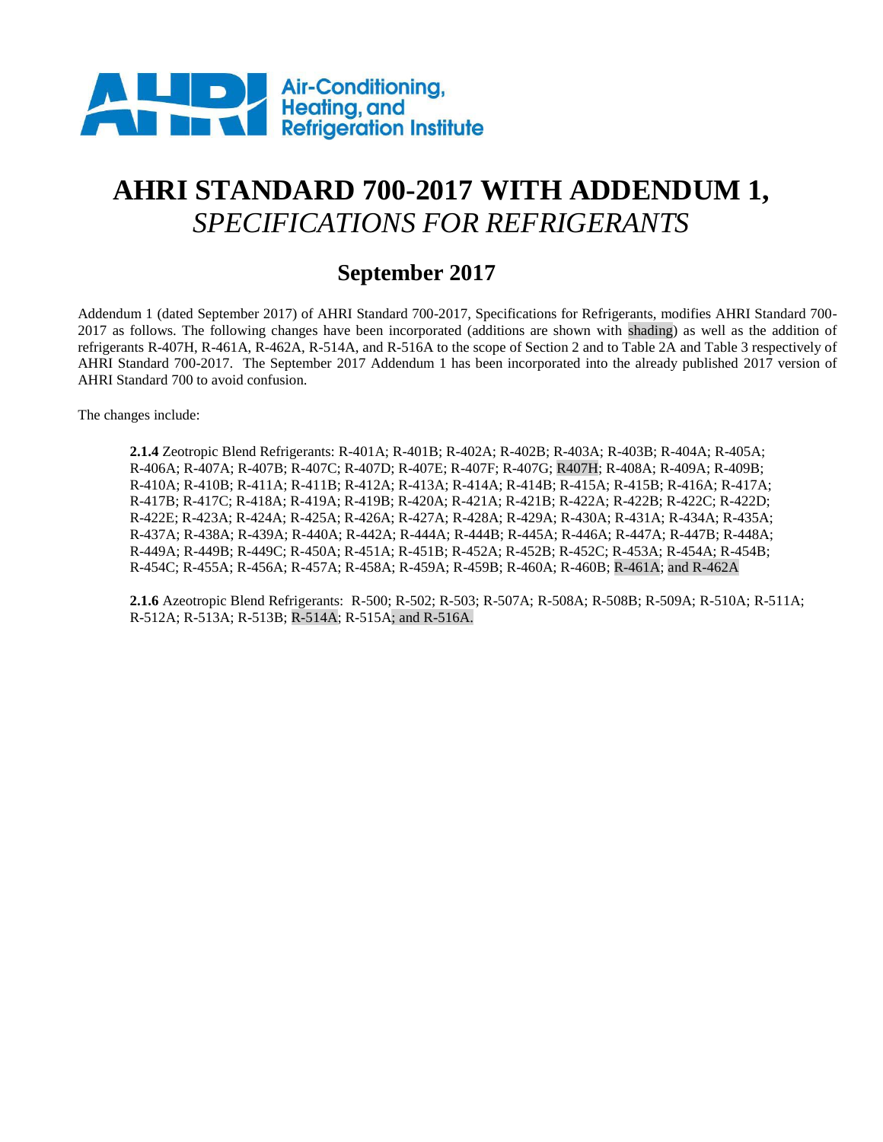

# **AHRI STANDARD 700-2017 WITH ADDENDUM 1,** *SPECIFICATIONS FOR REFRIGERANTS*

### **September 2017**

Addendum 1 (dated September 2017) of AHRI Standard 700-2017, Specifications for Refrigerants, modifies AHRI Standard 700- 2017 as follows. The following changes have been incorporated (additions are shown with shading) as well as the addition of refrigerants R-407H, R-461A, R-462A, R-514A, and R-516A to the scope of Section 2 and to Table 2A and Table 3 respectively of AHRI Standard 700-2017. The September 2017 Addendum 1 has been incorporated into the already published 2017 version of AHRI Standard 700 to avoid confusion.

The changes include:

**2.1.4** Zeotropic Blend Refrigerants: R-401A; R-401B; R-402A; R-402B; R-403A; R-403B; R-404A; R-405A; R-406A; R-407A; R-407B; R-407C; R-407D; R-407E; R-407F; R-407G; R407H; R-408A; R-409A; R-409B; R-410A; R-410B; R-411A; R-411B; R-412A; R-413A; R-414A; R-414B; R-415A; R-415B; R-416A; R-417A; R-417B; R-417C; R-418A; R-419A; R-419B; R-420A; R-421A; R-421B; R-422A; R-422B; R-422C; R-422D; R-422E; R-423A; R-424A; R-425A; R-426A; R-427A; R-428A; R-429A; R-430A; R-431A; R-434A; R-435A; R-437A; R-438A; R-439A; R-440A; R-442A; R-444A; R-444B; R-445A; R-446A; R-447A; R-447B; R-448A; R-449A; R-449B; R-449C; R-450A; R-451A; R-451B; R-452A; R-452B; R-452C; R-453A; R-454A; R-454B; R-454C; R-455A; R-456A; R-457A; R-458A; R-459A; R-459B; R-460A; R-460B; R-461A; and R-462A

**2.1.6** Azeotropic Blend Refrigerants: R-500; R-502; R-503; R-507A; R-508A; R-508B; R-509A; R-510A; R-511A; R-512A; R-513A; R-513B; R-514A; R-515A; and R-516A.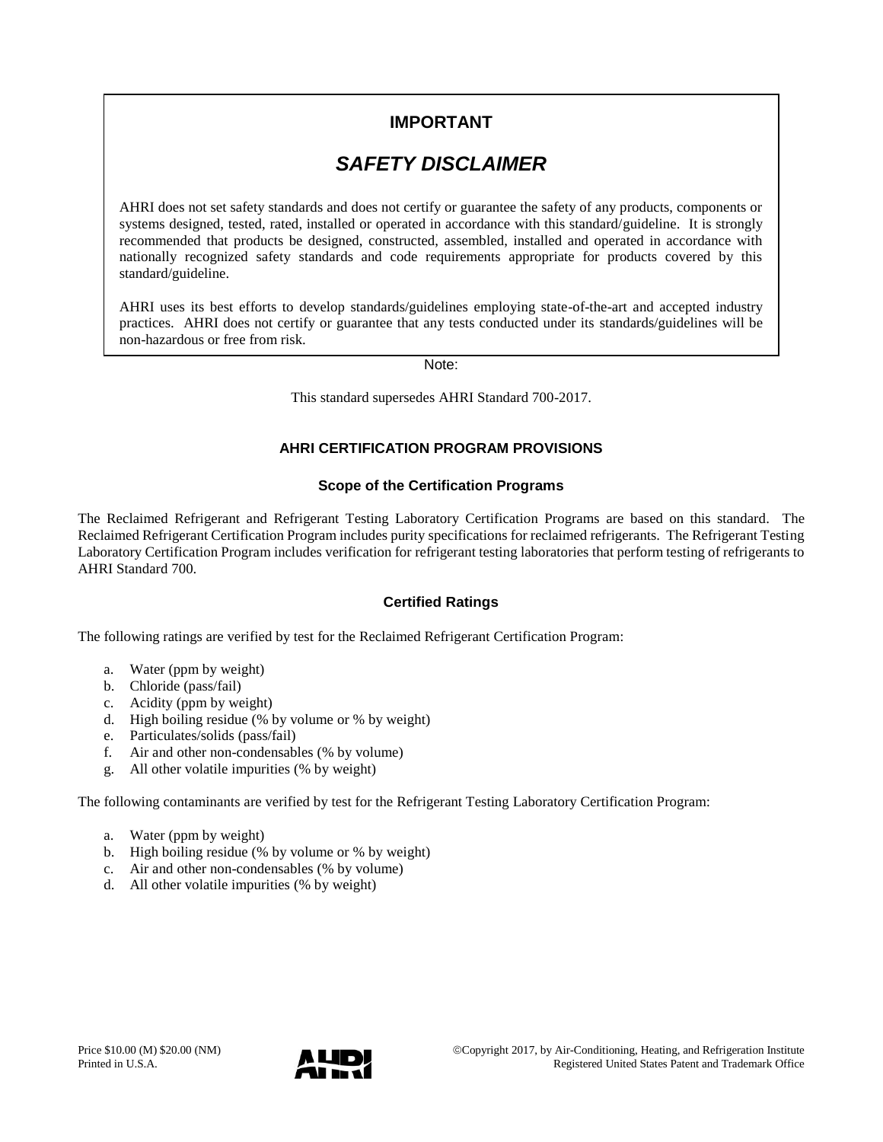### **IMPORTANT**

### *SAFETY DISCLAIMER*

AHRI does not set safety standards and does not certify or guarantee the safety of any products, components or systems designed, tested, rated, installed or operated in accordance with this standard/guideline. It is strongly recommended that products be designed, constructed, assembled, installed and operated in accordance with nationally recognized safety standards and code requirements appropriate for products covered by this standard/guideline.

AHRI uses its best efforts to develop standards/guidelines employing state-of-the-art and accepted industry practices. AHRI does not certify or guarantee that any tests conducted under its standards/guidelines will be non-hazardous or free from risk.

Note:

This standard supersedes AHRI Standard 700-2017.

#### **AHRI CERTIFICATION PROGRAM PROVISIONS**

#### **Scope of the Certification Programs**

The Reclaimed Refrigerant and Refrigerant Testing Laboratory Certification Programs are based on this standard. The Reclaimed Refrigerant Certification Program includes purity specifications for reclaimed refrigerants. The Refrigerant Testing Laboratory Certification Program includes verification for refrigerant testing laboratories that perform testing of refrigerants to AHRI Standard 700.

#### **Certified Ratings**

The following ratings are verified by test for the Reclaimed Refrigerant Certification Program:

- a. Water (ppm by weight)
- b. Chloride (pass/fail)
- c. Acidity (ppm by weight)
- d. High boiling residue (% by volume or % by weight)
- e. Particulates/solids (pass/fail)
- f. Air and other non-condensables (% by volume)
- g. All other volatile impurities (% by weight)

The following contaminants are verified by test for the Refrigerant Testing Laboratory Certification Program:

- a. Water (ppm by weight)
- b. High boiling residue (% by volume or % by weight)
- c. Air and other non-condensables (% by volume)
- d. All other volatile impurities (% by weight)

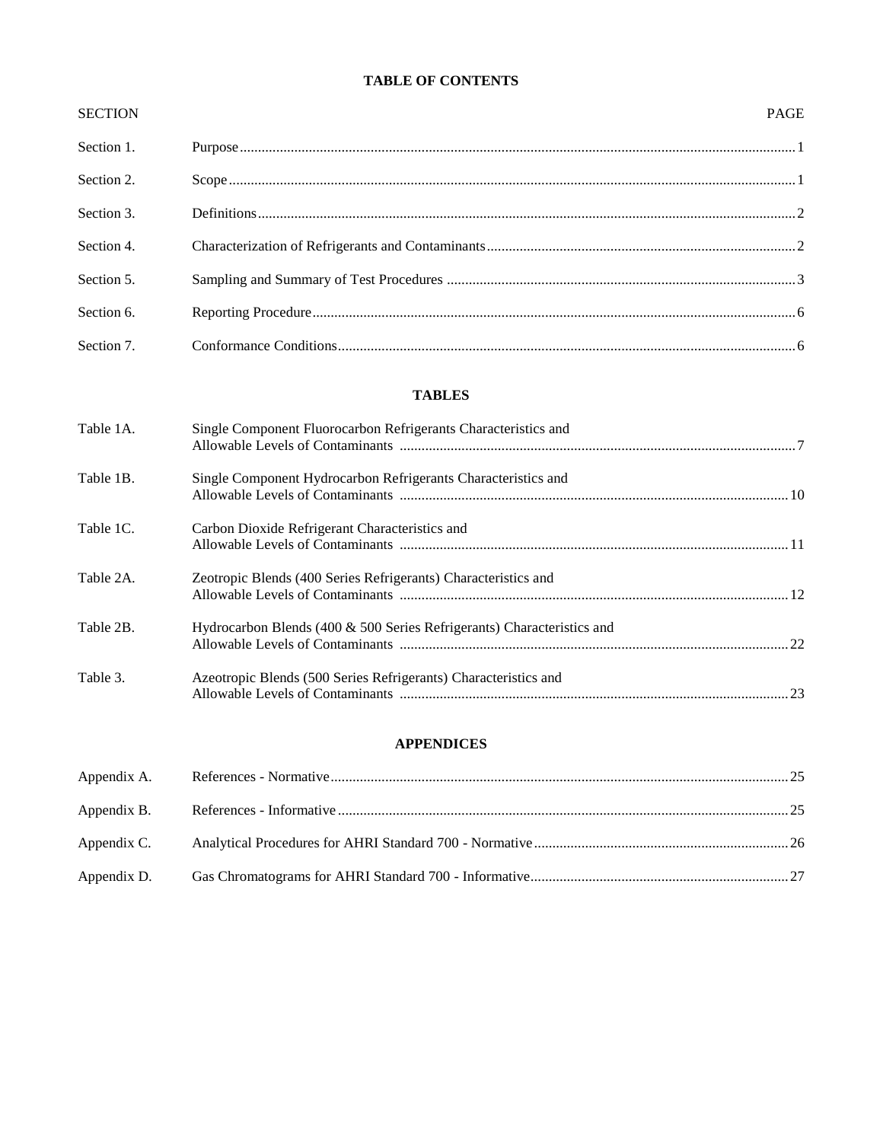#### **TABLE OF CONTENTS**

| <b>SECTION</b> | <b>PAGE</b> |
|----------------|-------------|
| Section 1.     |             |
| Section 2.     |             |
| Section 3.     |             |
| Section 4.     |             |
| Section 5.     |             |
| Section 6.     |             |
| Section 7.     |             |

#### **TABLES**

| Table 1A. | Single Component Fluorocarbon Refrigerants Characteristics and         |  |
|-----------|------------------------------------------------------------------------|--|
| Table 1B. | Single Component Hydrocarbon Refrigerants Characteristics and          |  |
| Table 1C. | Carbon Dioxide Refrigerant Characteristics and                         |  |
| Table 2A. | Zeotropic Blends (400 Series Refrigerants) Characteristics and         |  |
| Table 2B. | Hydrocarbon Blends (400 & 500 Series Refrigerants) Characteristics and |  |
| Table 3.  | Azeotropic Blends (500 Series Refrigerants) Characteristics and        |  |

#### **APPENDICES**

| Appendix C. |  |
|-------------|--|
|             |  |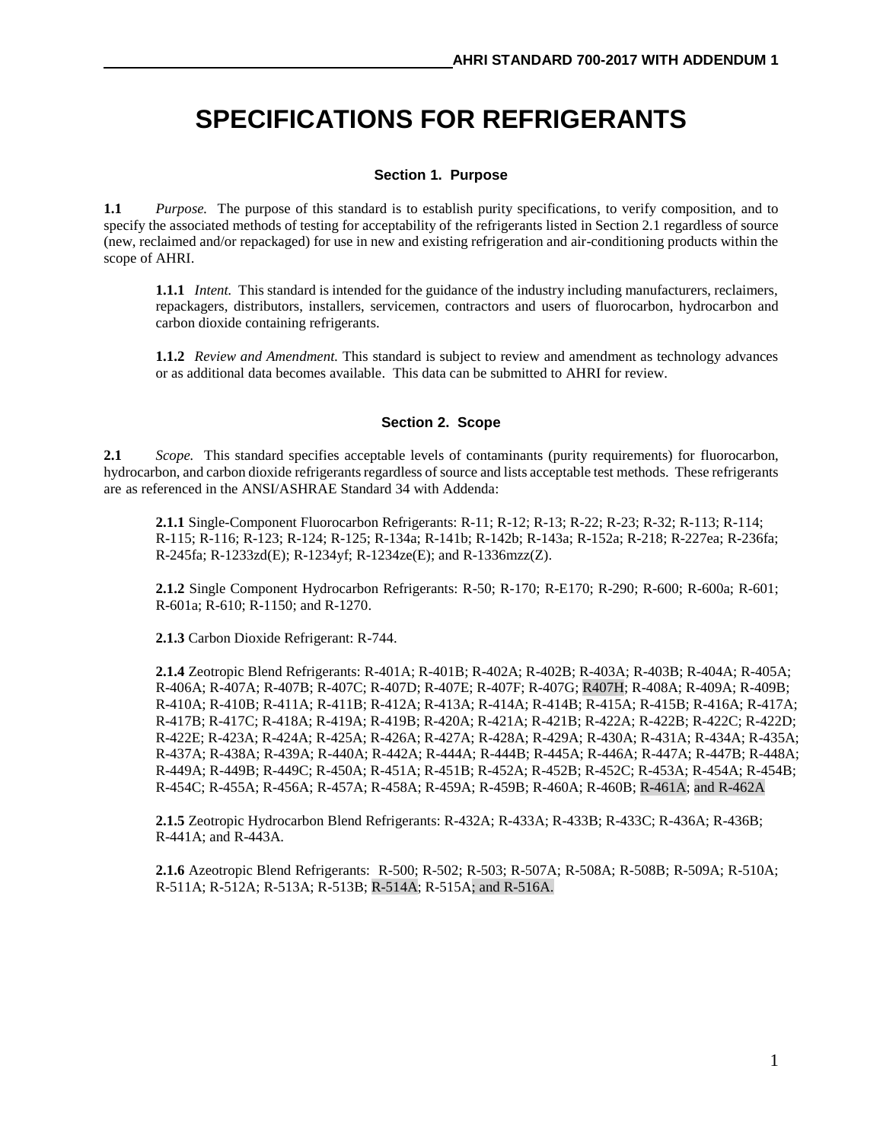# **SPECIFICATIONS FOR REFRIGERANTS**

#### **Section 1. Purpose**

**1.1** *Purpose.* The purpose of this standard is to establish purity specifications, to verify composition, and to specify the associated methods of testing for acceptability of the refrigerants listed in Section 2.1 regardless of source (new, reclaimed and/or repackaged) for use in new and existing refrigeration and air-conditioning products within the scope of AHRI.

**1.1.1** *Intent.* This standard is intended for the guidance of the industry including manufacturers, reclaimers, repackagers, distributors, installers, servicemen, contractors and users of fluorocarbon, hydrocarbon and carbon dioxide containing refrigerants.

**1.1.2** *Review and Amendment.* This standard is subject to review and amendment as technology advances or as additional data becomes available. This data can be submitted to AHRI for review.

#### **Section 2. Scope**

**2.1** *Scope.* This standard specifies acceptable levels of contaminants (purity requirements) for fluorocarbon, hydrocarbon, and carbon dioxide refrigerants regardless of source and lists acceptable test methods. These refrigerants are as referenced in the ANSI/ASHRAE Standard 34 with Addenda:

**2.1.1** Single-Component Fluorocarbon Refrigerants: R-11; R-12; R-13; R-22; R-23; R-32; R-113; R-114; R-115; R-116; R-123; R-124; R-125; R-134a; R-141b; R-142b; R-143a; R-152a; R-218; R-227ea; R-236fa; R-245fa; R-1233zd(E); R-1234yf; R-1234ze(E); and R-1336mzz(Z).

**2.1.2** Single Component Hydrocarbon Refrigerants: R-50; R-170; R-E170; R-290; R-600; R-600a; R-601; R-601a; R-610; R-1150; and R-1270.

**2.1.3** Carbon Dioxide Refrigerant: R-744.

**2.1.4** Zeotropic Blend Refrigerants: R-401A; R-401B; R-402A; R-402B; R-403A; R-403B; R-404A; R-405A; R-406A; R-407A; R-407B; R-407C; R-407D; R-407E; R-407F; R-407G; R407H; R-408A; R-409A; R-409B; R-410A; R-410B; R-411A; R-411B; R-412A; R-413A; R-414A; R-414B; R-415A; R-415B; R-416A; R-417A; R-417B; R-417C; R-418A; R-419A; R-419B; R-420A; R-421A; R-421B; R-422A; R-422B; R-422C; R-422D; R-422E; R-423A; R-424A; R-425A; R-426A; R-427A; R-428A; R-429A; R-430A; R-431A; R-434A; R-435A; R-437A; R-438A; R-439A; R-440A; R-442A; R-444A; R-444B; R-445A; R-446A; R-447A; R-447B; R-448A; R-449A; R-449B; R-449C; R-450A; R-451A; R-451B; R-452A; R-452B; R-452C; R-453A; R-454A; R-454B; R-454C; R-455A; R-456A; R-457A; R-458A; R-459A; R-459B; R-460A; R-460B; R-461A; and R-462A

**2.1.5** Zeotropic Hydrocarbon Blend Refrigerants: R-432A; R-433A; R-433B; R-433C; R-436A; R-436B; R-441A; and R-443A.

**2.1.6** Azeotropic Blend Refrigerants: R-500; R-502; R-503; R-507A; R-508A; R-508B; R-509A; R-510A; R-511A; R-512A; R-513A; R-513B; R-514A; R-515A; and R-516A.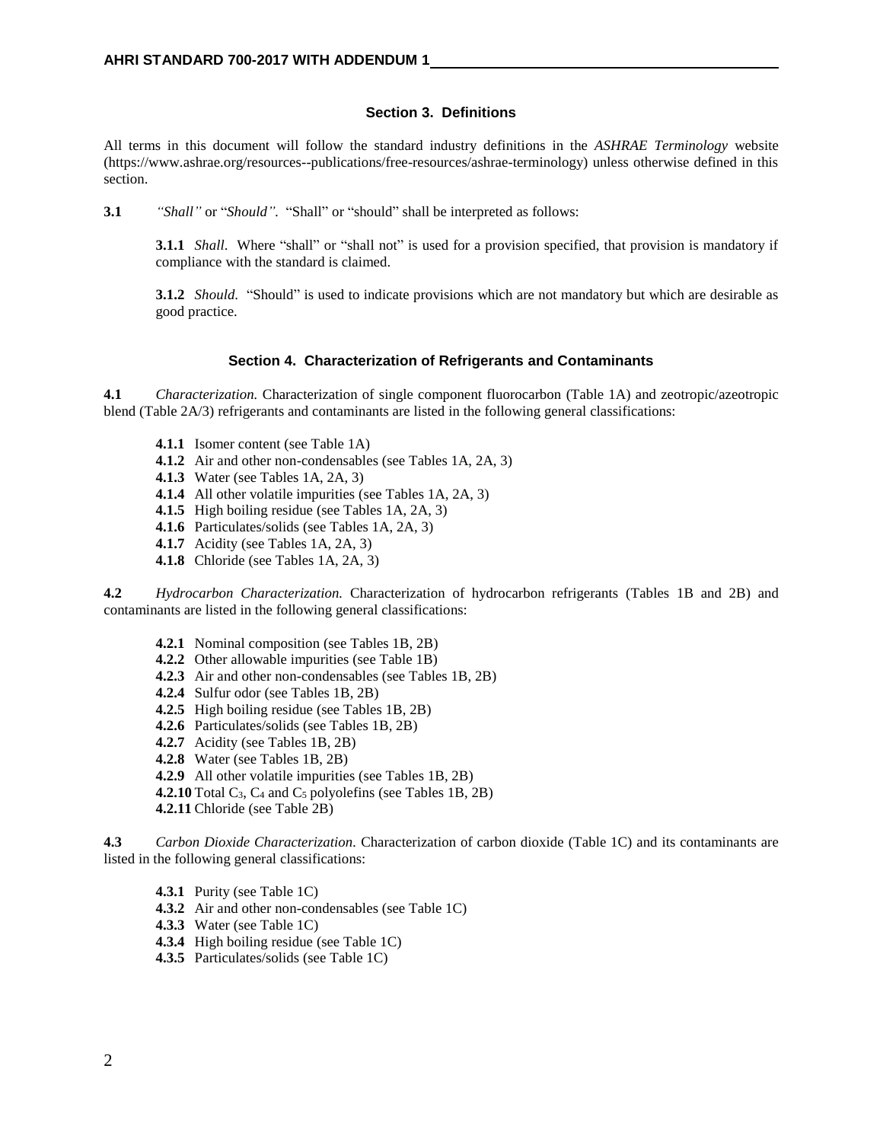#### **Section 3. Definitions**

All terms in this document will follow the standard industry definitions in the *ASHRAE Terminology* website (https://www.ashrae.org/resources--publications/free-resources/ashrae-terminology) unless otherwise defined in this section.

**3.1** *"Shall"* or "*Should".* "Shall" or "should" shall be interpreted as follows:

**3.1.1** *Shall*. Where "shall" or "shall not" is used for a provision specified, that provision is mandatory if compliance with the standard is claimed.

**3.1.2** *Should*. "Should" is used to indicate provisions which are not mandatory but which are desirable as good practice.

#### **Section 4. Characterization of Refrigerants and Contaminants**

**4.1** *Characterization.* Characterization of single component fluorocarbon (Table 1A) and zeotropic/azeotropic blend (Table 2A/3) refrigerants and contaminants are listed in the following general classifications:

- **4.1.1** Isomer content (see Table 1A)
- **4.1.2** Air and other non-condensables (see Tables 1A, 2A, 3)
- **4.1.3** Water (see Tables 1A, 2A, 3)
- **4.1.4** All other volatile impurities (see Tables 1A, 2A, 3)
- **4.1.5** High boiling residue (see Tables 1A, 2A, 3)
- **4.1.6** Particulates/solids (see Tables 1A, 2A, 3)
- **4.1.7** Acidity (see Tables 1A, 2A, 3)
- **4.1.8** Chloride (see Tables 1A, 2A, 3)

**4.2** *Hydrocarbon Characterization.* Characterization of hydrocarbon refrigerants (Tables 1B and 2B) and contaminants are listed in the following general classifications:

- **4.2.1** Nominal composition (see Tables 1B, 2B)
- **4.2.2** Other allowable impurities (see Table 1B)
- **4.2.3** Air and other non-condensables (see Tables 1B, 2B)
- **4.2.4** Sulfur odor (see Tables 1B, 2B)
- **4.2.5** High boiling residue (see Tables 1B, 2B)
- **4.2.6** Particulates/solids (see Tables 1B, 2B)
- **4.2.7** Acidity (see Tables 1B, 2B)
- **4.2.8** Water (see Tables 1B, 2B)
- **4.2.9** All other volatile impurities (see Tables 1B, 2B)
- **4.2.10** Total  $C_3$ ,  $C_4$  and  $C_5$  polyolefins (see Tables 1B, 2B)
- **4.2.11** Chloride (see Table 2B)

**4.3** *Carbon Dioxide Characterization.* Characterization of carbon dioxide (Table 1C) and its contaminants are listed in the following general classifications:

- **4.3.1** Purity (see Table 1C)
- **4.3.2** Air and other non-condensables (see Table 1C)
- **4.3.3** Water (see Table 1C)
- **4.3.4** High boiling residue (see Table 1C)
- **4.3.5** Particulates/solids (see Table 1C)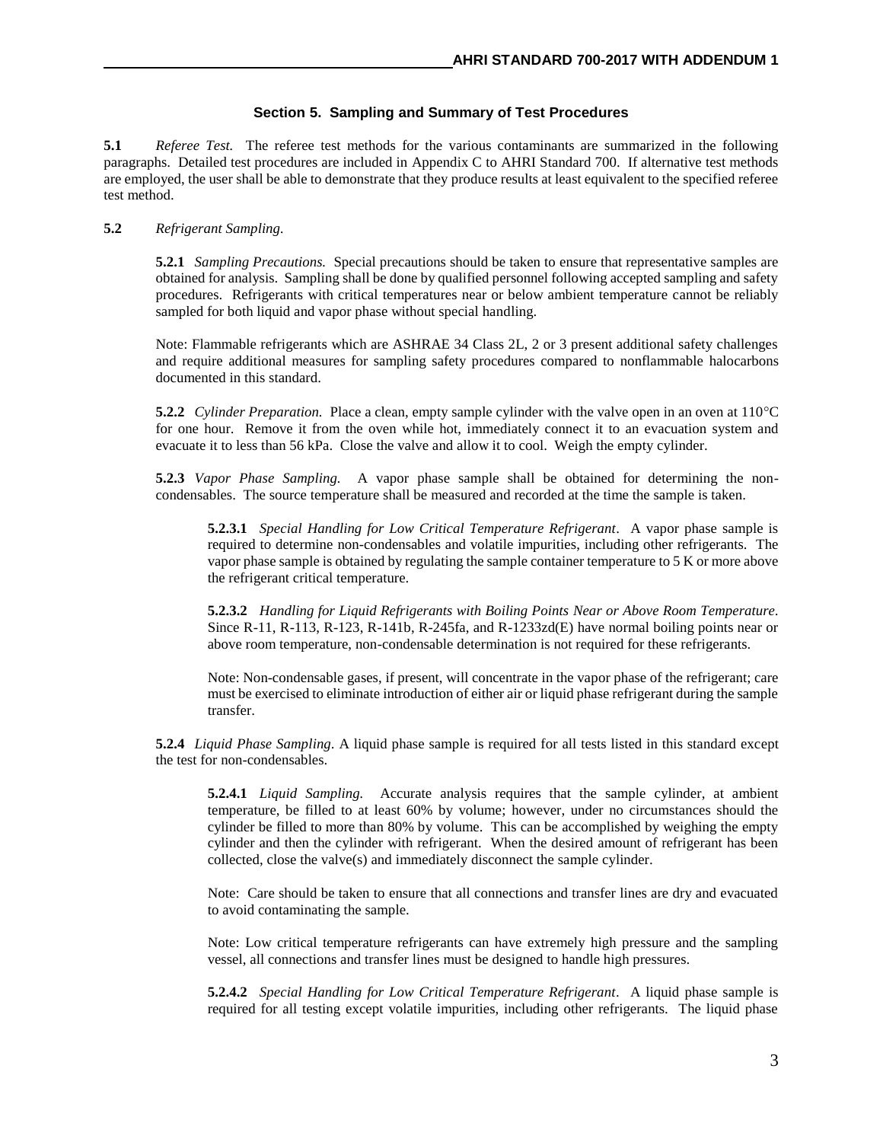#### **Section 5. Sampling and Summary of Test Procedures**

**5.1** *Referee Test.* The referee test methods for the various contaminants are summarized in the following paragraphs. Detailed test procedures are included in Appendix C to AHRI Standard 700. If alternative test methods are employed, the user shall be able to demonstrate that they produce results at least equivalent to the specified referee test method.

#### **5.2** *Refrigerant Sampling.*

**5.2.1** *Sampling Precautions.* Special precautions should be taken to ensure that representative samples are obtained for analysis. Sampling shall be done by qualified personnel following accepted sampling and safety procedures. Refrigerants with critical temperatures near or below ambient temperature cannot be reliably sampled for both liquid and vapor phase without special handling.

Note: Flammable refrigerants which are ASHRAE 34 Class 2L, 2 or 3 present additional safety challenges and require additional measures for sampling safety procedures compared to nonflammable halocarbons documented in this standard.

**5.2.2** *Cylinder Preparation.* Place a clean, empty sample cylinder with the valve open in an oven at 110°C for one hour. Remove it from the oven while hot, immediately connect it to an evacuation system and evacuate it to less than 56 kPa. Close the valve and allow it to cool. Weigh the empty cylinder.

**5.2.3** *Vapor Phase Sampling.* A vapor phase sample shall be obtained for determining the noncondensables. The source temperature shall be measured and recorded at the time the sample is taken.

**5.2.3.1** *Special Handling for Low Critical Temperature Refrigerant*. A vapor phase sample is required to determine non-condensables and volatile impurities, including other refrigerants. The vapor phase sample is obtained by regulating the sample container temperature to 5 K or more above the refrigerant critical temperature.

**5.2.3.2** *Handling for Liquid Refrigerants with Boiling Points Near or Above Room Temperature.*  Since R-11, R-113, R-123, R-141b, R-245fa, and R-1233zd(E) have normal boiling points near or above room temperature, non-condensable determination is not required for these refrigerants.

Note: Non-condensable gases, if present, will concentrate in the vapor phase of the refrigerant; care must be exercised to eliminate introduction of either air or liquid phase refrigerant during the sample transfer.

**5.2.4** *Liquid Phase Sampling*. A liquid phase sample is required for all tests listed in this standard except the test for non-condensables.

**5.2.4.1** *Liquid Sampling.* Accurate analysis requires that the sample cylinder, at ambient temperature, be filled to at least 60% by volume; however, under no circumstances should the cylinder be filled to more than 80% by volume. This can be accomplished by weighing the empty cylinder and then the cylinder with refrigerant. When the desired amount of refrigerant has been collected, close the valve(s) and immediately disconnect the sample cylinder.

Note: Care should be taken to ensure that all connections and transfer lines are dry and evacuated to avoid contaminating the sample.

Note: Low critical temperature refrigerants can have extremely high pressure and the sampling vessel, all connections and transfer lines must be designed to handle high pressures.

**5.2.4.2** *Special Handling for Low Critical Temperature Refrigerant*. A liquid phase sample is required for all testing except volatile impurities, including other refrigerants. The liquid phase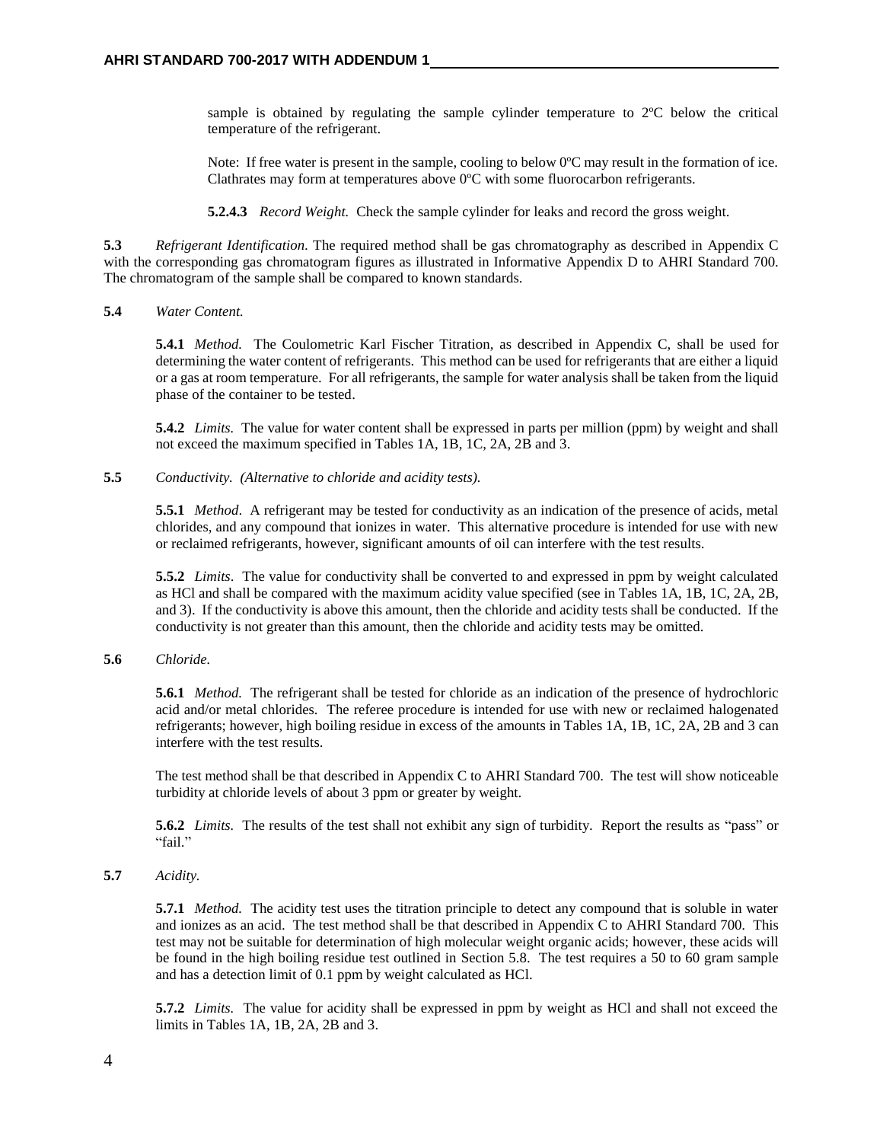sample is obtained by regulating the sample cylinder temperature to 2ºC below the critical temperature of the refrigerant.

Note: If free water is present in the sample, cooling to below 0<sup>o</sup>C may result in the formation of ice. Clathrates may form at temperatures above 0ºC with some fluorocarbon refrigerants.

**5.2.4.3** *Record Weight.* Check the sample cylinder for leaks and record the gross weight.

**5.3** *Refrigerant Identification.* The required method shall be gas chromatography as described in Appendix C with the corresponding gas chromatogram figures as illustrated in Informative Appendix D to AHRI Standard 700. The chromatogram of the sample shall be compared to known standards.

#### **5.4** *Water Content.*

**5.4.1** *Method.* The Coulometric Karl Fischer Titration, as described in Appendix C, shall be used for determining the water content of refrigerants. This method can be used for refrigerants that are either a liquid or a gas at room temperature. For all refrigerants, the sample for water analysis shall be taken from the liquid phase of the container to be tested.

**5.4.2** *Limits.* The value for water content shall be expressed in parts per million (ppm) by weight and shall not exceed the maximum specified in Tables 1A, 1B, 1C, 2A, 2B and 3.

**5.5** *Conductivity. (Alternative to chloride and acidity tests).*

**5.5.1** *Method*. A refrigerant may be tested for conductivity as an indication of the presence of acids, metal chlorides, and any compound that ionizes in water. This alternative procedure is intended for use with new or reclaimed refrigerants, however, significant amounts of oil can interfere with the test results.

**5.5.2** *Limits*. The value for conductivity shall be converted to and expressed in ppm by weight calculated as HCl and shall be compared with the maximum acidity value specified (see in Tables 1A, 1B, 1C, 2A, 2B, and 3). If the conductivity is above this amount, then the chloride and acidity tests shall be conducted. If the conductivity is not greater than this amount, then the chloride and acidity tests may be omitted.

#### **5.6** *Chloride.*

**5.6.1** *Method.* The refrigerant shall be tested for chloride as an indication of the presence of hydrochloric acid and/or metal chlorides. The referee procedure is intended for use with new or reclaimed halogenated refrigerants; however, high boiling residue in excess of the amounts in Tables 1A, 1B, 1C, 2A, 2B and 3 can interfere with the test results.

The test method shall be that described in Appendix C to AHRI Standard 700*.* The test will show noticeable turbidity at chloride levels of about 3 ppm or greater by weight.

**5.6.2** *Limits.* The results of the test shall not exhibit any sign of turbidity. Report the results as "pass" or "fail."

#### **5.7** *Acidity.*

**5.7.1** *Method.* The acidity test uses the titration principle to detect any compound that is soluble in water and ionizes as an acid. The test method shall be that described in Appendix C to AHRI Standard 700*.* This test may not be suitable for determination of high molecular weight organic acids; however, these acids will be found in the high boiling residue test outlined in Section 5.8. The test requires a 50 to 60 gram sample and has a detection limit of 0.1 ppm by weight calculated as HCl.

**5.7.2** *Limits.* The value for acidity shall be expressed in ppm by weight as HCl and shall not exceed the limits in Tables 1A, 1B, 2A, 2B and 3.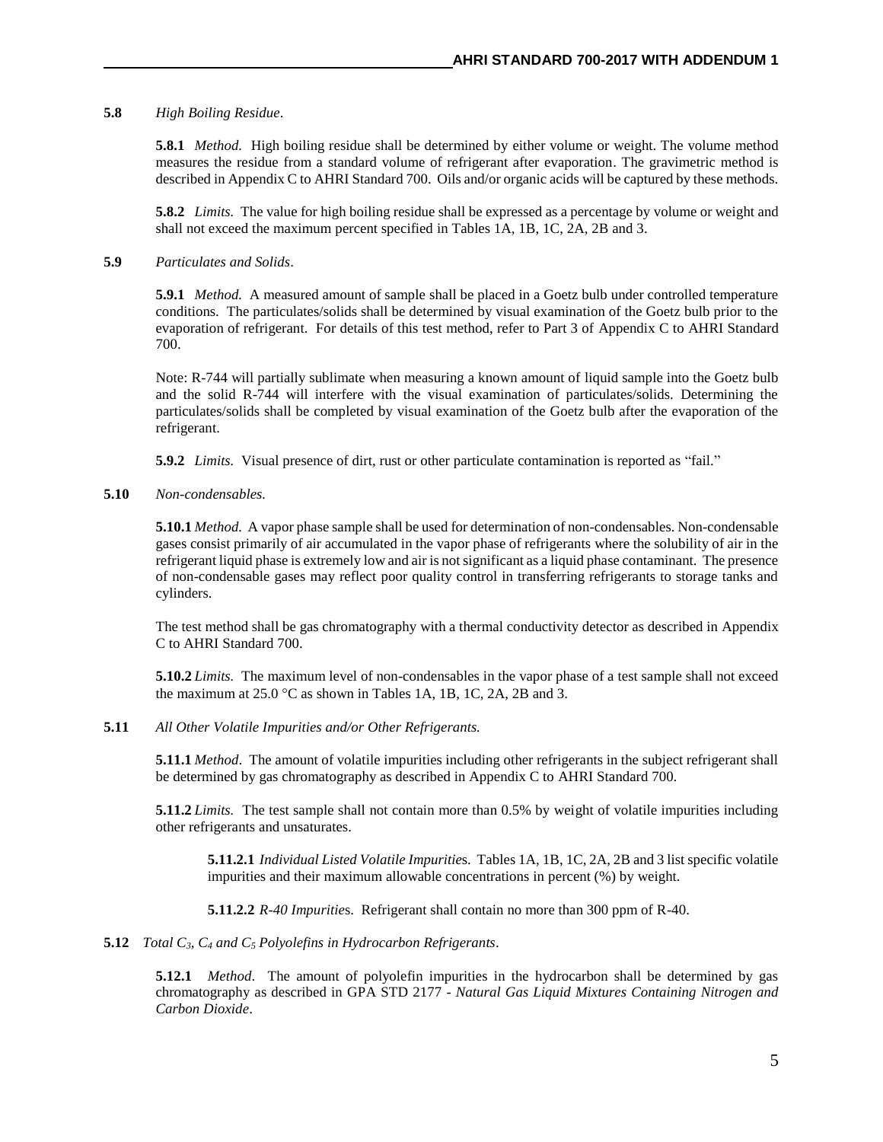#### **5.8** *High Boiling Residue*.

**5.8.1** *Method.* High boiling residue shall be determined by either volume or weight. The volume method measures the residue from a standard volume of refrigerant after evaporation. The gravimetric method is described in Appendix C to AHRI Standard 700. Oils and/or organic acids will be captured by these methods.

**5.8.2** *Limits.* The value for high boiling residue shall be expressed as a percentage by volume or weight and shall not exceed the maximum percent specified in Tables 1A, 1B, 1C, 2A, 2B and 3.

#### **5.9** *Particulates and Solids*.

**5.9.1** *Method.* A measured amount of sample shall be placed in a Goetz bulb under controlled temperature conditions. The particulates/solids shall be determined by visual examination of the Goetz bulb prior to the evaporation of refrigerant. For details of this test method, refer to Part 3 of Appendix C to AHRI Standard 700.

Note: R-744 will partially sublimate when measuring a known amount of liquid sample into the Goetz bulb and the solid R-744 will interfere with the visual examination of particulates/solids. Determining the particulates/solids shall be completed by visual examination of the Goetz bulb after the evaporation of the refrigerant.

**5.9.2** *Limits.* Visual presence of dirt, rust or other particulate contamination is reported as "fail."

#### **5.10** *Non-condensables.*

**5.10.1** *Method.* A vapor phase sample shall be used for determination of non-condensables. Non-condensable gases consist primarily of air accumulated in the vapor phase of refrigerants where the solubility of air in the refrigerant liquid phase is extremely low and air is not significant as a liquid phase contaminant. The presence of non-condensable gases may reflect poor quality control in transferring refrigerants to storage tanks and cylinders.

The test method shall be gas chromatography with a thermal conductivity detector as described in Appendix C to AHRI Standard 700.

**5.10.2** *Limits.* The maximum level of non-condensables in the vapor phase of a test sample shall not exceed the maximum at  $25.0$  °C as shown in Tables 1A, 1B, 1C, 2A, 2B and 3.

#### **5.11** *All Other Volatile Impurities and/or Other Refrigerants.*

**5.11.1** *Method*. The amount of volatile impurities including other refrigerants in the subject refrigerant shall be determined by gas chromatography as described in Appendix C to AHRI Standard 700*.*

**5.11.2** *Limits.* The test sample shall not contain more than 0.5% by weight of volatile impurities including other refrigerants and unsaturates.

**5.11.2.1** *Individual Listed Volatile Impuritie*s. Tables 1A, 1B, 1C, 2A, 2B and 3 list specific volatile impurities and their maximum allowable concentrations in percent (%) by weight.

**5.11.2.2** *R-40 Impuritie*s. Refrigerant shall contain no more than 300 ppm of R-40.

#### **5.12** *Total C3, C<sup>4</sup> and C<sup>5</sup> Polyolefins in Hydrocarbon Refrigerants*.

**5.12.1** *Method*. The amount of polyolefin impurities in the hydrocarbon shall be determined by gas chromatography as described in GPA STD 2177 - *Natural Gas Liquid Mixtures Containing Nitrogen and Carbon Dioxide*.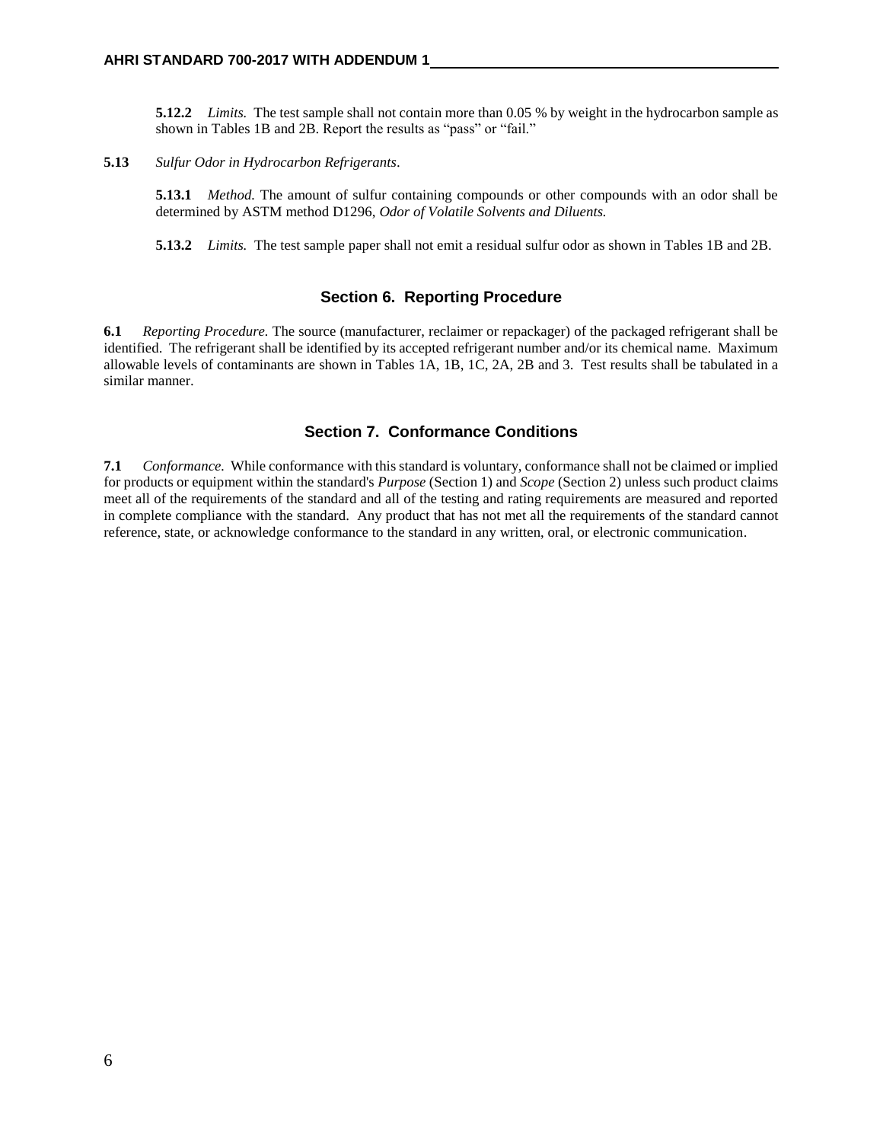**5.12.2** *Limits.* The test sample shall not contain more than 0.05 % by weight in the hydrocarbon sample as shown in Tables 1B and 2B. Report the results as "pass" or "fail."

**5.13** *Sulfur Odor in Hydrocarbon Refrigerants*.

**5.13.1** *Method.* The amount of sulfur containing compounds or other compounds with an odor shall be determined by ASTM method D1296, *Odor of Volatile Solvents and Diluents.* 

**5.13.2** *Limits.* The test sample paper shall not emit a residual sulfur odor as shown in Tables 1B and 2B.

#### **Section 6. Reporting Procedure**

**6.1** *Reporting Procedure.* The source (manufacturer, reclaimer or repackager) of the packaged refrigerant shall be identified. The refrigerant shall be identified by its accepted refrigerant number and/or its chemical name. Maximum allowable levels of contaminants are shown in Tables 1A, 1B, 1C, 2A, 2B and 3. Test results shall be tabulated in a similar manner.

#### **Section 7. Conformance Conditions**

**7.1** *Conformance.*While conformance with this standard is voluntary, conformance shall not be claimed or implied for products or equipment within the standard's *Purpose* (Section 1) and *Scope* (Section 2) unless such product claims meet all of the requirements of the standard and all of the testing and rating requirements are measured and reported in complete compliance with the standard. Any product that has not met all the requirements of the standard cannot reference, state, or acknowledge conformance to the standard in any written, oral, or electronic communication.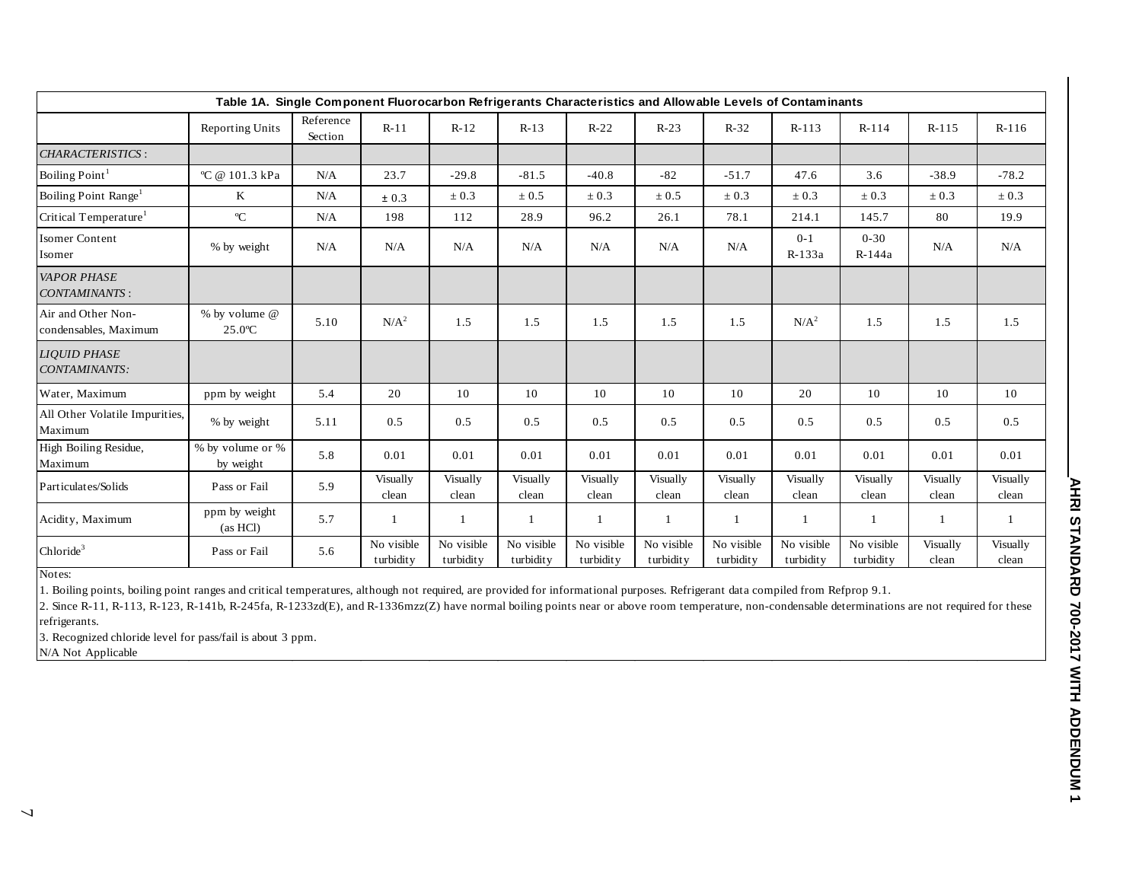| Table 1A. Single Component Fluorocarbon Refrigerants Characteristics and Allowable Levels of Contaminants |                               |                      |                         |                         |                         |                         |                         |                         |                         |                         |                   |                   |  |
|-----------------------------------------------------------------------------------------------------------|-------------------------------|----------------------|-------------------------|-------------------------|-------------------------|-------------------------|-------------------------|-------------------------|-------------------------|-------------------------|-------------------|-------------------|--|
|                                                                                                           | <b>Reporting Units</b>        | Reference<br>Section | $R-11$                  | $R-12$                  | $R-13$                  | $R-22$                  | $R-23$                  | $R-32$                  | $R-113$                 | $R-114$                 | $R-115$           | $R-116$           |  |
| CHARACTERISTICS:                                                                                          |                               |                      |                         |                         |                         |                         |                         |                         |                         |                         |                   |                   |  |
| Boiling Point <sup>1</sup>                                                                                | °C @ 101.3 kPa                | N/A                  | 23.7                    | $-29.8$                 | $-81.5$                 | $-40.8$                 | $-82$                   | $-51.7$                 | 47.6                    | 3.6                     | $-38.9$           | $-78.2$           |  |
| Boiling Point Range <sup>1</sup>                                                                          | K                             | N/A                  | ± 0.3                   | $\pm 0.3$               | $\pm 0.5$               | $\pm 0.3$               | $\pm 0.5$               | $\pm 0.3$               | $\pm 0.3$               | $\pm 0.3$               | $\pm 0.3$         | $\pm 0.3$         |  |
| Critical Temperature <sup>1</sup>                                                                         | $\rm ^{o}C$                   | N/A                  | 198                     | 112                     | 28.9                    | 96.2                    | 26.1                    | 78.1                    | 214.1                   | 145.7                   | 80                | 19.9              |  |
| <b>Isomer Content</b><br>Isomer                                                                           | % by weight                   | N/A                  | N/A                     | N/A                     | N/A                     | N/A                     | N/A                     | N/A                     | $0 - 1$<br>R-133a       | $0 - 30$<br>R-144a      | N/A               | N/A               |  |
| <b>VAPOR PHASE</b><br><b>CONTAMINANTS:</b>                                                                |                               |                      |                         |                         |                         |                         |                         |                         |                         |                         |                   |                   |  |
| Air and Other Non-<br>condensables, Maximum                                                               | % by volume @<br>25.0°C       | 5.10                 | $N/A^2$                 | 1.5                     | 1.5                     | 1.5                     | 1.5                     | 1.5                     | $N/A^2$                 | 1.5                     | 1.5               | 1.5               |  |
| <b>LIOUID PHASE</b><br>CONTAMINANTS:                                                                      |                               |                      |                         |                         |                         |                         |                         |                         |                         |                         |                   |                   |  |
| Water, Maximum                                                                                            | ppm by weight                 | 5.4                  | 20                      | 10                      | 10                      | 10                      | 10                      | 10                      | 20                      | 10                      | 10                | 10                |  |
| All Other Volatile Impurities,<br>Maximum                                                                 | % by weight                   | 5.11                 | 0.5                     | 0.5                     | 0.5                     | 0.5                     | 0.5                     | 0.5                     | 0.5                     | 0.5                     | 0.5               | 0.5               |  |
| High Boiling Residue,<br>Maximum                                                                          | % by volume or %<br>by weight | 5.8                  | 0.01                    | 0.01                    | 0.01                    | 0.01                    | 0.01                    | 0.01                    | 0.01                    | 0.01                    | 0.01              | 0.01              |  |
| Particulates/Solids                                                                                       | Pass or Fail                  | 5.9                  | Visually<br>clean       | Visually<br>clean       | Visually<br>clean       | Visually<br>clean       | Visually<br>clean       | Visually<br>clean       | Visually<br>clean       | Visually<br>clean       | Visually<br>clean | Visually<br>clean |  |
| Acidity, Maximum                                                                                          | ppm by weight<br>(as HCl)     | 5.7                  |                         | $\mathbf{1}$            | 1                       | $\mathbf{1}$            |                         |                         | $\overline{1}$          |                         | $\overline{1}$    |                   |  |
| Chloride <sup>3</sup>                                                                                     | Pass or Fail                  | 5.6                  | No visible<br>turbidity | No visible<br>turbidity | No visible<br>turbidity | No visible<br>turbidity | No visible<br>turbidity | No visible<br>turbidity | No visible<br>turbidity | No visible<br>turbidity | Visually<br>clean | Visually<br>clean |  |

1. Boiling points, boiling point ranges and critical temperatures, although not required, are provided for informational purposes. Refrigerant data compiled from Refprop 9.1.

2. Since R-11, R-113, R-123, R-141b, R-245fa, R-1233zd(E), and R-1336mzz(Z) have normal boiling points near or above room temperature, non-condensable determinations are not required for these refrigerants.

3. Recognized chloride level for pass/fail is about 3 ppm.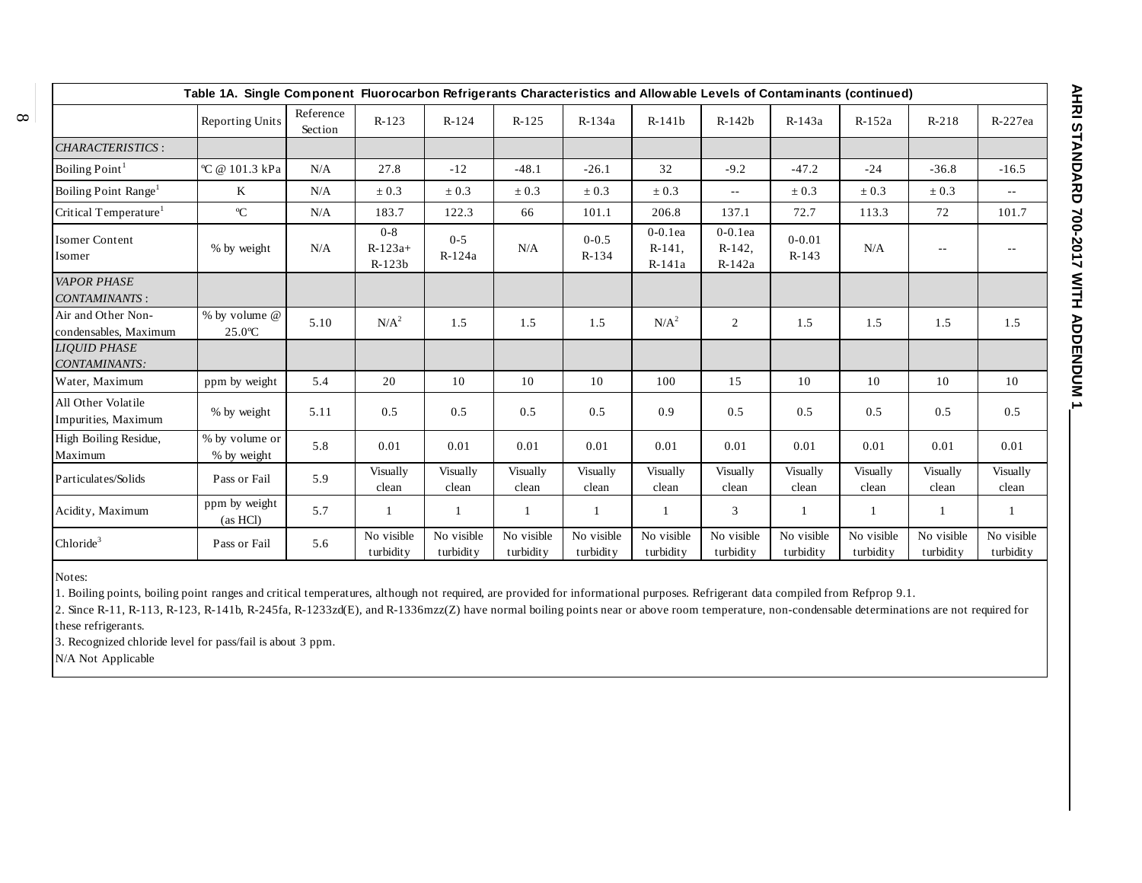| Table 1A. Single Component Fluorocarbon Refrigerants Characteristics and Allowable Levels of Contaminants (continued) |                               |                      |                                  |                         |                         |                         |                                   |                                   |                         |                         |                         |                         |
|-----------------------------------------------------------------------------------------------------------------------|-------------------------------|----------------------|----------------------------------|-------------------------|-------------------------|-------------------------|-----------------------------------|-----------------------------------|-------------------------|-------------------------|-------------------------|-------------------------|
|                                                                                                                       | <b>Reporting Units</b>        | Reference<br>Section | $R-123$                          | $R-124$                 | $R-125$                 | $R-134a$                | $R-141b$                          | $R-142b$                          | $R-143a$                | $R-152a$                | $R-218$                 | R-227ea                 |
| CHARACTERISTICS:                                                                                                      |                               |                      |                                  |                         |                         |                         |                                   |                                   |                         |                         |                         |                         |
| Boiling Point <sup>1</sup>                                                                                            | °C @ 101.3 kPa                | N/A                  | 27.8                             | $-12$                   | $-48.1$                 | $-26.1$                 | 32                                | $-9.2$                            | $-47.2$                 | $-24$                   | $-36.8$                 | $-16.5$                 |
| Boiling Point Range <sup>1</sup>                                                                                      | K                             | N/A                  | $\pm 0.3$                        | $\pm 0.3$               | $\pm 0.3$               | $\pm 0.3$               | $\pm 0.3$                         | $\sim$ $-$                        | $\pm 0.3$               | $\pm 0.3$               | $\pm 0.3$               | $\sim$ $\sim$           |
| Critical Temperature <sup>1</sup>                                                                                     | $\rm ^{o}C$                   | N/A                  | 183.7                            | 122.3                   | 66                      | 101.1                   | 206.8                             | 137.1                             | 72.7                    | 113.3                   | 72                      | 101.7                   |
| <b>Isomer Content</b><br>Isomer                                                                                       | % by weight                   | N/A                  | $0 - 8$<br>$R-123a+$<br>$R-123b$ | $0 - 5$<br>R-124a       | N/A                     | $0 - 0.5$<br>R-134      | $0-0.1$ ea<br>$R-141$ ,<br>R-141a | $0-0.1$ ea<br>$R-142$ ,<br>R-142a | $0 - 0.01$<br>$R-143$   | N/A                     | $\sim$ $\sim$           |                         |
| <b>VAPOR PHASE</b><br><b>CONTAMINANTS:</b>                                                                            |                               |                      |                                  |                         |                         |                         |                                   |                                   |                         |                         |                         |                         |
| Air and Other Non-<br>condensables, Maximum                                                                           | % by volume @<br>25.0°C       | 5.10                 | $N/A^2$                          | 1.5                     | 1.5                     | 1.5                     | N/A <sup>2</sup>                  | $\overline{2}$                    | 1.5                     | 1.5                     | 1.5                     | 1.5                     |
| <b>LIOUID PHASE</b><br>CONTAMINANTS:                                                                                  |                               |                      |                                  |                         |                         |                         |                                   |                                   |                         |                         |                         |                         |
| Water, Maximum                                                                                                        | ppm by weight                 | 5.4                  | 20                               | 10                      | 10                      | 10                      | 100                               | 15                                | 10                      | 10                      | 10                      | 10                      |
| All Other Volatile<br>Impurities, Maximum                                                                             | % by weight                   | 5.11                 | 0.5                              | 0.5                     | 0.5                     | 0.5                     | 0.9                               | 0.5                               | 0.5                     | 0.5                     | 0.5                     | 0.5                     |
| High Boiling Residue,<br>Maximum                                                                                      | % by volume or<br>% by weight | 5.8                  | 0.01                             | 0.01                    | 0.01                    | 0.01                    | 0.01                              | 0.01                              | 0.01                    | 0.01                    | 0.01                    | 0.01                    |
| Particulates/Solids                                                                                                   | Pass or Fail                  | 5.9                  | Visually<br>clean                | Visually<br>clean       | Visually<br>clean       | Visually<br>clean       | Visually<br>clean                 | Visually<br>clean                 | Visually<br>clean       | Visually<br>clean       | Visually<br>clean       | Visually<br>clean       |
| Acidity, Maximum                                                                                                      | ppm by weight<br>(as HCl)     | 5.7                  |                                  | 1                       | 1                       |                         |                                   | 3                                 | 1                       |                         | $\mathbf{1}$            |                         |
| $Chloride^3$                                                                                                          | Pass or Fail                  | 5.6                  | No visible<br>turbidity          | No visible<br>turbidity | No visible<br>turbidity | No visible<br>turbidity | No visible<br>turbidity           | No visible<br>turbidity           | No visible<br>turbidity | No visible<br>turbidity | No visible<br>turbidity | No visible<br>turbidity |

 $\infty$ 

Notes:

1. Boiling points, boiling point ranges and critical temperatures, although not required, are provided for informational purposes. Refrigerant data compiled from Refprop 9.1.

2. Since R-11, R-113, R-123, R-141b, R-245fa, R-1233zd(E), and R-1336mzz(Z) have normal boiling points near or above room temperature, non-condensable determinations are not required for these refrigerants.

3. Recognized chloride level for pass/fail is about 3 ppm.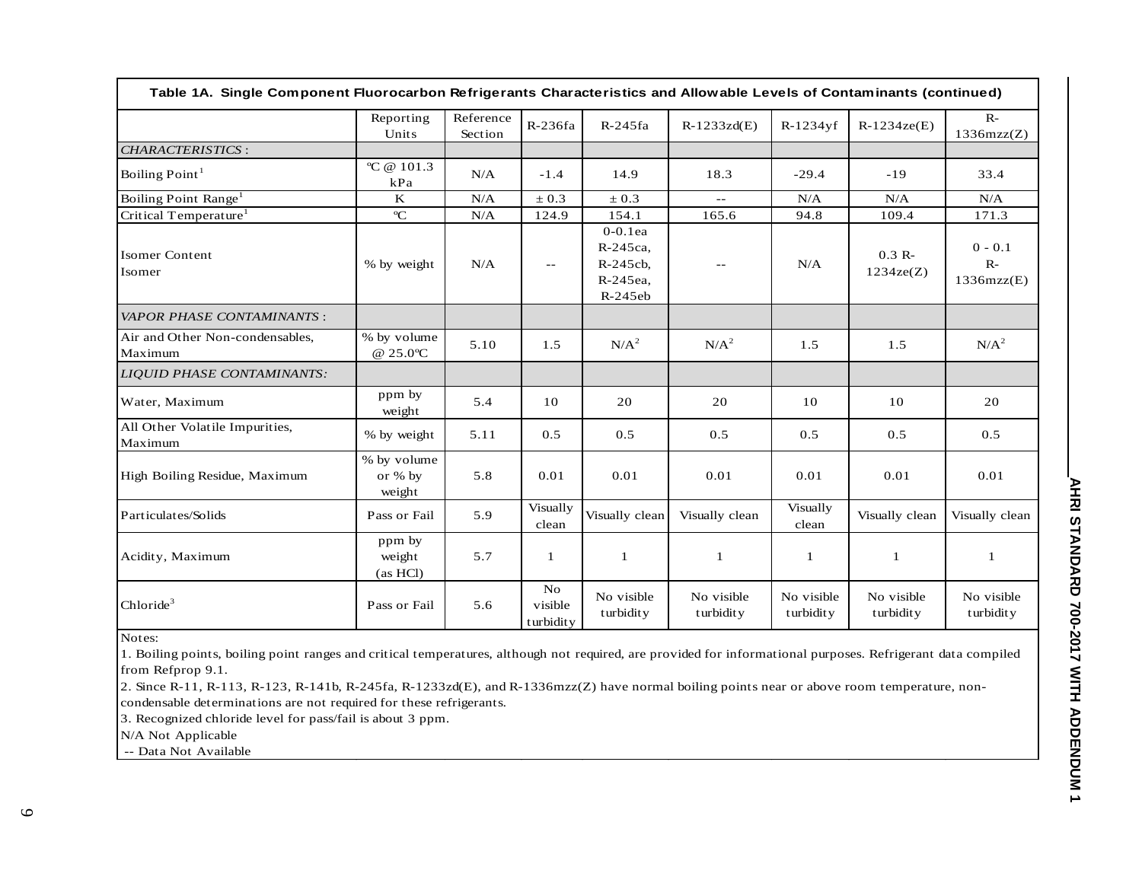| Table 1A. Single Component Fluorocarbon Refrigerants Characteristics and Allowable Levels of Contaminants (continued) |                                  |                      |                            |                                                                |                         |                         |                         |                                 |
|-----------------------------------------------------------------------------------------------------------------------|----------------------------------|----------------------|----------------------------|----------------------------------------------------------------|-------------------------|-------------------------|-------------------------|---------------------------------|
|                                                                                                                       | Reporting<br>Units               | Reference<br>Section | R-236fa                    | $R-245fa$                                                      | $R-1233zd(E)$           | $R-1234$ yf             | $R-1234ze(E)$           | $R-$<br>1336mzz(Z)              |
| <b>CHARACTERISTICS:</b>                                                                                               |                                  |                      |                            |                                                                |                         |                         |                         |                                 |
| Boiling Point <sup>1</sup>                                                                                            | °C @ 101.3<br>kPa                | N/A                  | $-1.4$                     | 14.9                                                           | 18.3                    | $-29.4$                 | $-19$                   | 33.4                            |
| Boiling Point Range <sup>1</sup>                                                                                      | $\mathbf K$                      | N/A                  | $\pm 0.3$                  | $\pm 0.3$                                                      | $- -$                   | N/A                     | N/A                     | N/A                             |
| Critical Temperature <sup>1</sup>                                                                                     | $\rm ^{o}C$                      | N/A                  | 124.9                      | 154.1                                                          | 165.6                   | 94.8                    | 109.4                   | 171.3                           |
| <b>Isomer Content</b><br>Isomer                                                                                       | % by weight                      | N/A                  | $- -$                      | $0-0.1$ ea<br>R-245ca,<br>$R-245cb$ ,<br>R-245ea,<br>$R-245eb$ | $ -$                    | N/A                     | $0.3 R -$<br>1234ze(Z)  | $0 - 0.1$<br>$R-$<br>1336mzz(E) |
| <b>VAPOR PHASE CONTAMINANTS:</b>                                                                                      |                                  |                      |                            |                                                                |                         |                         |                         |                                 |
| Air and Other Non-condensables,<br>Maximum                                                                            | % by volume<br>@ 25.0°C          | 5.10                 | 1.5                        | $N/A^2$                                                        | $N/A^2$                 | 1.5                     | 1.5                     | N/A <sup>2</sup>                |
| <b>LIQUID PHASE CONTAMINANTS:</b>                                                                                     |                                  |                      |                            |                                                                |                         |                         |                         |                                 |
| Water, Maximum                                                                                                        | ppm by<br>weight                 | 5.4                  | 10                         | 20                                                             | 20                      | 10                      | 10                      | 20                              |
| All Other Volatile Impurities,<br>Maximum                                                                             | % by weight                      | 5.11                 | 0.5                        | 0.5                                                            | 0.5                     | 0.5                     | 0.5                     | 0.5                             |
| High Boiling Residue, Maximum                                                                                         | % by volume<br>or % by<br>weight | 5.8                  | 0.01                       | 0.01                                                           | 0.01                    | 0.01                    | 0.01                    | 0.01                            |
| Particulates/Solids                                                                                                   | Pass or Fail                     | 5.9                  | Visually<br>clean          | Visually clean                                                 | Visually clean          | Visually<br>clean       | Visually clean          | Visually clean                  |
| Acidity, Maximum                                                                                                      | ppm by<br>weight<br>(as HCl)     | 5.7                  | 1                          | $\mathbf{1}$                                                   | 1                       | 1                       | 1                       |                                 |
| Chloride <sup>3</sup>                                                                                                 | Pass or Fail                     | 5.6                  | No<br>visible<br>turbidity | No visible<br>turbidity                                        | No visible<br>turbidity | No visible<br>turbidity | No visible<br>turbidity | No visible<br>turbidity         |

1. Boiling points, boiling point ranges and critical temperatures, although not required, are provided for informational purposes. Refrigerant data compiled from Refprop 9.1.

2. Since R-11, R-113, R-123, R-141b, R-245fa, R-1233zd(E), and R-1336mzz(Z) have normal boiling points near or above room temperature, noncondensable determinations are not required for these refrigerants.

3. Recognized chloride level for pass/fail is about 3 ppm.

N/A Not Applicable

-- Data Not Available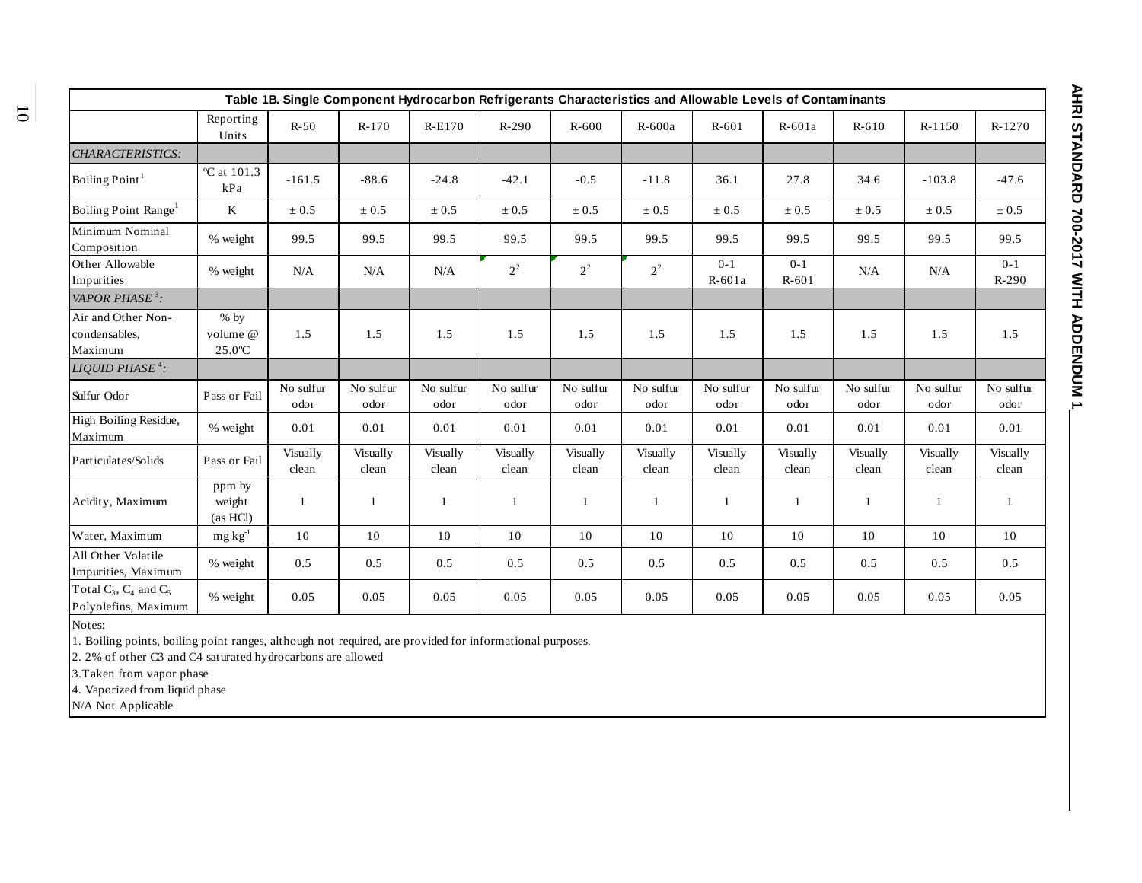| Table 1B. Single Component Hydrocarbon Refrigerants Characteristics and Allowable Levels of Contaminants |                                        |                   |                   |                   |                   |                   |                   |                   |                   |                   |                   |                    |  |
|----------------------------------------------------------------------------------------------------------|----------------------------------------|-------------------|-------------------|-------------------|-------------------|-------------------|-------------------|-------------------|-------------------|-------------------|-------------------|--------------------|--|
|                                                                                                          | Reporting<br>Units                     | $R-50$            | $R-170$           | R-E170            | $R-290$           | $R-600$           | $R-600a$          | $R-601$           | $R-601a$          | $R-610$           | $R-1150$          | R-1270             |  |
| <b>CHARACTERISTICS:</b>                                                                                  |                                        |                   |                   |                   |                   |                   |                   |                   |                   |                   |                   |                    |  |
| Boiling Point <sup>1</sup>                                                                               | $^{\circ}$ C at 101.3<br>kPa           | $-161.5$          | $-88.6$           | $-24.8$           | $-42.1$           | $-0.5$            | $-11.8$           | 36.1              | 27.8              | 34.6              | $-103.8$          | $-47.6$            |  |
| Boiling Point Range <sup>1</sup>                                                                         | $\bf K$                                | $\pm 0.5$         | $\pm 0.5$         | $\pm 0.5$         | $\pm 0.5$         | $\pm 0.5$         | $\pm 0.5$         | $\pm 0.5$         | $\pm 0.5$         | $\pm 0.5$         | $\pm 0.5$         | $\pm 0.5$          |  |
| Minimum Nominal<br>Composition                                                                           | % weight                               | 99.5              | 99.5              | 99.5              | 99.5              | 99.5              | 99.5              | 99.5              | 99.5              | 99.5              | 99.5              | 99.5               |  |
| Other Allowable<br>Impurities                                                                            | % weight                               | N/A               | N/A               | N/A               | $2^2$             | $2^2$             | $2^2$             | $0 - 1$<br>R-601a | $0-1$<br>$R-601$  | N/A               | N/A               | $0 - 1$<br>$R-290$ |  |
| VAPOR PHASE <sup>3</sup> :                                                                               |                                        |                   |                   |                   |                   |                   |                   |                   |                   |                   |                   |                    |  |
| Air and Other Non-<br>condensables,<br>Maximum                                                           | $%$ by<br>volume @<br>$25.0^{\circ}$ C | 1.5               | 1.5               | 1.5               | 1.5               | 1.5               | 1.5               | 1.5               | 1.5               | 1.5               | 1.5               | 1.5                |  |
| LIQUID PHASE <sup>4</sup> :                                                                              |                                        |                   |                   |                   |                   |                   |                   |                   |                   |                   |                   |                    |  |
| Sulfur Odor                                                                                              | Pass or Fail                           | No sulfur<br>odor | No sulfur<br>odor | No sulfur<br>odor | No sulfur<br>odor | No sulfur<br>odor | No sulfur<br>odor | No sulfur<br>odor | No sulfur<br>odor | No sulfur<br>odor | No sulfur<br>odor | No sulfur<br>odor  |  |
| High Boiling Residue,<br>Maximum                                                                         | % weight                               | 0.01              | 0.01              | 0.01              | 0.01              | 0.01              | 0.01              | 0.01              | 0.01              | 0.01              | 0.01              | 0.01               |  |
| Particulates/Solids                                                                                      | Pass or Fail                           | Visually<br>clean | Visually<br>clean | Visually<br>clean | Visually<br>clean | Visually<br>clean | Visually<br>clean | Visually<br>clean | Visually<br>clean | Visually<br>clean | Visually<br>clean | Visually<br>clean  |  |
| Acidity, Maximum                                                                                         | ppm by<br>weight<br>(as HCl)           | $\mathbf{1}$      | -1                | 1                 |                   | 1                 | -1                | -1                | $\mathbf{1}$      | 1                 | 1                 | -1                 |  |
| Water, Maximum                                                                                           | $mg kg^{-1}$                           | 10                | 10                | 10                | 10                | 10                | 10                | 10                | 10                | 10                | 10                | 10                 |  |
| All Other Volatile<br>Impurities, Maximum                                                                | % weight                               | 0.5               | 0.5               | 0.5               | 0.5               | 0.5               | 0.5               | 0.5               | 0.5               | 0.5               | 0.5               | 0.5                |  |
| Total $C_3$ , $C_4$ and $C_5$<br>Polyolefins, Maximum                                                    | % weight                               | 0.05              | 0.05              | 0.05              | 0.05              | 0.05              | 0.05              | 0.05              | 0.05              | 0.05              | 0.05              | 0.05               |  |

1. Boiling points, boiling point ranges, although not required, are provided for informational purposes.

2. 2% of other C3 and C4 saturated hydrocarbons are allowed

3.Taken from vapor phase

4. Vaporized from liquid phase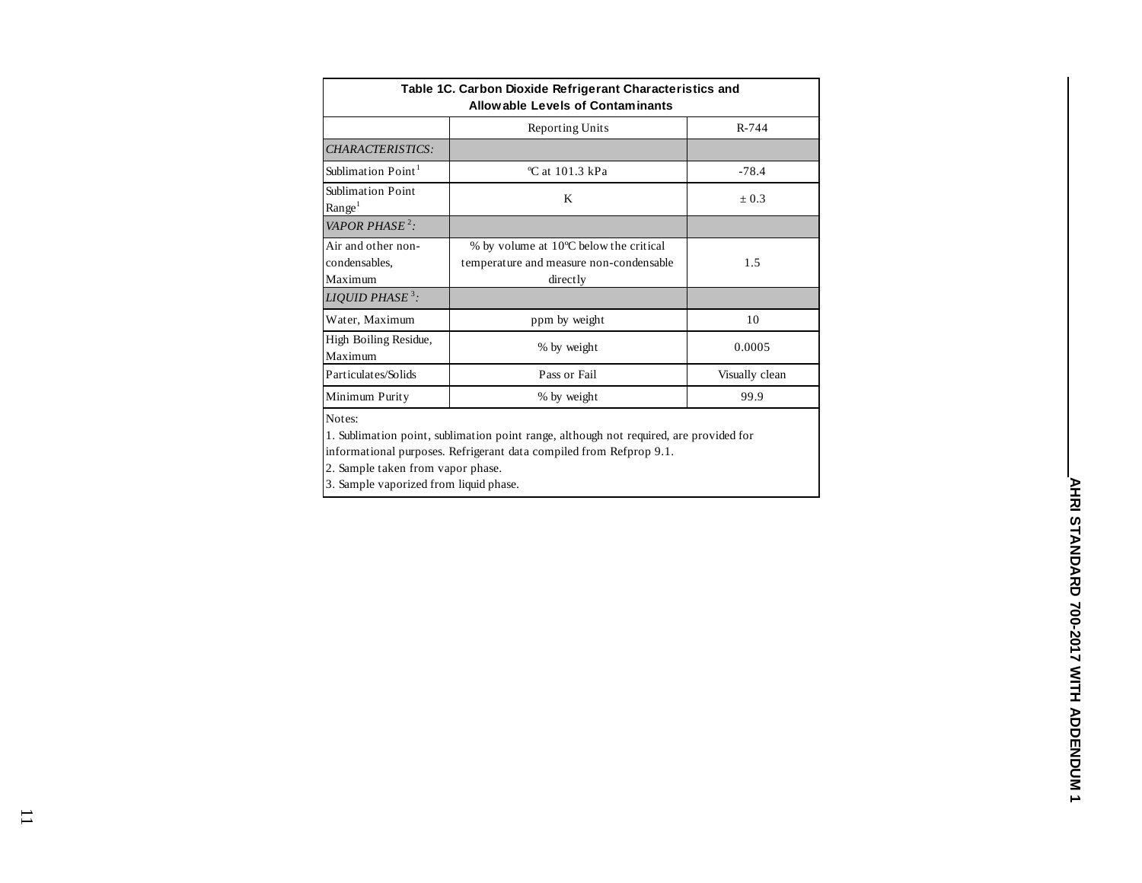| Table 1C. Carbon Dioxide Refrigerant Characteristics and<br>Allowable Levels of Contaminants |                                                                                               |                |  |  |  |  |  |  |  |  |
|----------------------------------------------------------------------------------------------|-----------------------------------------------------------------------------------------------|----------------|--|--|--|--|--|--|--|--|
|                                                                                              | <b>Reporting Units</b>                                                                        | $R - 744$      |  |  |  |  |  |  |  |  |
| CHARACTERISTICS:                                                                             |                                                                                               |                |  |  |  |  |  |  |  |  |
| Sublimation Point <sup>1</sup>                                                               | $\degree$ C at 101.3 kPa                                                                      | $-78.4$        |  |  |  |  |  |  |  |  |
| Sublimation Point<br>Range <sup>1</sup>                                                      | K                                                                                             | $\pm 0.3$      |  |  |  |  |  |  |  |  |
| VAPOR PHASE <sup>2</sup> :                                                                   |                                                                                               |                |  |  |  |  |  |  |  |  |
| Air and other non-<br>condensables.<br>Maximum                                               | % by volume at 10°C below the critical<br>temperature and measure non-condensable<br>directly | 1.5            |  |  |  |  |  |  |  |  |
| LIQUID PHASE <sup>3</sup> :                                                                  |                                                                                               |                |  |  |  |  |  |  |  |  |
| Water, Maximum                                                                               | ppm by weight                                                                                 | 10             |  |  |  |  |  |  |  |  |
| High Boiling Residue,<br>Maximum                                                             | % by weight                                                                                   | 0.0005         |  |  |  |  |  |  |  |  |
| Particulates/Solids                                                                          | Pass or Fail                                                                                  | Visually clean |  |  |  |  |  |  |  |  |
| Minimum Purity                                                                               | % by weight                                                                                   | 99.9           |  |  |  |  |  |  |  |  |

1. Sublimation point, sublimation point range, although not required, are provided for informational purposes. Refrigerant data compiled from Refprop 9.1.

2. Sample taken from vapor phase.

3. Sample vaporized from liquid phase.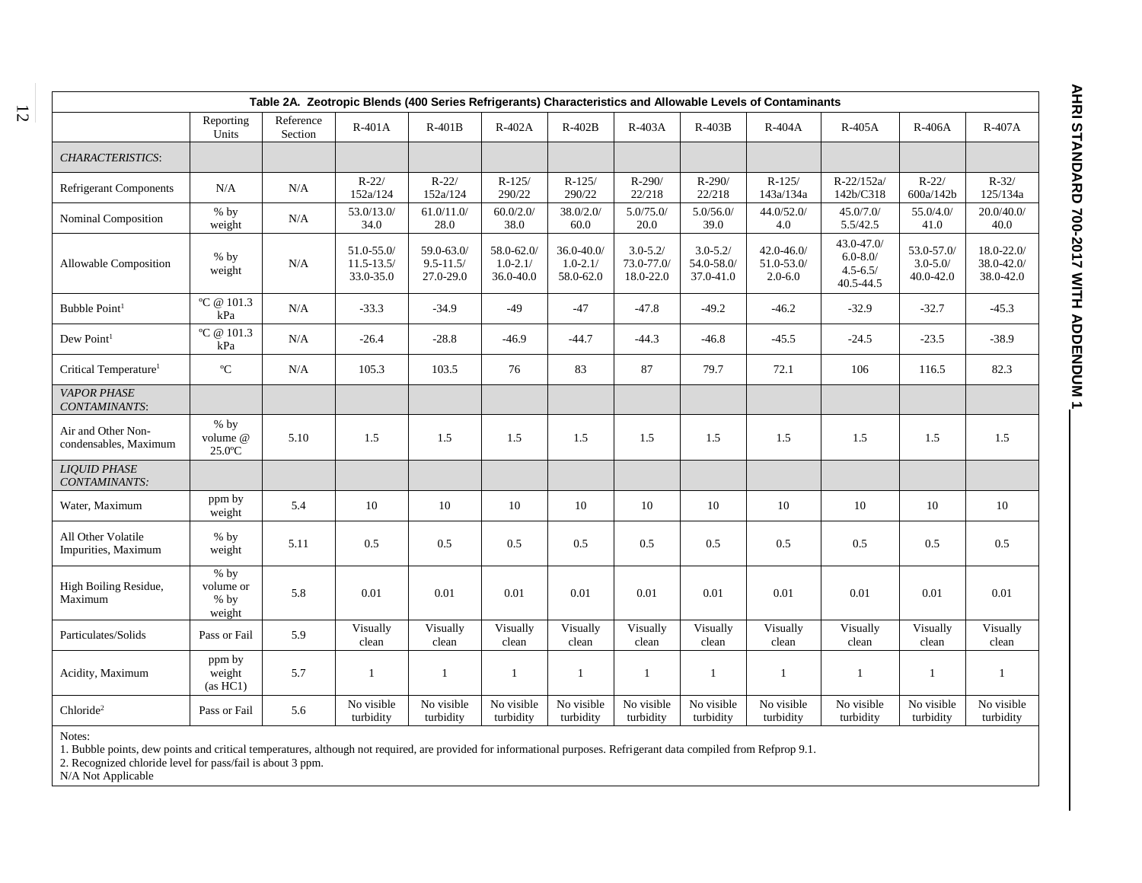| Table 2A. Zeotropic Blends (400 Series Refrigerants) Characteristics and Allowable Levels of Contaminants |                                         |                      |                                              |                                          |                                         |                                            |                                         |                                         |                                             |                                                         |                                        |                                           |  |
|-----------------------------------------------------------------------------------------------------------|-----------------------------------------|----------------------|----------------------------------------------|------------------------------------------|-----------------------------------------|--------------------------------------------|-----------------------------------------|-----------------------------------------|---------------------------------------------|---------------------------------------------------------|----------------------------------------|-------------------------------------------|--|
|                                                                                                           | Reporting<br>Units                      | Reference<br>Section | $R-401A$                                     | $R-401B$                                 | R-402A                                  | $R-402B$                                   | R-403A                                  | $R-403B$                                | R-404A                                      | R-405A                                                  | $R-406A$                               | R-407A                                    |  |
| CHARACTERISTICS:                                                                                          |                                         |                      |                                              |                                          |                                         |                                            |                                         |                                         |                                             |                                                         |                                        |                                           |  |
| <b>Refrigerant Components</b>                                                                             | N/A                                     | N/A                  | $R - 22/$<br>152a/124                        | $R - 22/$<br>152a/124                    | $R-125/$<br>290/22                      | $R-125/$<br>290/22                         | $R - 290/$<br>22/218                    | $R-290/$<br>22/218                      | $R-125/$<br>143a/134a                       | $R - 22/152a$<br>142b/C318                              | $R - 22/$<br>600a/142b                 | $R - 32/$<br>125/134a                     |  |
| Nominal Composition                                                                                       | $%$ by<br>weight                        | N/A                  | 53.0/13.0/<br>34.0                           | 61.0/11.0/<br>28.0                       | 60.0/2.0/<br>38.0                       | 38.0/2.0/<br>60.0                          | 5.0/75.0/<br>20.0                       | 5.0/56.0/<br>39.0                       | 44.0/52.0/<br>4.0                           | 45.0/7.0/<br>5.5/42.5                                   | 55.0/4.0/<br>41.0                      | 20.0/40.0/<br>$40.0\,$                    |  |
| Allowable Composition                                                                                     | $%$ by<br>weight                        | N/A                  | $51.0 - 55.0$<br>$11.5 - 13.5/$<br>33.0-35.0 | 59.0-63.0/<br>$9.5 - 11.5/$<br>27.0-29.0 | 58.0-62.0/<br>$1.0 - 2.1/$<br>36.0-40.0 | $36.0 - 40.0$<br>$1.0 - 2.1/$<br>58.0-62.0 | $3.0 - 5.2/$<br>73.0-77.0/<br>18.0-22.0 | $3.0 - 5.2/$<br>54.0-58.0/<br>37.0-41.0 | $42.0 - 46.0/$<br>51.0-53.0/<br>$2.0 - 6.0$ | 43.0-47.0/<br>$6.0 - 8.0/$<br>$4.5 - 6.5/$<br>40.5-44.5 | 53.0-57.0/<br>$3.0 - 5.0$<br>40.0-42.0 | $18.0 - 22.0/$<br>38.0-42.0/<br>38.0-42.0 |  |
| Bubble Point <sup>1</sup>                                                                                 | °C @ 101.3<br>kPa                       | N/A                  | $-33.3$                                      | $-34.9$                                  | $-49$                                   | $-47$                                      | $-47.8$                                 | $-49.2$                                 | $-46.2$                                     | $-32.9$                                                 | $-32.7$                                | $-45.3$                                   |  |
| Dew Point <sup>1</sup>                                                                                    | °C @ 101.3<br>kPa                       | N/A                  | $-26.4$                                      | $-28.8$                                  | $-46.9$                                 | $-44.7$                                    | $-44.3$                                 | $-46.8$                                 | $-45.5$                                     | $-24.5$                                                 | $-23.5$                                | $-38.9$                                   |  |
| Critical Temperature <sup>1</sup>                                                                         | $^{\mathrm{o}}\mathrm{C}$               | N/A                  | 105.3                                        | 103.5                                    | 76                                      | 83                                         | 87                                      | 79.7                                    | 72.1                                        | 106                                                     | 116.5                                  | 82.3                                      |  |
| <b>VAPOR PHASE</b><br>CONTAMINANTS:                                                                       |                                         |                      |                                              |                                          |                                         |                                            |                                         |                                         |                                             |                                                         |                                        |                                           |  |
| Air and Other Non-<br>condensables, Maximum                                                               | $%$ by<br>volume @<br>$25.0$ °C         | 5.10                 | 1.5                                          | 1.5                                      | 1.5                                     | 1.5                                        | 1.5                                     | 1.5                                     | 1.5                                         | 1.5                                                     | 1.5                                    | 1.5                                       |  |
| <b>LIQUID PHASE</b><br>CONTAMINANTS:                                                                      |                                         |                      |                                              |                                          |                                         |                                            |                                         |                                         |                                             |                                                         |                                        |                                           |  |
| Water, Maximum                                                                                            | ppm by<br>weight                        | 5.4                  | 10                                           | 10                                       | 10                                      | 10                                         | 10                                      | 10                                      | 10                                          | 10                                                      | 10                                     | 10                                        |  |
| All Other Volatile<br>Impurities, Maximum                                                                 | $%$ by<br>weight                        | 5.11                 | 0.5                                          | 0.5                                      | 0.5                                     | $0.5\,$                                    | 0.5                                     | 0.5                                     | 0.5                                         | 0.5                                                     | 0.5                                    | 0.5                                       |  |
| High Boiling Residue,<br>Maximum                                                                          | $%$ by<br>volume or<br>$%$ by<br>weight | 5.8                  | 0.01                                         | 0.01                                     | 0.01                                    | 0.01                                       | 0.01                                    | 0.01                                    | 0.01                                        | 0.01                                                    | 0.01                                   | 0.01                                      |  |
| Particulates/Solids                                                                                       | Pass or Fail                            | 5.9                  | Visually<br>clean                            | Visually<br>clean                        | Visually<br>clean                       | Visually<br>clean                          | Visually<br>clean                       | Visually<br>clean                       | Visually<br>clean                           | Visually<br>clean                                       | Visually<br>clean                      | Visually<br>clean                         |  |
| Acidity, Maximum                                                                                          | ppm by<br>weight<br>(as HCl)            | 5.7                  | $\mathbf{1}$                                 | $\mathbf{1}$                             | $\mathbf{1}$                            | $\mathbf{1}$                               | $\mathbf{1}$                            | $\mathbf{1}$                            | $\mathbf{1}$                                | $\mathbf{1}$                                            | $\mathbf{1}$                           | $\mathbf{1}$                              |  |
| Chloride <sup>2</sup>                                                                                     | Pass or Fail                            | 5.6                  | No visible<br>turbidity                      | No visible<br>turbidity                  | No visible<br>turbidity                 | No visible<br>turbidity                    | No visible<br>turbidity                 | No visible<br>turbidity                 | No visible<br>turbidity                     | No visible<br>turbidity                                 | No visible<br>turbidity                | No visible<br>turbidity                   |  |

1. Bubble points, dew points and critical temperatures, although not required, are provided for informational purposes. Refrigerant data compiled from Refprop 9.1.

2. Recognized chloride level for pass/fail is about 3 ppm.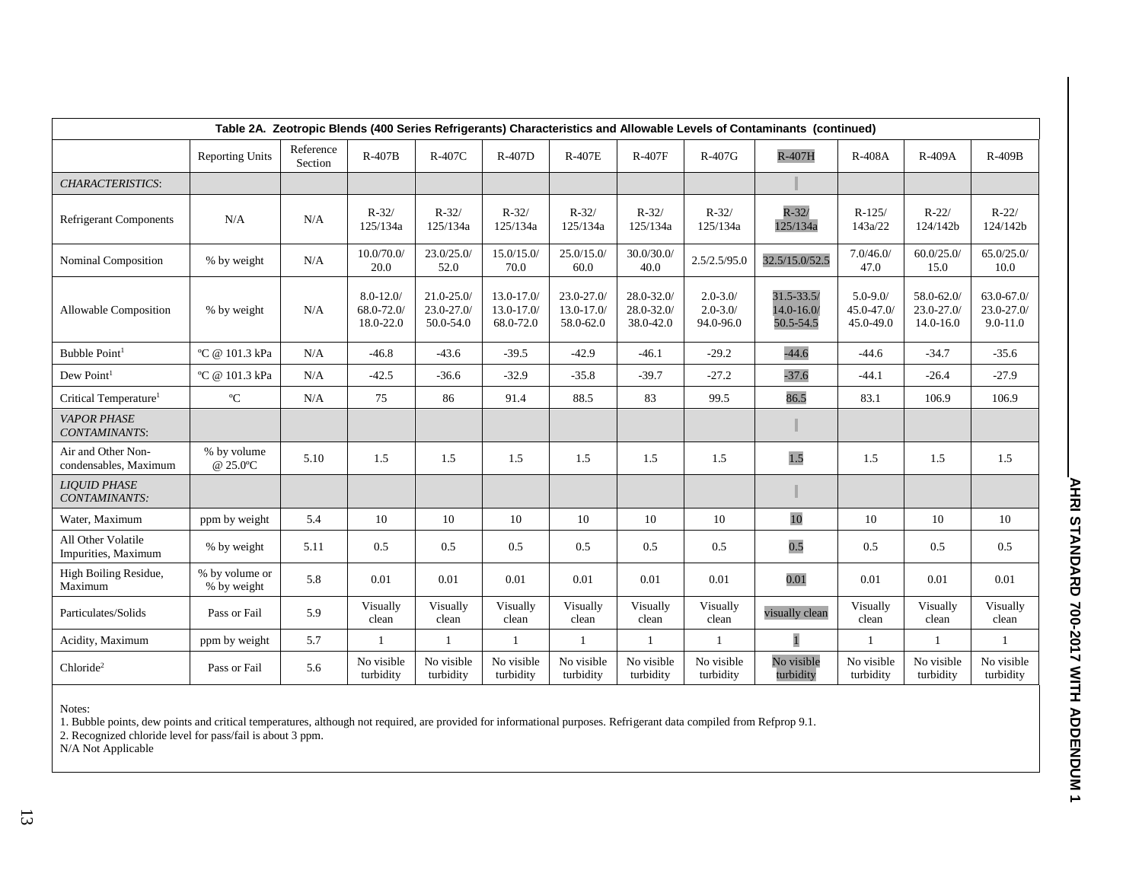| Table 2A. Zeotropic Blends (400 Series Refrigerants) Characteristics and Allowable Levels of Contaminants (continued) |                               |                      |                                         |                                          |                                          |                                             |                                          |                                           |                                              |                                        |                                              |                                             |  |
|-----------------------------------------------------------------------------------------------------------------------|-------------------------------|----------------------|-----------------------------------------|------------------------------------------|------------------------------------------|---------------------------------------------|------------------------------------------|-------------------------------------------|----------------------------------------------|----------------------------------------|----------------------------------------------|---------------------------------------------|--|
|                                                                                                                       | <b>Reporting Units</b>        | Reference<br>Section | $R-407B$                                | R-407C                                   | R-407D                                   | <b>R-407E</b>                               | <b>R-407F</b>                            | $R-407G$                                  | R-407H                                       | <b>R-408A</b>                          | R-409A                                       | $R-409B$                                    |  |
| <b>CHARACTERISTICS:</b>                                                                                               |                               |                      |                                         |                                          |                                          |                                             |                                          |                                           |                                              |                                        |                                              |                                             |  |
| <b>Refrigerant Components</b>                                                                                         | N/A                           | N/A                  | $R - 32/$<br>125/134a                   | $R - 32/$<br>125/134a                    | $R - 32/$<br>125/134a                    | $R - 32/$<br>125/134a                       | $R - 32/$<br>125/134a                    | $R - 32/$<br>125/134a                     | $R - 32/$<br>125/134a                        | $R-125/$<br>143a/22                    | $R - 22/$<br>124/142b                        | $R-22/$<br>124/142b                         |  |
| Nominal Composition                                                                                                   | % by weight                   | N/A                  | 10.0/70.0/<br>20.0                      | 23.0/25.0/<br>52.0                       | 15.0/15.0/<br>70.0                       | 25.0/15.0/<br>60.0                          | 30.0/30.0/<br>40.0                       | 2.5/2.5/95.0                              | 32.5/15.0/52.5                               | 7.0/46.0/<br>47.0                      | 60.0/25.0/<br>15.0                           | 65.0/25.0/<br>10.0                          |  |
| Allowable Composition                                                                                                 | % by weight                   | N/A                  | $8.0 - 12.0$<br>68.0-72.0/<br>18.0-22.0 | $21.0 - 25.0$<br>23.0-27.0/<br>50.0-54.0 | $13.0 - 17.0$<br>13.0-17.0/<br>68.0-72.0 | $23.0 - 27.0$<br>$13.0 - 17.0$<br>58.0-62.0 | $28.0 - 32.0$<br>28.0-32.0/<br>38.0-42.0 | $2.0 - 3.0/$<br>$2.0 - 3.0/$<br>94.0-96.0 | $31.5 - 33.5/$<br>$14.0 - 16.0$<br>50.5-54.5 | $5.0 - 9.0$<br>45.0-47.0/<br>45.0-49.0 | 58.0-62.0/<br>$23.0 - 27.0$<br>$14.0 - 16.0$ | $63.0 - 67.0$<br>23.0-27.0/<br>$9.0 - 11.0$ |  |
| Bubble Point <sup>1</sup>                                                                                             | °C @ 101.3 kPa                | $\rm N/A$            | $-46.8$                                 | $-43.6$                                  | $-39.5$                                  | $-42.9$                                     | $-46.1$                                  | $-29.2$                                   | $-44.6$                                      | $-44.6$                                | $-34.7$                                      | $-35.6$                                     |  |
| Dew Point <sup>1</sup>                                                                                                | °C @ 101.3 kPa                | N/A                  | $-42.5$                                 | $-36.6$                                  | $-32.9$                                  | $-35.8$                                     | $-39.7$                                  | $-27.2$                                   | $-37.6$                                      | $-44.1$                                | $-26.4$                                      | $-27.9$                                     |  |
| Critical Temperature <sup>1</sup>                                                                                     | $\rm ^{o}C$                   | N/A                  | 75                                      | 86                                       | 91.4                                     | 88.5                                        | 83                                       | 99.5                                      | 86.5                                         | 83.1                                   | 106.9                                        | 106.9                                       |  |
| <b>VAPOR PHASE</b><br>CONTAMINANTS:                                                                                   |                               |                      |                                         |                                          |                                          |                                             |                                          |                                           |                                              |                                        |                                              |                                             |  |
| Air and Other Non-<br>condensables, Maximum                                                                           | % by volume<br>@ 25.0°C       | 5.10                 | 1.5                                     | 1.5                                      | 1.5                                      | 1.5                                         | 1.5                                      | 1.5                                       | 1.5                                          | 1.5                                    | 1.5                                          | 1.5                                         |  |
| <b>LIOUID PHASE</b><br>CONTAMINANTS:                                                                                  |                               |                      |                                         |                                          |                                          |                                             |                                          |                                           |                                              |                                        |                                              |                                             |  |
| Water, Maximum                                                                                                        | ppm by weight                 | 5.4                  | 10                                      | 10                                       | 10                                       | 10                                          | 10                                       | 10                                        | 10                                           | 10                                     | 10                                           | 10                                          |  |
| All Other Volatile<br>Impurities, Maximum                                                                             | % by weight                   | 5.11                 | 0.5                                     | 0.5                                      | 0.5                                      | 0.5                                         | 0.5                                      | 0.5                                       | 0.5                                          | 0.5                                    | 0.5                                          | 0.5                                         |  |
| High Boiling Residue,<br>Maximum                                                                                      | % by volume or<br>% by weight | 5.8                  | 0.01                                    | 0.01                                     | 0.01                                     | 0.01                                        | 0.01                                     | 0.01                                      | 0.01                                         | 0.01                                   | 0.01                                         | 0.01                                        |  |
| Particulates/Solids                                                                                                   | Pass or Fail                  | 5.9                  | Visually<br>clean                       | Visually<br>clean                        | Visually<br>clean                        | Visually<br>clean                           | Visually<br>clean                        | Visually<br>clean                         | visually clean                               | Visually<br>clean                      | Visually<br>clean                            | Visually<br>clean                           |  |
| Acidity, Maximum                                                                                                      | ppm by weight                 | 5.7                  | 1                                       | $\mathbf{1}$                             | $\mathbf{1}$                             | 1                                           | $\mathbf{1}$                             | $\mathbf{1}$                              | $\mathbf{1}$                                 | $\mathbf{1}$                           | $\mathbf{1}$                                 | $\mathbf{1}$                                |  |
| Chloride <sup>2</sup>                                                                                                 | Pass or Fail                  | 5.6                  | No visible<br>turbidity                 | No visible<br>turbidity                  | No visible<br>turbidity                  | No visible<br>turbidity                     | No visible<br>turbidity                  | No visible<br>turbidity                   | No visible<br>turbidity                      | No visible<br>turbidity                | No visible<br>turbidity                      | No visible<br>turbidity                     |  |

1. Bubble points, dew points and critical temperatures, although not required, are provided for informational purposes. Refrigerant data compiled from Refprop 9.1.

2. Recognized chloride level for pass/fail is about 3 ppm.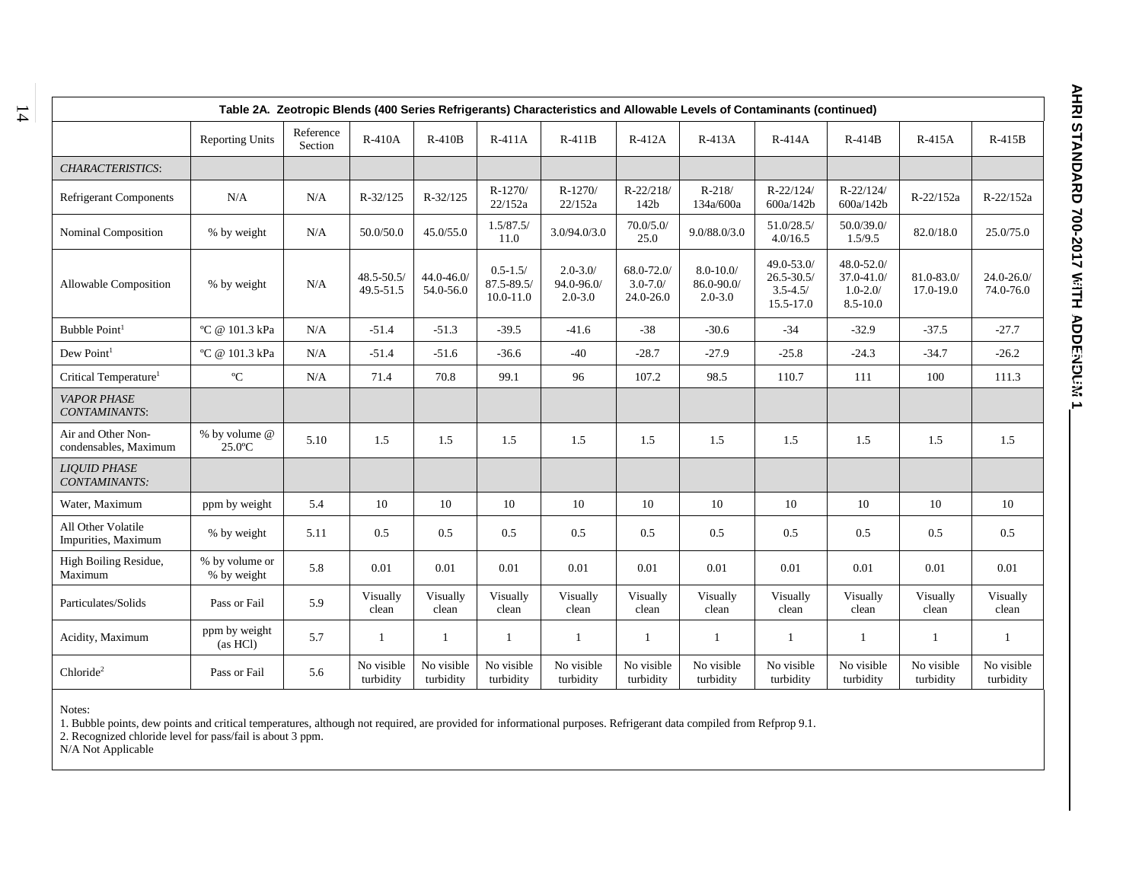| Table 2A. Zeotropic Blends (400 Series Refrigerants) Characteristics and Allowable Levels of Contaminants (continued) |                               |                      |                             |                            |                                                 |                                           |                                         |                                           |                                                           |                                                          |                         |                            |  |
|-----------------------------------------------------------------------------------------------------------------------|-------------------------------|----------------------|-----------------------------|----------------------------|-------------------------------------------------|-------------------------------------------|-----------------------------------------|-------------------------------------------|-----------------------------------------------------------|----------------------------------------------------------|-------------------------|----------------------------|--|
|                                                                                                                       | <b>Reporting Units</b>        | Reference<br>Section | R-410A                      | $R-410B$                   | $R-411A$                                        | $R-411B$                                  | R-412A                                  | $R-413A$                                  | $R-414A$                                                  | $R-414B$                                                 | R-415A                  | $R-415B$                   |  |
| <b>CHARACTERISTICS:</b>                                                                                               |                               |                      |                             |                            |                                                 |                                           |                                         |                                           |                                                           |                                                          |                         |                            |  |
| <b>Refrigerant Components</b>                                                                                         | N/A                           | N/A                  | R-32/125                    | R-32/125                   | $R-1270/$<br>22/152a                            | $R-1270/$<br>22/152a                      | $R - 22/218/$<br>142b                   | $R-218/$<br>134a/600a                     | $R - 22/124/$<br>600a/142b                                | $R - 22/124/$<br>600a/142b                               | R-22/152a               | R-22/152a                  |  |
| Nominal Composition                                                                                                   | % by weight                   | N/A                  | 50.0/50.0                   | 45.0/55.0                  | 1.5/87.5/<br>11.0                               | 3.0/94.0/3.0                              | 70.0/5.0/<br>25.0                       | 9.0/88.0/3.0                              | 51.0/28.5/<br>4.0/16.5                                    | 50.0/39.0/<br>1.5/9.5                                    | 82.0/18.0               | 25.0/75.0                  |  |
| <b>Allowable Composition</b>                                                                                          | % by weight                   | N/A                  | $48.5 - 50.5/$<br>49.5-51.5 | $44.0 - 46.0$<br>54.0-56.0 | $0.5 - 1.5/$<br>$87.5 - 89.5/$<br>$10.0 - 11.0$ | $2.0 - 3.0/$<br>94.0-96.0/<br>$2.0 - 3.0$ | 68.0-72.0/<br>$3.0 - 7.0/$<br>24.0-26.0 | $8.0 - 10.0$<br>86.0-90.0/<br>$2.0 - 3.0$ | 49.0-53.0/<br>$26.5 - 30.5/$<br>$3.5 - 4.5/$<br>15.5-17.0 | 48.0-52.0/<br>37.0-41.0/<br>$1.0 - 2.0/$<br>$8.5 - 10.0$ | 81.0-83.0/<br>17.0-19.0 | $24.0 - 26.0$<br>74.0-76.0 |  |
| Bubble Point <sup>1</sup>                                                                                             | °C @ 101.3 kPa                | N/A                  | $-51.4$                     | $-51.3$                    | $-39.5$                                         | $-41.6$                                   | $-38$                                   | $-30.6$                                   | $-34$                                                     | $-32.9$                                                  | $-37.5$                 | $-27.7$                    |  |
| Dew Point <sup>1</sup>                                                                                                | °C @ 101.3 kPa                | N/A                  | $-51.4$                     | $-51.6$                    | $-36.6$                                         | $-40$                                     | $-28.7$                                 | $-27.9$                                   | $-25.8$                                                   | $-24.3$                                                  | $-34.7$                 | $-26.2$                    |  |
| Critical Temperature <sup>1</sup>                                                                                     | $\rm ^{o}C$                   | N/A                  | 71.4                        | 70.8                       | 99.1                                            | 96                                        | 107.2                                   | 98.5                                      | 110.7                                                     | 111                                                      | 100                     | 111.3                      |  |
| <b>VAPOR PHASE</b><br>CONTAMINANTS:                                                                                   |                               |                      |                             |                            |                                                 |                                           |                                         |                                           |                                                           |                                                          |                         |                            |  |
| Air and Other Non-<br>condensables, Maximum                                                                           | % by volume @<br>$25.0$ °C    | 5.10                 | 1.5                         | 1.5                        | 1.5                                             | 1.5                                       | 1.5                                     | 1.5                                       | 1.5                                                       | 1.5                                                      | 1.5                     | 1.5                        |  |
| <b>LIQUID PHASE</b><br>CONTAMINANTS:                                                                                  |                               |                      |                             |                            |                                                 |                                           |                                         |                                           |                                                           |                                                          |                         |                            |  |
| Water, Maximum                                                                                                        | ppm by weight                 | 5.4                  | 10                          | 10                         | 10                                              | 10                                        | 10                                      | 10                                        | 10                                                        | 10                                                       | 10                      | 10                         |  |
| All Other Volatile<br>Impurities, Maximum                                                                             | % by weight                   | 5.11                 | 0.5                         | 0.5                        | 0.5                                             | 0.5                                       | 0.5                                     | 0.5                                       | 0.5                                                       | 0.5                                                      | 0.5                     | 0.5                        |  |
| High Boiling Residue,<br>Maximum                                                                                      | % by volume or<br>% by weight | 5.8                  | 0.01                        | 0.01                       | 0.01                                            | 0.01                                      | 0.01                                    | 0.01                                      | 0.01                                                      | 0.01                                                     | 0.01                    | 0.01                       |  |
| Particulates/Solids                                                                                                   | Pass or Fail                  | 5.9                  | Visually<br>clean           | Visually<br>clean          | Visually<br>clean                               | Visually<br>clean                         | Visually<br>clean                       | Visually<br>clean                         | Visually<br>clean                                         | Visually<br>clean                                        | Visually<br>clean       | Visually<br>clean          |  |
| Acidity, Maximum                                                                                                      | ppm by weight<br>(as HCl)     | 5.7                  | -1                          | $\mathbf{1}$               | $\mathbf{1}$                                    | $\mathbf{1}$                              | $\mathbf{1}$                            | 1                                         | $\mathbf{1}$                                              | 1                                                        | 1                       | -1                         |  |
| Chloride <sup>2</sup>                                                                                                 | Pass or Fail                  | 5.6                  | No visible<br>turbidity     | No visible<br>turbidity    | No visible<br>turbidity                         | No visible<br>turbidity                   | No visible<br>turbidity                 | No visible<br>turbidity                   | No visible<br>turbidity                                   | No visible<br>turbidity                                  | No visible<br>turbidity | No visible<br>turbidity    |  |

1. Bubble points, dew points and critical temperatures, although not required, are provided for informational purposes. Refrigerant data compiled from Refprop 9.1.

2. Recognized chloride level for pass/fail is about 3 ppm.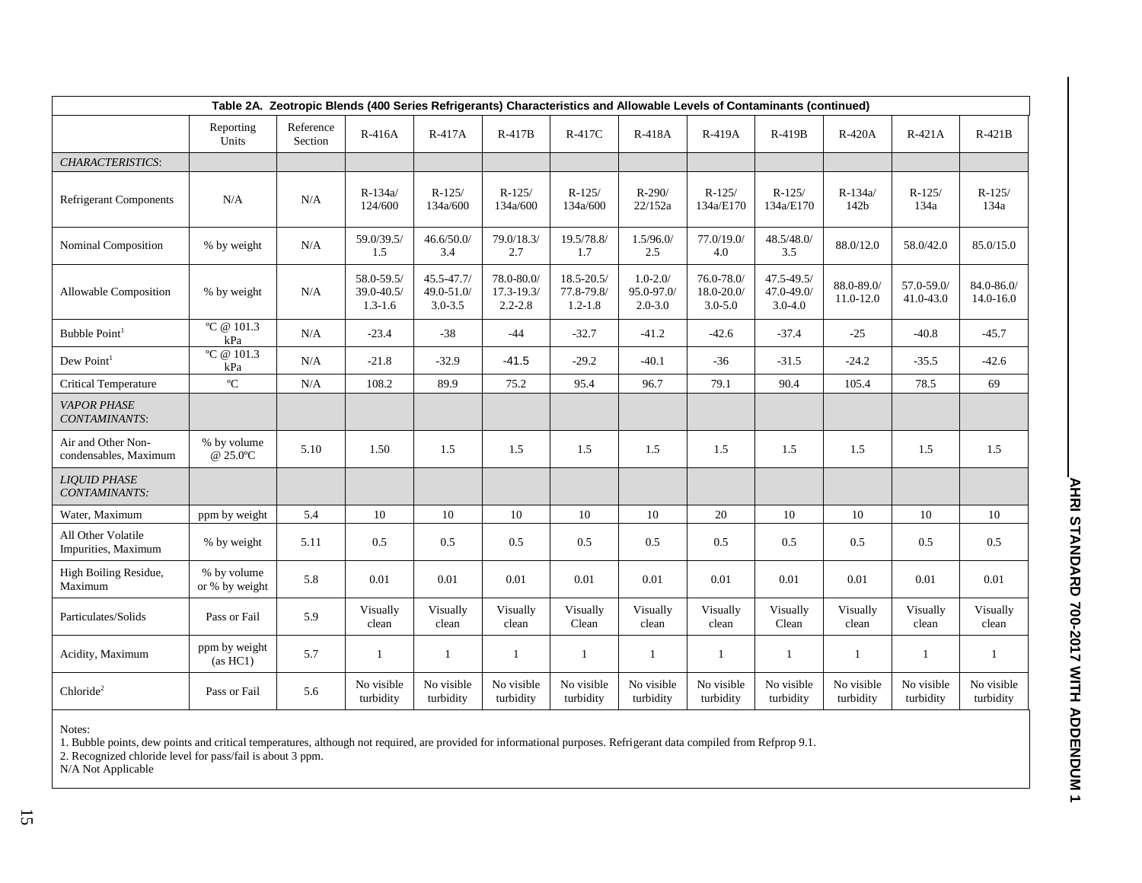|                                             | Table 2A. Zeotropic Blends (400 Series Refrigerants) Characteristics and Allowable Levels of Contaminants (continued) |                      |                                         |                                         |                                             |                                             |                                           |                                            |                                             |                         |                         |                             |  |  |
|---------------------------------------------|-----------------------------------------------------------------------------------------------------------------------|----------------------|-----------------------------------------|-----------------------------------------|---------------------------------------------|---------------------------------------------|-------------------------------------------|--------------------------------------------|---------------------------------------------|-------------------------|-------------------------|-----------------------------|--|--|
|                                             | Reporting<br>Units                                                                                                    | Reference<br>Section | $R-416A$                                | R-417A                                  | $R-417B$                                    | R-417C                                      | R-418A                                    | R-419A                                     | R-419B                                      | R-420A                  | $R-421A$                | $R-421B$                    |  |  |
| CHARACTERISTICS:                            |                                                                                                                       |                      |                                         |                                         |                                             |                                             |                                           |                                            |                                             |                         |                         |                             |  |  |
| <b>Refrigerant Components</b>               | N/A                                                                                                                   | N/A                  | $R-134a/$<br>124/600                    | $R-125/$<br>134a/600                    | $R-125/$<br>134a/600                        | $R-125/$<br>134a/600                        | R-290/<br>22/152a                         | $R-125/$<br>134a/E170                      | $R-125/$<br>134a/E170                       | R-134a/<br>142b         | $R-125/$<br>134a        | $R-125/$<br>134a            |  |  |
| Nominal Composition                         | % by weight                                                                                                           | N/A                  | 59.0/39.5/<br>1.5                       | 46.6/50.0/<br>3.4                       | 79.0/18.3/<br>2.7                           | 19.5/78.8/<br>1.7                           | 1.5/96.0/<br>2.5                          | 77.0/19.0/<br>4.0                          | 48.5/48.0/<br>3.5                           | 88.0/12.0               | 58.0/42.0               | 85.0/15.0                   |  |  |
| Allowable Composition                       | % by weight                                                                                                           | N/A                  | 58.0-59.5/<br>39.0-40.5/<br>$1.3 - 1.6$ | 45.5-47.7/<br>49.0-51.0/<br>$3.0 - 3.5$ | 78.0-80.0/<br>$17.3 - 19.3/$<br>$2.2 - 2.8$ | $18.5 - 20.5/$<br>77.8-79.8/<br>$1.2 - 1.8$ | $1.0 - 2.0/$<br>95.0-97.0/<br>$2.0 - 3.0$ | $76.0 - 78.0$<br>18.0-20.0/<br>$3.0 - 5.0$ | $47.5 - 49.5/$<br>47.0-49.0/<br>$3.0 - 4.0$ | 88.0-89.0/<br>11.0-12.0 | 57.0-59.0/<br>41.0-43.0 | 84.0-86.0/<br>$14.0 - 16.0$ |  |  |
| Bubble Point <sup>1</sup>                   | °C @ 101.3<br>kPa                                                                                                     | N/A                  | $-23.4$                                 | $-38$                                   | $-44$                                       | $-32.7$                                     | $-41.2$                                   | $-42.6$                                    | $-37.4$                                     | $-25$                   | $-40.8$                 | $-45.7$                     |  |  |
| Dew Point <sup>1</sup>                      | $\overline{^{\circ}C \otimes 101.3}$<br>kPa                                                                           | N/A                  | $-21.8$                                 | $-32.9$                                 | $-41.5$                                     | $-29.2$                                     | $-40.1$                                   | $-36$                                      | $-31.5$                                     | $-24.2$                 | $-35.5$                 | $-42.6$                     |  |  |
| <b>Critical Temperature</b>                 | $\mathrm{C}$                                                                                                          | N/A                  | 108.2                                   | 89.9                                    | 75.2                                        | 95.4                                        | 96.7                                      | 79.1                                       | 90.4                                        | 105.4                   | 78.5                    | 69                          |  |  |
| <b>VAPOR PHASE</b><br>CONTAMINANTS:         |                                                                                                                       |                      |                                         |                                         |                                             |                                             |                                           |                                            |                                             |                         |                         |                             |  |  |
| Air and Other Non-<br>condensables, Maximum | % by volume<br>@ 25.0°C                                                                                               | 5.10                 | 1.50                                    | 1.5                                     | 1.5                                         | 1.5                                         | 1.5                                       | 1.5                                        | 1.5                                         | 1.5                     | 1.5                     | 1.5                         |  |  |
| <b>LIOUID PHASE</b><br>CONTAMINANTS:        |                                                                                                                       |                      |                                         |                                         |                                             |                                             |                                           |                                            |                                             |                         |                         |                             |  |  |
| Water, Maximum                              | ppm by weight                                                                                                         | 5.4                  | 10                                      | 10                                      | 10                                          | 10                                          | 10                                        | 20                                         | 10                                          | 10                      | 10                      | 10                          |  |  |
| All Other Volatile<br>Impurities, Maximum   | % by weight                                                                                                           | 5.11                 | 0.5                                     | 0.5                                     | 0.5                                         | 0.5                                         | 0.5                                       | 0.5                                        | 0.5                                         | 0.5                     | 0.5                     | 0.5                         |  |  |
| High Boiling Residue,<br>Maximum            | % by volume<br>or % by weight                                                                                         | 5.8                  | 0.01                                    | 0.01                                    | 0.01                                        | 0.01                                        | 0.01                                      | 0.01                                       | 0.01                                        | 0.01                    | 0.01                    | 0.01                        |  |  |
| Particulates/Solids                         | Pass or Fail                                                                                                          | 5.9                  | Visually<br>clean                       | Visually<br>clean                       | Visually<br>clean                           | Visually<br>Clean                           | Visually<br>clean                         | Visually<br>clean                          | Visually<br>Clean                           | Visually<br>clean       | Visually<br>clean       | Visually<br>clean           |  |  |
| Acidity, Maximum                            | ppm by weight<br>(as HCl)                                                                                             | 5.7                  | 1                                       | 1                                       | 1                                           | -1                                          | $\mathbf{1}$                              | $\mathbf{1}$                               | 1                                           | 1                       | 1                       | $\mathbf{1}$                |  |  |
| Chloride <sup>2</sup>                       | Pass or Fail                                                                                                          | 5.6                  | No visible<br>turbidity                 | No visible<br>turbidity                 | No visible<br>turbidity                     | No visible<br>turbidity                     | No visible<br>turbidity                   | No visible<br>turbidity                    | No visible<br>turbidity                     | No visible<br>turbidity | No visible<br>turbidity | No visible<br>turbidity     |  |  |

1. Bubble points, dew points and critical temperatures, although not required, are provided for informational purposes. Refrigerant data compiled from Refprop 9.1.

2. Recognized chloride level for pass/fail is about 3 ppm.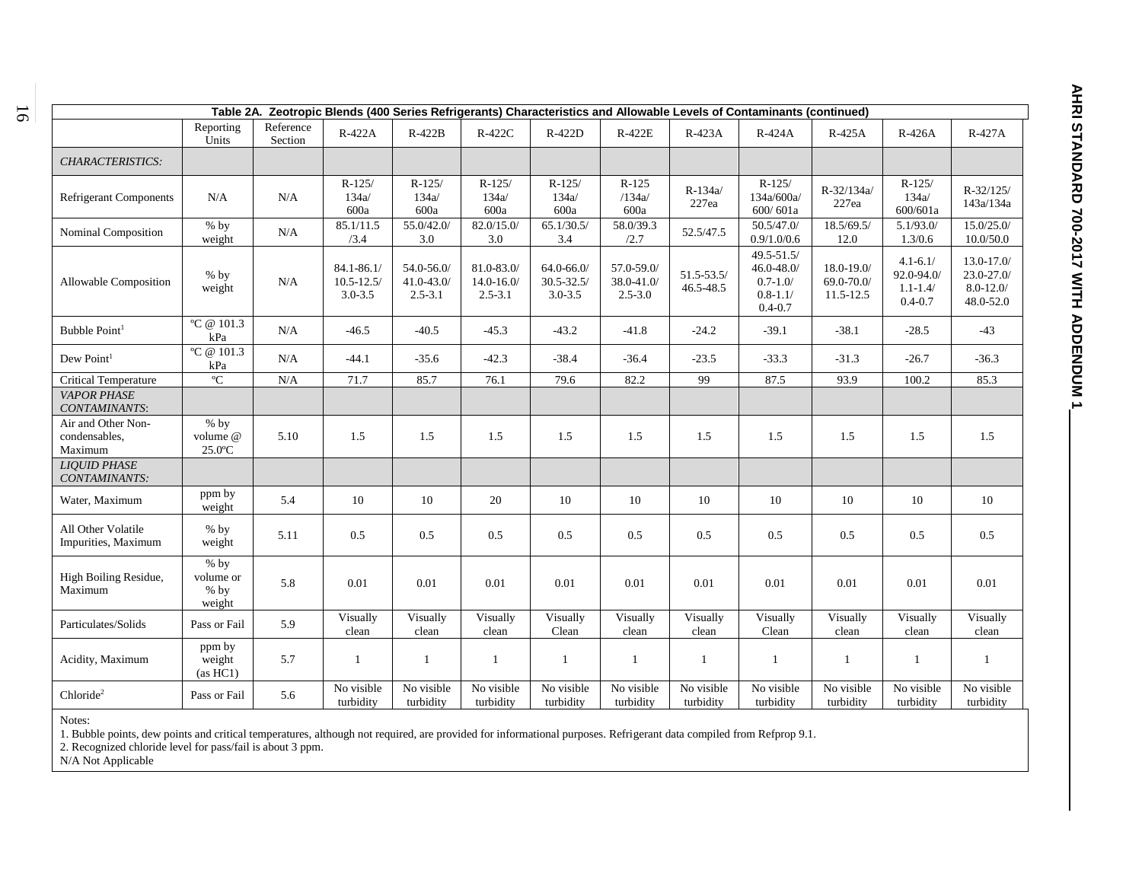| Table 2A. Zeotropic Blends (400 Series Refrigerants) Characteristics and Allowable Levels of Contaminants (continued) |                                         |                      |                                               |                                            |                                             |                                            |                                         |                         |                                                                                |                                       |                                                           |                                                           |
|-----------------------------------------------------------------------------------------------------------------------|-----------------------------------------|----------------------|-----------------------------------------------|--------------------------------------------|---------------------------------------------|--------------------------------------------|-----------------------------------------|-------------------------|--------------------------------------------------------------------------------|---------------------------------------|-----------------------------------------------------------|-----------------------------------------------------------|
|                                                                                                                       | Reporting<br>Units                      | Reference<br>Section | R-422A                                        | $R-422B$                                   | R-422C                                      | R-422D                                     | R-422E                                  | R-423A                  | R-424A                                                                         | R-425A                                | R-426A                                                    | R-427A                                                    |
| CHARACTERISTICS:                                                                                                      |                                         |                      |                                               |                                            |                                             |                                            |                                         |                         |                                                                                |                                       |                                                           |                                                           |
| <b>Refrigerant Components</b>                                                                                         | N/A                                     | N/A                  | $R-125/$<br>134a/<br>600a                     | $R-125/$<br>134a/<br>600a                  | $R-125/$<br>134a/<br>600a                   | $R-125/$<br>134a/<br>600a                  | $R-125$<br>/134a/<br>600a               | R-134a/<br>227ea        | $R-125/$<br>134a/600a/<br>600/601a                                             | R-32/134a/<br>227ea                   | $R-125/$<br>134a/<br>600/601a                             | $R - 32/125/$<br>143a/134a                                |
| Nominal Composition                                                                                                   | $%$ by<br>weight                        | N/A                  | 85.1/11.5<br>/3.4                             | 55.0/42.0/<br>3.0                          | 82.0/15.0/<br>3.0                           | 65.1/30.5/<br>3.4                          | 58.0/39.3<br>/2.7                       | 52.5/47.5               | 50.5/47.0/<br>0.9/1.0/0.6                                                      | 18.5/69.5/<br>12.0                    | 5.1/93.0/<br>1.3/0.6                                      | 15.0/25.0/<br>10.0/50.0                                   |
| Allowable Composition                                                                                                 | $%$ by<br>weight                        | N/A                  | $84.1 - 86.1$<br>$10.5 - 12.5$<br>$3.0 - 3.5$ | 54.0-56.0/<br>$41.0 - 43.0$<br>$2.5 - 3.1$ | 81.0-83.0/<br>$14.0 - 16.0/$<br>$2.5 - 3.1$ | 64.0-66.0/<br>$30.5 - 32.5$<br>$3.0 - 3.5$ | 57.0-59.0/<br>38.0-41.0/<br>$2.5 - 3.0$ | 51.5-53.5/<br>46.5-48.5 | $49.5 - 51.5/$<br>$46.0 - 48.0$<br>$0.7 - 1.0/$<br>$0.8 - 1.1/$<br>$0.4 - 0.7$ | 18.0-19.0/<br>69.0-70.0/<br>11.5-12.5 | $4.1 - 6.1/$<br>92.0-94.0/<br>$1.1 - 1.4/$<br>$0.4 - 0.7$ | 13.0-17.0/<br>$23.0 - 27.0$<br>$8.0 - 12.0/$<br>48.0-52.0 |
| Bubble Point <sup>1</sup>                                                                                             | °C @ 101.3<br>kPa                       | N/A                  | $-46.5$                                       | $-40.5$                                    | $-45.3$                                     | $-43.2$                                    | $-41.8$                                 | $-24.2$                 | $-39.1$                                                                        | $-38.1$                               | $-28.5$                                                   | $-43$                                                     |
| Dew Point <sup>1</sup>                                                                                                | °C @ 101.3<br>kPa                       | N/A                  | $-44.1$                                       | $-35.6$                                    | $-42.3$                                     | $-38.4$                                    | $-36.4$                                 | $-23.5$                 | $-33.3$                                                                        | $-31.3$                               | $-26.7$                                                   | $-36.3$                                                   |
| <b>Critical Temperature</b>                                                                                           | $\rm ^{o}C$                             | $\rm N/A$            | 71.7                                          | 85.7                                       | 76.1                                        | 79.6                                       | 82.2                                    | 99                      | 87.5                                                                           | 93.9                                  | 100.2                                                     | 85.3                                                      |
| <b>VAPOR PHASE</b><br>CONTAMINANTS:                                                                                   |                                         |                      |                                               |                                            |                                             |                                            |                                         |                         |                                                                                |                                       |                                                           |                                                           |
| Air and Other Non-<br>condensables,<br>Maximum                                                                        | $%$ by<br>volume @<br>$25.0$ °C         | 5.10                 | 1.5                                           | 1.5                                        | 1.5                                         | 1.5                                        | 1.5                                     | 1.5                     | 1.5                                                                            | 1.5                                   | 1.5                                                       | 1.5                                                       |
| <b>LIQUID PHASE</b><br>CONTAMINANTS:                                                                                  |                                         |                      |                                               |                                            |                                             |                                            |                                         |                         |                                                                                |                                       |                                                           |                                                           |
| Water, Maximum                                                                                                        | ppm by<br>weight                        | 5.4                  | 10                                            | 10                                         | 20                                          | 10                                         | 10                                      | 10                      | 10                                                                             | 10                                    | 10                                                        | 10                                                        |
| All Other Volatile<br>Impurities, Maximum                                                                             | $%$ by<br>weight                        | 5.11                 | 0.5                                           | 0.5                                        | 0.5                                         | 0.5                                        | 0.5                                     | 0.5                     | 0.5                                                                            | 0.5                                   | 0.5                                                       | 0.5                                                       |
| High Boiling Residue,<br>Maximum                                                                                      | $%$ by<br>volume or<br>$%$ by<br>weight | 5.8                  | 0.01                                          | 0.01                                       | 0.01                                        | 0.01                                       | 0.01                                    | 0.01                    | 0.01                                                                           | 0.01                                  | 0.01                                                      | 0.01                                                      |
| Particulates/Solids                                                                                                   | Pass or Fail                            | 5.9                  | Visually<br>clean                             | Visually<br>clean                          | Visually<br>clean                           | Visually<br>Clean                          | Visually<br>clean                       | Visually<br>clean       | Visually<br>Clean                                                              | Visually<br>clean                     | Visually<br>clean                                         | Visually<br>clean                                         |
| Acidity, Maximum                                                                                                      | ppm by<br>weight<br>(as HCl)            | 5.7                  | $\mathbf{1}$                                  | 1                                          | -1                                          | 1                                          | 1                                       | -1                      | $\mathbf{1}$                                                                   | -1                                    | 1                                                         | -1                                                        |
| Chloride <sup>2</sup>                                                                                                 | Pass or Fail                            | 5.6                  | No visible<br>turbidity                       | No visible<br>turbidity                    | No visible<br>turbidity                     | No visible<br>turbidity                    | No visible<br>turbidity                 | No visible<br>turbidity | No visible<br>turbidity                                                        | No visible<br>turbidity               | No visible<br>turbidity                                   | No visible<br>turbidity                                   |

1. Bubble points, dew points and critical temperatures, although not required, are provided for informational purposes. Refrigerant data compiled from Refprop 9.1.

2. Recognized chloride level for pass/fail is about 3 ppm.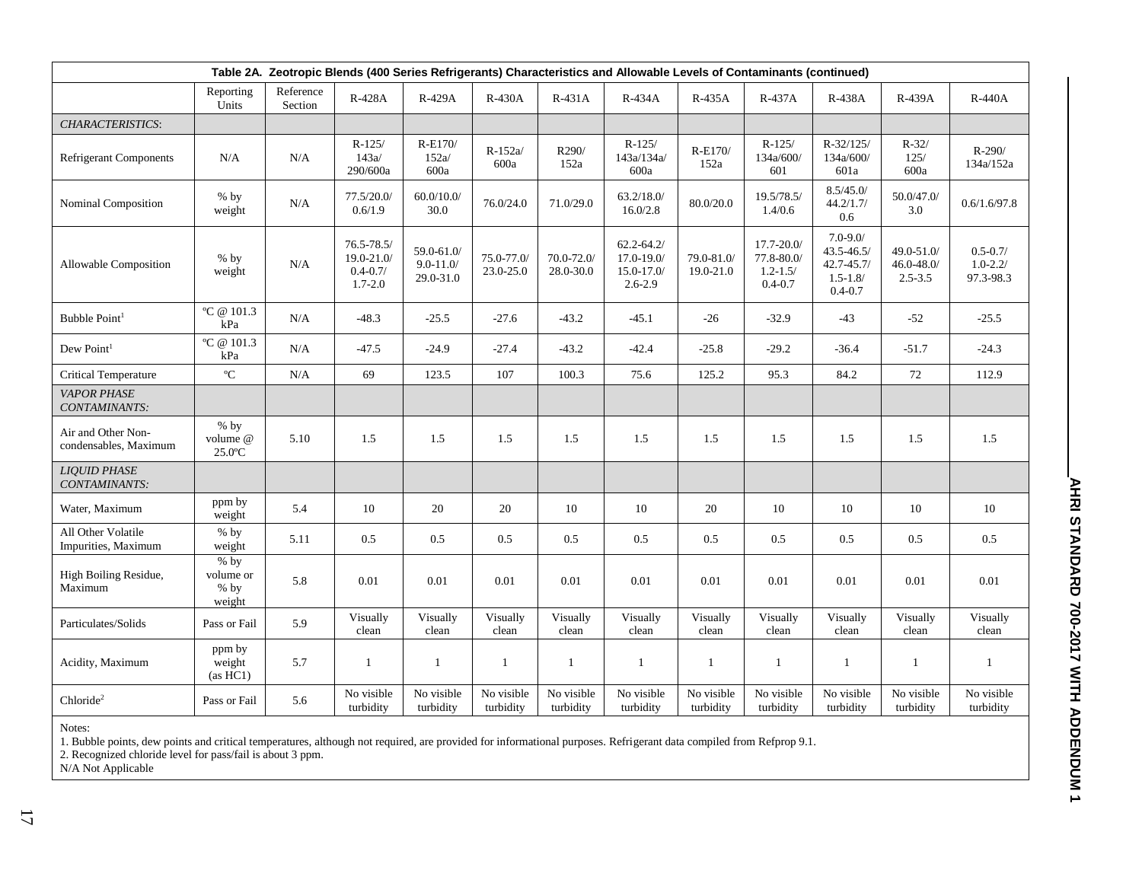| Table 2A. Zeotropic Blends (400 Series Refrigerants) Characteristics and Allowable Levels of Contaminants (continued) |                                         |                      |                                                             |                                         |                         |                            |                                                                  |                         |                                                         |                                                                                 |                                            |                                           |
|-----------------------------------------------------------------------------------------------------------------------|-----------------------------------------|----------------------|-------------------------------------------------------------|-----------------------------------------|-------------------------|----------------------------|------------------------------------------------------------------|-------------------------|---------------------------------------------------------|---------------------------------------------------------------------------------|--------------------------------------------|-------------------------------------------|
|                                                                                                                       | Reporting<br>Units                      | Reference<br>Section | R-428A                                                      | R-429A                                  | <b>R-430A</b>           | $R-431A$                   | R-434A                                                           | R-435A                  | R-437A                                                  | R-438A                                                                          | R-439A                                     | <b>R-440A</b>                             |
| CHARACTERISTICS:                                                                                                      |                                         |                      |                                                             |                                         |                         |                            |                                                                  |                         |                                                         |                                                                                 |                                            |                                           |
| <b>Refrigerant Components</b>                                                                                         | N/A                                     | N/A                  | $R-125/$<br>143a/<br>290/600a                               | R-E170/<br>152a/<br>600a                | $R-152a/$<br>600a       | R290/<br>152a              | $R-125/$<br>143a/134a/<br>600a                                   | R-E170/<br>152a         | $R-125/$<br>134a/600/<br>601                            | $R - 32/125/$<br>134a/600/<br>601a                                              | $R - 32/$<br>125/<br>600a                  | $R-290/$<br>134a/152a                     |
| Nominal Composition                                                                                                   | $%$ by<br>weight                        | N/A                  | 77.5/20.0<br>0.6/1.9                                        | 60.0/10.0/<br>30.0                      | 76.0/24.0               | 71.0/29.0                  | 63.2/18.0/<br>16.0/2.8                                           | 80.0/20.0               | 19.5/78.5/<br>1.4/0.6                                   | 8.5/45.0/<br>44.2/1.7/<br>0.6                                                   | 50.0/47.0/<br>3.0                          | 0.6/1.6/97.8                              |
| <b>Allowable Composition</b>                                                                                          | $%$ by<br>weight                        | N/A                  | $76.5 - 78.5/$<br>19.0-21.0/<br>$0.4 - 0.7/$<br>$1.7 - 2.0$ | 59.0-61.0/<br>$9.0 - 11.0$<br>29.0-31.0 | 75.0-77.0/<br>23.0-25.0 | $70.0 - 72.0$<br>28.0-30.0 | $62.2 - 64.2/$<br>$17.0 - 19.0$<br>$15.0 - 17.0/$<br>$2.6 - 2.9$ | 79.0-81.0/<br>19.0-21.0 | 17.7-20.0/<br>77.8-80.0/<br>$1.2 - 1.5/$<br>$0.4 - 0.7$ | $7.0 - 9.0/$<br>$43.5 - 46.5/$<br>$42.7 - 45.7/$<br>$1.5 - 1.8/$<br>$0.4 - 0.7$ | 49.0-51.0/<br>$46.0 - 48.0$<br>$2.5 - 3.5$ | $0.5 - 0.7/$<br>$1.0 - 2.2/$<br>97.3-98.3 |
| Bubble Point <sup>1</sup>                                                                                             | °C @ 101.3<br>kPa                       | N/A                  | $-48.3$                                                     | $-25.5$                                 | $-27.6$                 | $-43.2$                    | $-45.1$                                                          | $-26$                   | $-32.9$                                                 | $-43$                                                                           | $-52$                                      | $-25.5$                                   |
| Dew Point <sup>1</sup>                                                                                                | °C @ $101.3$<br>kPa                     | N/A                  | $-47.5$                                                     | $-24.9$                                 | $-27.4$                 | $-43.2$                    | $-42.4$                                                          | $-25.8$                 | $-29.2$                                                 | $-36.4$                                                                         | $-51.7$                                    | $-24.3$                                   |
| <b>Critical Temperature</b>                                                                                           | $\rm ^{o}C$                             | N/A                  | 69                                                          | 123.5                                   | 107                     | 100.3                      | 75.6                                                             | 125.2                   | 95.3                                                    | 84.2                                                                            | 72                                         | 112.9                                     |
| <b>VAPOR PHASE</b><br>CONTAMINANTS:                                                                                   |                                         |                      |                                                             |                                         |                         |                            |                                                                  |                         |                                                         |                                                                                 |                                            |                                           |
| Air and Other Non-<br>condensables, Maximum                                                                           | $%$ by<br>volume @<br>$25.0$ °C         | 5.10                 | 1.5                                                         | 1.5                                     | 1.5                     | 1.5                        | 1.5                                                              | 1.5                     | 1.5                                                     | 1.5                                                                             | 1.5                                        | 1.5                                       |
| <b>LIOUID PHASE</b><br>CONTAMINANTS:                                                                                  |                                         |                      |                                                             |                                         |                         |                            |                                                                  |                         |                                                         |                                                                                 |                                            |                                           |
| Water, Maximum                                                                                                        | ppm by<br>weight                        | 5.4                  | 10                                                          | 20                                      | 20                      | 10                         | 10                                                               | 20                      | 10                                                      | 10                                                                              | 10                                         | 10                                        |
| All Other Volatile<br>Impurities, Maximum                                                                             | $%$ by<br>weight                        | 5.11                 | 0.5                                                         | 0.5                                     | 0.5                     | 0.5                        | 0.5                                                              | 0.5                     | 0.5                                                     | 0.5                                                                             | 0.5                                        | 0.5                                       |
| High Boiling Residue,<br>Maximum                                                                                      | $%$ by<br>volume or<br>$%$ by<br>weight | 5.8                  | 0.01                                                        | 0.01                                    | 0.01                    | 0.01                       | 0.01                                                             | 0.01                    | 0.01                                                    | 0.01                                                                            | 0.01                                       | 0.01                                      |
| Particulates/Solids                                                                                                   | Pass or Fail                            | 5.9                  | Visually<br>clean                                           | Visually<br>clean                       | Visually<br>clean       | Visually<br>clean          | Visually<br>clean                                                | Visually<br>clean       | Visually<br>clean                                       | Visually<br>clean                                                               | Visually<br>clean                          | Visually<br>clean                         |
| Acidity, Maximum                                                                                                      | ppm by<br>weight<br>(as HCl)            | 5.7                  | $\mathbf{1}$                                                | 1                                       | $\mathbf{1}$            | $\mathbf{1}$               | $\mathbf{1}$                                                     | 1                       | $\mathbf{1}$                                            | $\mathbf{1}$                                                                    | 1                                          | $\mathbf{1}$                              |
| Chloride <sup>2</sup>                                                                                                 | Pass or Fail                            | 5.6                  | No visible<br>turbidity                                     | No visible<br>turbidity                 | No visible<br>turbidity | No visible<br>turbidity    | No visible<br>turbidity                                          | No visible<br>turbidity | No visible<br>turbidity                                 | No visible<br>turbidity                                                         | No visible<br>turbidity                    | No visible<br>turbidity                   |

1. Bubble points, dew points and critical temperatures, although not required, are provided for informational purposes. Refrigerant data compiled from Refprop 9.1.

2. Recognized chloride level for pass/fail is about 3 ppm.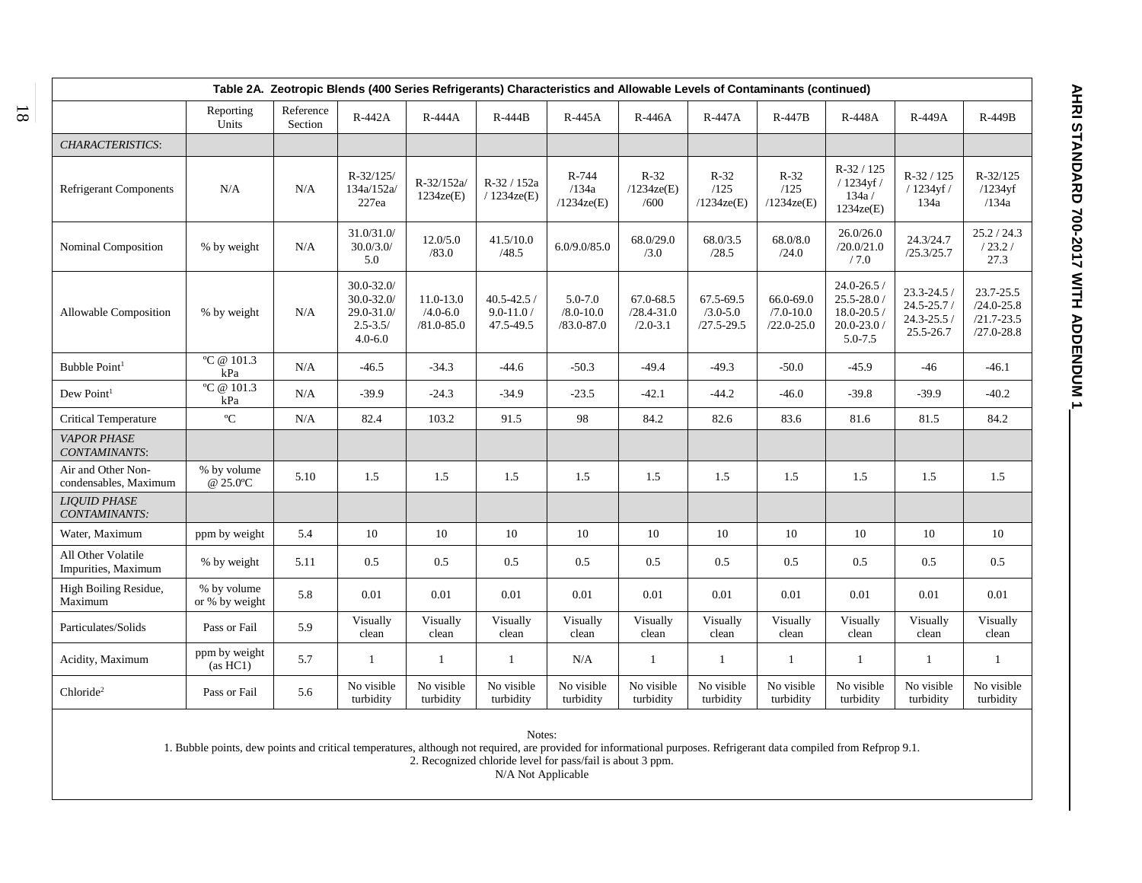|                                             | Table 2A. Zeotropic Blends (400 Series Refrigerants) Characteristics and Allowable Levels of Contaminants (continued) |                      |                                                                                |                                             |                                              |                                            |                                             |                                             |                                              |                                                                         |                                                           |                                                                 |  |
|---------------------------------------------|-----------------------------------------------------------------------------------------------------------------------|----------------------|--------------------------------------------------------------------------------|---------------------------------------------|----------------------------------------------|--------------------------------------------|---------------------------------------------|---------------------------------------------|----------------------------------------------|-------------------------------------------------------------------------|-----------------------------------------------------------|-----------------------------------------------------------------|--|
|                                             | Reporting<br>Units                                                                                                    | Reference<br>Section | R-442A                                                                         | R-444A                                      | $R-444B$                                     | R-445A                                     | $R-446A$                                    | R-447A                                      | $R-447B$                                     | <b>R-448A</b>                                                           | R-449A                                                    | <b>R-449B</b>                                                   |  |
| CHARACTERISTICS:                            |                                                                                                                       |                      |                                                                                |                                             |                                              |                                            |                                             |                                             |                                              |                                                                         |                                                           |                                                                 |  |
| <b>Refrigerant Components</b>               | N/A                                                                                                                   | N/A                  | $R - 32/125$<br>134a/152a/<br>227ea                                            | R-32/152a/<br>1234ze(E)                     | R-32 / 152a<br>$/1234$ ze(E)                 | R-744<br>/134a<br>$/1234$ ze(E)            | $R-32$<br>$/1234$ ze(E)<br>/600             | $R-32$<br>/125<br>$/1234$ ze(E)             | $R-32$<br>/125<br>$/1234$ ze(E)              | R-32 / 125<br>/ 1234yf /<br>134a/<br>1234ze(E)                          | $R-32/125$<br>/ 1234yf /<br>134a                          | $R - 32/125$<br>$/1234$ vf<br>/134a                             |  |
| Nominal Composition                         | % by weight                                                                                                           | N/A                  | 31.0/31.0/<br>30.0/3.0/<br>5.0                                                 | 12.0/5.0<br>/83.0                           | 41.5/10.0<br>/48.5                           | 6.0/9.0/85.0                               | 68.0/29.0<br>/3.0                           | 68.0/3.5<br>/28.5                           | 68.0/8.0<br>/24.0                            | 26.0/26.0<br>/20.0/21.0<br>/7.0                                         | 24.3/24.7<br>/25.3/25.7                                   | 25.2 / 24.3<br>/23.2/<br>27.3                                   |  |
| Allowable Composition                       | % by weight                                                                                                           | N/A                  | $30.0 - 32.0$<br>$30.0 - 32.0$<br>$29.0 - 31.0$<br>$2.5 - 3.5/$<br>$4.0 - 6.0$ | 11.0-13.0<br>$/4.0 - 6.0$<br>$/81.0 - 85.0$ | $40.5 - 42.5$ /<br>$9.0 - 11.0$<br>47.5-49.5 | 5.0-7.0<br>$/8.0 - 10.0$<br>$/83.0 - 87.0$ | 67.0-68.5<br>$/28.4 - 31.0$<br>$/2.0 - 3.1$ | 67.5-69.5<br>$/3.0 - 5.0$<br>$/27.5 - 29.5$ | 66.0-69.0<br>$/7.0 - 10.0$<br>$/22.0 - 25.0$ | $24.0 - 26.5$<br>25.5-28.0 /<br>$18.0 - 20.5$<br>20.0-23.0 /<br>5.0-7.5 | 23.3-24.5 /<br>$24.5 - 25.7/$<br>24.3-25.5 /<br>25.5-26.7 | 23.7-25.5<br>$/24.0 - 25.8$<br>$/21.7 - 23.5$<br>$/27.0 - 28.8$ |  |
| Bubble Point <sup>1</sup>                   | °C @ 101.3<br>kPa                                                                                                     | N/A                  | $-46.5$                                                                        | $-34.3$                                     | $-44.6$                                      | $-50.3$                                    | $-49.4$                                     | $-49.3$                                     | $-50.0$                                      | $-45.9$                                                                 | $-46$                                                     | $-46.1$                                                         |  |
| Dew Point <sup>1</sup>                      | °C @ 101.3<br>kPa                                                                                                     | N/A                  | $-39.9$                                                                        | $-24.3$                                     | $-34.9$                                      | $-23.5$                                    | $-42.1$                                     | $-44.2$                                     | $-46.0$                                      | $-39.8$                                                                 | $-39.9$                                                   | $-40.2$                                                         |  |
| Critical Temperature                        | $\rm ^{o}C$                                                                                                           | N/A                  | 82.4                                                                           | 103.2                                       | 91.5                                         | 98                                         | 84.2                                        | 82.6                                        | 83.6                                         | 81.6                                                                    | 81.5                                                      | 84.2                                                            |  |
| <b>VAPOR PHASE</b><br>CONTAMINANTS:         |                                                                                                                       |                      |                                                                                |                                             |                                              |                                            |                                             |                                             |                                              |                                                                         |                                                           |                                                                 |  |
| Air and Other Non-<br>condensables, Maximum | % by volume<br>@ 25.0°C                                                                                               | 5.10                 | 1.5                                                                            | 1.5                                         | 1.5                                          | 1.5                                        | 1.5                                         | 1.5                                         | 1.5                                          | 1.5                                                                     | 1.5                                                       | 1.5                                                             |  |
| <b>LIOUID PHASE</b><br>CONTAMINANTS:        |                                                                                                                       |                      |                                                                                |                                             |                                              |                                            |                                             |                                             |                                              |                                                                         |                                                           |                                                                 |  |
| Water, Maximum                              | ppm by weight                                                                                                         | 5.4                  | $10\,$                                                                         | $10\,$                                      | 10                                           | 10                                         | $10\,$                                      | 10                                          | 10                                           | $10\,$                                                                  | 10                                                        | 10                                                              |  |
| All Other Volatile<br>Impurities, Maximum   | % by weight                                                                                                           | 5.11                 | 0.5                                                                            | 0.5                                         | 0.5                                          | 0.5                                        | 0.5                                         | 0.5                                         | 0.5                                          | 0.5                                                                     | 0.5                                                       | 0.5                                                             |  |
| High Boiling Residue,<br>Maximum            | % by volume<br>or % by weight                                                                                         | 5.8                  | 0.01                                                                           | 0.01                                        | 0.01                                         | 0.01                                       | 0.01                                        | 0.01                                        | 0.01                                         | 0.01                                                                    | 0.01                                                      | 0.01                                                            |  |
| Particulates/Solids                         | Pass or Fail                                                                                                          | 5.9                  | Visually<br>clean                                                              | Visually<br>clean                           | Visually<br>clean                            | Visually<br>clean                          | Visually<br>clean                           | Visually<br>clean                           | Visually<br>clean                            | Visually<br>clean                                                       | Visually<br>clean                                         | Visually<br>clean                                               |  |
| Acidity, Maximum                            | ppm by weight<br>(as HCl)                                                                                             | 5.7                  | 1                                                                              | -1                                          | 1                                            | N/A                                        | 1                                           | 1                                           | 1                                            | 1                                                                       | -1                                                        | -1                                                              |  |
| Chloride <sup>2</sup>                       | Pass or Fail                                                                                                          | 5.6                  | No visible<br>turbidity                                                        | No visible<br>turbidity                     | No visible<br>turbidity                      | No visible<br>turbidity                    | No visible<br>turbidity                     | No visible<br>turbidity                     | No visible<br>turbidity                      | No visible<br>turbidity                                                 | No visible<br>turbidity                                   | No visible<br>turbidity                                         |  |

1. Bubble points, dew points and critical temperatures, although not required, are provided for informational purposes. Refrigerant data compiled from Refprop 9.1.

2. Recognized chloride level for pass/fail is about 3 ppm.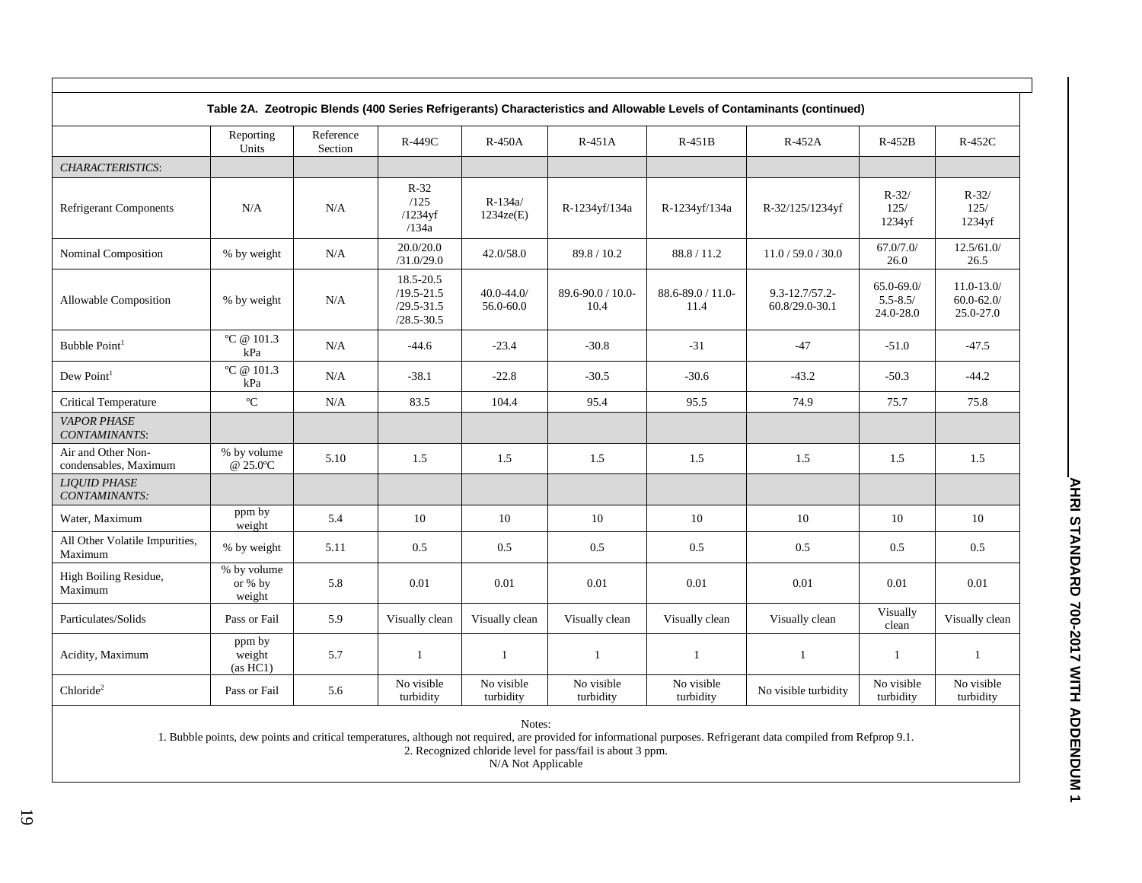|                                             |                                  |                      |                                                                 |                            |                              |                           | Table 2A. Zeotropic Blends (400 Series Refrigerants) Characteristics and Allowable Levels of Contaminants (continued) |                                            |                                              |
|---------------------------------------------|----------------------------------|----------------------|-----------------------------------------------------------------|----------------------------|------------------------------|---------------------------|-----------------------------------------------------------------------------------------------------------------------|--------------------------------------------|----------------------------------------------|
|                                             | Reporting<br>Units               | Reference<br>Section | R-449C                                                          | <b>R-450A</b>              | $R-451A$                     | $R-451B$                  | R-452A                                                                                                                | $R-452B$                                   | $R-452C$                                     |
| <b>CHARACTERISTICS:</b>                     |                                  |                      |                                                                 |                            |                              |                           |                                                                                                                       |                                            |                                              |
| <b>Refrigerant Components</b>               | N/A                              | N/A                  | $R-32$<br>/125<br>$/1234$ vf<br>/134a                           | $R-134a/$<br>1234ze(E)     | R-1234yf/134a                | R-1234yf/134a             | R-32/125/1234yf                                                                                                       | $R - 32/$<br>125/<br>1234yf                | $R - 32/$<br>125/<br>1234yf                  |
| Nominal Composition                         | % by weight                      | N/A                  | 20.0/20.0<br>/31.0/29.0                                         | 42.0/58.0                  | 89.8 / 10.2                  | 88.8 / 11.2               | 11.0 / 59.0 / 30.0                                                                                                    | 67.0/7.0/<br>26.0                          | 12.5/61.0/<br>26.5                           |
| Allowable Composition                       | % by weight                      | N/A                  | 18.5-20.5<br>$/19.5 - 21.5$<br>$/29.5 - 31.5$<br>$/28.5 - 30.5$ | $40.0 - 44.0$<br>56.0-60.0 | $89.6 - 90.0 / 10.0$<br>10.4 | 88.6-89.0 / 11.0-<br>11.4 | $9.3 - 12.7 / 57.2 -$<br>60.8/29.0-30.1                                                                               | $65.0 - 69.0$<br>$5.5 - 8.5/$<br>24.0-28.0 | $11.0 - 13.0/$<br>$60.0 - 62.0$<br>25.0-27.0 |
| Bubble Point <sup>1</sup>                   | °C @ $101.3$<br>kPa              | N/A                  | $-44.6$                                                         | $-23.4$                    | $-30.8$                      | $-31$                     | $-47$                                                                                                                 | $-51.0$                                    | $-47.5$                                      |
| Dew Point <sup>1</sup>                      | °C @ 101.3<br>kPa                | N/A                  | $-38.1$                                                         | $-22.8$                    | $-30.5$                      | $-30.6$                   | $-43.2$                                                                                                               | $-50.3$                                    | $-44.2$                                      |
| <b>Critical Temperature</b>                 | $\rm ^{o}C$                      | N/A                  | 83.5                                                            | 104.4                      | 95.4                         | 95.5                      | 74.9                                                                                                                  | 75.7                                       | 75.8                                         |
| <b>VAPOR PHASE</b><br>CONTAMINANTS:         |                                  |                      |                                                                 |                            |                              |                           |                                                                                                                       |                                            |                                              |
| Air and Other Non-<br>condensables, Maximum | % by volume<br>@ 25.0°C          | 5.10                 | 1.5                                                             | 1.5                        | 1.5                          | 1.5                       | 1.5                                                                                                                   | 1.5                                        | 1.5                                          |
| <b>LIQUID PHASE</b><br>CONTAMINANTS:        |                                  |                      |                                                                 |                            |                              |                           |                                                                                                                       |                                            |                                              |
| Water, Maximum                              | ppm by<br>weight                 | 5.4                  | 10                                                              | 10                         | 10                           | 10                        | 10                                                                                                                    | 10                                         | 10                                           |
| All Other Volatile Impurities,<br>Maximum   | % by weight                      | 5.11                 | 0.5                                                             | 0.5                        | 0.5                          | 0.5                       | 0.5                                                                                                                   | 0.5                                        | 0.5                                          |
| High Boiling Residue,<br>Maximum            | % by volume<br>or % by<br>weight | 5.8                  | 0.01                                                            | 0.01                       | 0.01                         | 0.01                      | 0.01                                                                                                                  | 0.01                                       | 0.01                                         |
| Particulates/Solids                         | Pass or Fail                     | 5.9                  | Visually clean                                                  | Visually clean             | Visually clean               | Visually clean            | Visually clean                                                                                                        | Visually<br>clean                          | Visually clean                               |
| Acidity, Maximum                            | ppm by<br>weight<br>(as HCl)     | 5.7                  | $\mathbf{1}$                                                    | $\mathbf{1}$               | $\mathbf{1}$                 | 1                         | $\overline{1}$                                                                                                        | $\overline{1}$                             | $\mathbf{1}$                                 |
| Chloride <sup>2</sup>                       | Pass or Fail                     | 5.6                  | No visible<br>turbidity                                         | No visible<br>turbidity    | No visible<br>turbidity      | No visible<br>turbidity   | No visible turbidity                                                                                                  | No visible<br>turbidity                    | No visible<br>turbidity                      |

1. Bubble points, dew points and critical temperatures, although not required, are provided for informational purposes. Refrigerant data compiled from Refprop 9.1.

2. Recognized chloride level for pass/fail is about 3 ppm.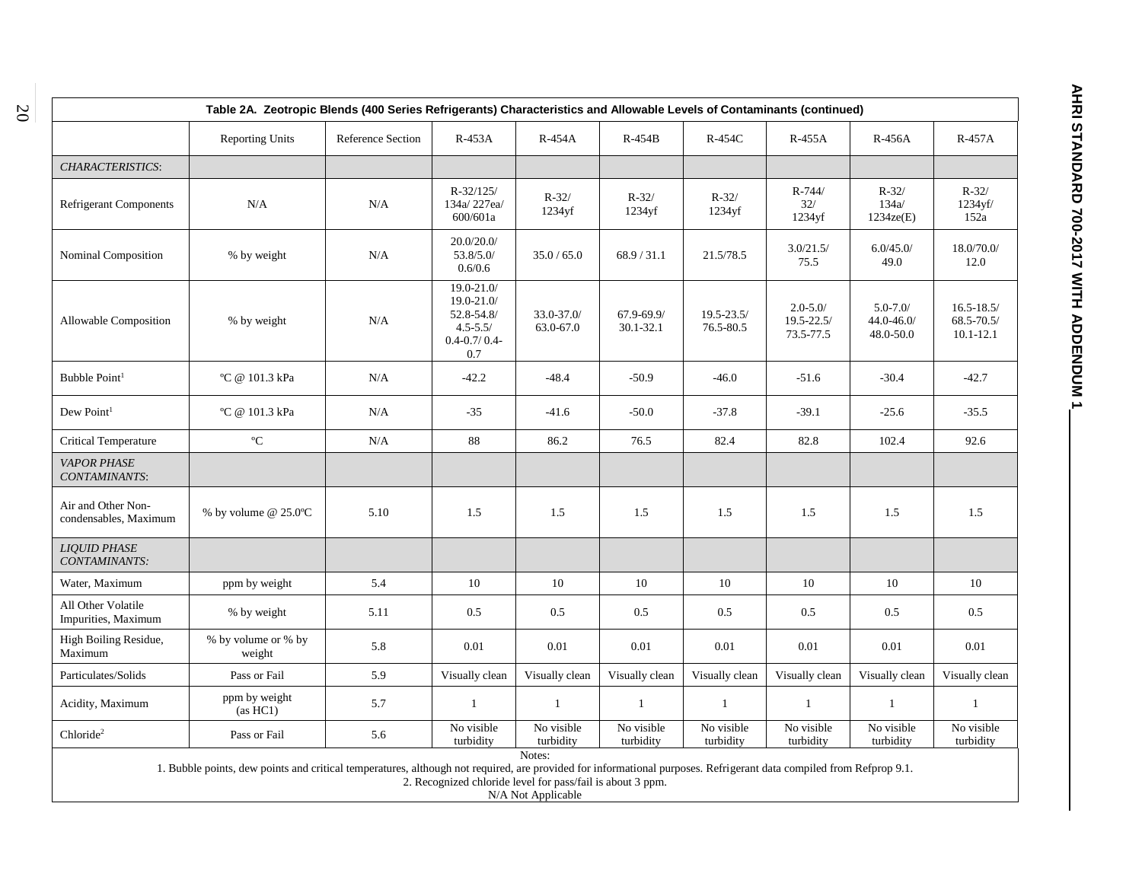| Table 2A. Zeotropic Blends (400 Series Refrigerants) Characteristics and Allowable Levels of Contaminants (continued) |                                                                                                                                                                     |                          |                                                                                      |                         |                             |                             |                                             |                                         |                                                   |  |  |  |
|-----------------------------------------------------------------------------------------------------------------------|---------------------------------------------------------------------------------------------------------------------------------------------------------------------|--------------------------|--------------------------------------------------------------------------------------|-------------------------|-----------------------------|-----------------------------|---------------------------------------------|-----------------------------------------|---------------------------------------------------|--|--|--|
|                                                                                                                       | <b>Reporting Units</b>                                                                                                                                              | <b>Reference Section</b> | $R-453A$                                                                             | R-454A                  | $R-454B$                    | $R-454C$                    | $R-455A$                                    | R-456A                                  | $R-457A$                                          |  |  |  |
| CHARACTERISTICS:                                                                                                      |                                                                                                                                                                     |                          |                                                                                      |                         |                             |                             |                                             |                                         |                                                   |  |  |  |
| <b>Refrigerant Components</b>                                                                                         | N/A                                                                                                                                                                 | N/A                      | $R - 32/125/$<br>134a/227ea/<br>600/601a                                             | $R - 32/$<br>$1234$ yf  | $R - 32/$<br>$1234$ yf      | $R-32/$<br>1234yf           | $R - 744/$<br>$32/$<br>1234yf               | $R - 32/$<br>134a/<br>1234ze(E)         | $R - 32/$<br>1234yf/<br>152a                      |  |  |  |
| Nominal Composition                                                                                                   | % by weight                                                                                                                                                         | N/A                      | 20.0/20.0/<br>53.8/5.0/<br>0.6/0.6                                                   | 35.0 / 65.0             | 68.9 / 31.1                 | 21.5/78.5                   | 3.0/21.5/<br>75.5                           | 6.0/45.0/<br>49.0                       | 18.0/70.0/<br>12.0                                |  |  |  |
| Allowable Composition                                                                                                 | % by weight                                                                                                                                                         | N/A                      | 19.0-21.0/<br>19.0-21.0/<br>52.8-54.8/<br>$4.5 - 5.5/$<br>$0.4 - 0.7 / 0.4 -$<br>0.7 | 33.0-37.0/<br>63.0-67.0 | 67.9-69.9/<br>$30.1 - 32.1$ | $19.5 - 23.5/$<br>76.5-80.5 | $2.0 - 5.0/$<br>$19.5 - 22.5/$<br>73.5-77.5 | $5.0 - 7.0/$<br>44.0-46.0/<br>48.0-50.0 | $16.5 - 18.5/$<br>$68.5 - 70.5/$<br>$10.1 - 12.1$ |  |  |  |
| Bubble Point <sup>1</sup>                                                                                             | °C @ 101.3 kPa                                                                                                                                                      | N/A                      | $-42.2$                                                                              | $-48.4$                 | $-50.9$                     | $-46.0$                     | $-51.6$                                     | $-30.4$                                 | $-42.7$                                           |  |  |  |
| Dew Point <sup>1</sup>                                                                                                | °C @ 101.3 kPa                                                                                                                                                      | N/A                      | $-35$                                                                                | $-41.6$                 | $-50.0$                     | $-37.8$                     | $-39.1$                                     | $-25.6$                                 | $-35.5$                                           |  |  |  |
| Critical Temperature                                                                                                  | $^{\mathrm{o}}\mathrm{C}$                                                                                                                                           | N/A                      | $88\,$                                                                               | 86.2                    | 76.5                        | 82.4                        | 82.8                                        | 102.4                                   | 92.6                                              |  |  |  |
| <b>VAPOR PHASE</b><br>CONTAMINANTS:                                                                                   |                                                                                                                                                                     |                          |                                                                                      |                         |                             |                             |                                             |                                         |                                                   |  |  |  |
| Air and Other Non-<br>condensables, Maximum                                                                           | % by volume @ $25.0^{\circ}$ C                                                                                                                                      | 5.10                     | 1.5                                                                                  | 1.5                     | 1.5                         | 1.5                         | 1.5                                         | 1.5                                     | 1.5                                               |  |  |  |
| <b>LIQUID PHASE</b><br>CONTAMINANTS:                                                                                  |                                                                                                                                                                     |                          |                                                                                      |                         |                             |                             |                                             |                                         |                                                   |  |  |  |
| Water, Maximum                                                                                                        | ppm by weight                                                                                                                                                       | 5.4                      | 10                                                                                   | 10                      | 10                          | 10                          | 10                                          | 10                                      | 10                                                |  |  |  |
| All Other Volatile<br>Impurities, Maximum                                                                             | % by weight                                                                                                                                                         | 5.11                     | 0.5                                                                                  | 0.5                     | 0.5                         | 0.5                         | 0.5                                         | $0.5\,$                                 | 0.5                                               |  |  |  |
| High Boiling Residue,<br>Maximum                                                                                      | % by volume or % by<br>weight                                                                                                                                       | 5.8                      | 0.01                                                                                 | 0.01                    | 0.01                        | 0.01                        | 0.01                                        | 0.01                                    | 0.01                                              |  |  |  |
| Particulates/Solids                                                                                                   | Pass or Fail                                                                                                                                                        | 5.9                      | Visually clean                                                                       | Visually clean          | Visually clean              | Visually clean              | Visually clean                              | Visually clean                          | Visually clean                                    |  |  |  |
| Acidity, Maximum                                                                                                      | ppm by weight<br>(as HCl)                                                                                                                                           | 5.7                      | $\mathbf{1}$                                                                         | $\mathbf{1}$            | $\mathbf{1}$                | $\mathbf{1}$                | $\overline{1}$                              | $\mathbf{1}$                            | $\mathbf{1}$                                      |  |  |  |
| Chloride <sup>2</sup>                                                                                                 | Pass or Fail                                                                                                                                                        | 5.6                      | No visible<br>turbidity                                                              | No visible<br>turbidity | No visible<br>turbidity     | No visible<br>turbidity     | No visible<br>turbidity                     | No visible<br>turbidity                 | No visible<br>turbidity                           |  |  |  |
|                                                                                                                       | 1. Bubble points, dew points and critical temperatures, although not required, are provided for informational purposes. Refrigerant data compiled from Refprop 9.1. |                          |                                                                                      | Notes:                  |                             |                             |                                             |                                         |                                                   |  |  |  |

2. Recognized chloride level for pass/fail is about 3 ppm.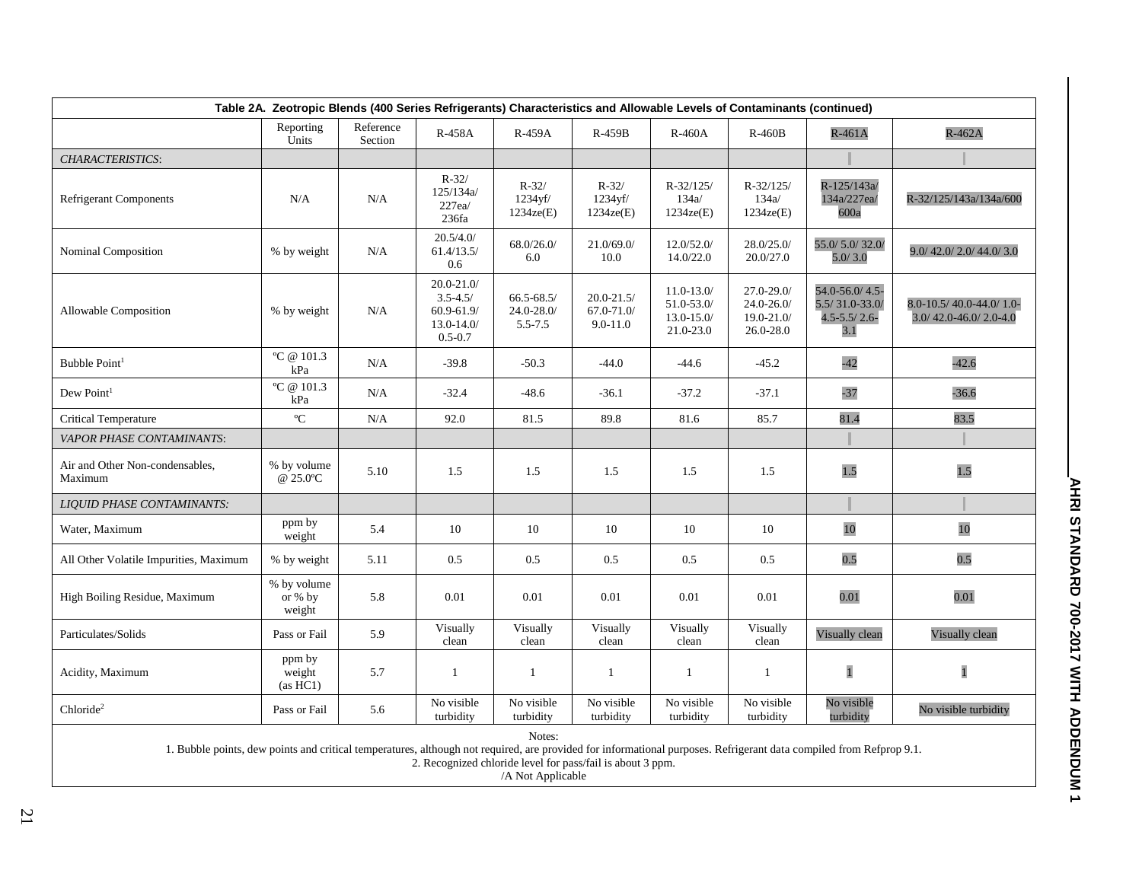| Table 2A. Zeotropic Blends (400 Series Refrigerants) Characteristics and Allowable Levels of Contaminants (continued) |                                    |                      |                                                                                 |                                           |                                              |                                                             |                                                            |                                                                  |                                                  |  |  |
|-----------------------------------------------------------------------------------------------------------------------|------------------------------------|----------------------|---------------------------------------------------------------------------------|-------------------------------------------|----------------------------------------------|-------------------------------------------------------------|------------------------------------------------------------|------------------------------------------------------------------|--------------------------------------------------|--|--|
|                                                                                                                       | Reporting<br>Units                 | Reference<br>Section | <b>R-458A</b>                                                                   | R-459A                                    | R-459B                                       | $R-460A$                                                    | $R-460B$                                                   | $R-461A$                                                         | $R-462A$                                         |  |  |
| <b>CHARACTERISTICS:</b>                                                                                               |                                    |                      |                                                                                 |                                           |                                              |                                                             |                                                            |                                                                  |                                                  |  |  |
| <b>Refrigerant Components</b>                                                                                         | N/A                                | N/A                  | $R - 32/$<br>125/134a/<br>227ea/<br>236fa                                       | $R - 32/$<br>1234yf/<br>1234ze(E)         | $R - 32/$<br>1234yf/<br>1234ze(E)            | $R - 32/125/$<br>134a/<br>1234ze(E)                         | $R - 32/125/$<br>134a/<br>1234ze(E)                        | R-125/143a/<br>134a/227ea/<br>600a                               | R-32/125/143a/134a/600                           |  |  |
| Nominal Composition                                                                                                   | % by weight                        | N/A                  | 20.5/4.0/<br>61.4/13.5/<br>0.6                                                  | 68.0/26.0/<br>6.0                         | 21.0/69.0/<br>10.0                           | 12.0/52.0/<br>14.0/22.0                                     | 28.0/25.0/<br>20.0/27.0                                    | 55.0/5.0/32.0/<br>5.0/3.0                                        | 9.0/42.0/2.0/44.0/3.0                            |  |  |
| Allowable Composition                                                                                                 | % by weight                        | N/A                  | $20.0 - 21.0/$<br>$3.5 - 4.5/$<br>$60.9 - 61.9$<br>$13.0 - 14.0$<br>$0.5 - 0.7$ | $66.5 - 68.5$<br>$24.0 - 28.0$<br>5.5-7.5 | $20.0 - 21.5/$<br>67.0-71.0/<br>$9.0 - 11.0$ | $11.0 - 13.0/$<br>51.0-53.0/<br>$13.0 - 15.0/$<br>21.0-23.0 | $27.0 - 29.0$<br>$24.0 - 26.0/$<br>19.0-21.0/<br>26.0-28.0 | 54.0-56.0/4.5-<br>$5.5/31.0 - 33.0/$<br>$4.5 - 5.5 / 2.6$<br>3.1 | 8.0-10.5/40.0-44.0/1.0-<br>3.0/42.0-46.0/2.0-4.0 |  |  |
| Bubble Point <sup>1</sup>                                                                                             | °C @ $101.3$<br>kPa                | N/A                  | $-39.8$                                                                         | $-50.3$                                   | $-44.0$                                      | $-44.6$                                                     | $-45.2$                                                    | $-42$                                                            | $-42.6$                                          |  |  |
| Dew Point <sup>1</sup>                                                                                                | °C @ $101.3$<br>kPa                | N/A                  | $-32.4$                                                                         | $-48.6$                                   | $-36.1$                                      | $-37.2$                                                     | $-37.1$                                                    | $-37$                                                            | $-36.6$                                          |  |  |
| <b>Critical Temperature</b>                                                                                           | $\rm ^{o}C$                        | N/A                  | 92.0                                                                            | 81.5                                      | 89.8                                         | 81.6                                                        | 85.7                                                       | 81.4                                                             | 83.5                                             |  |  |
| VAPOR PHASE CONTAMINANTS:                                                                                             |                                    |                      |                                                                                 |                                           |                                              |                                                             |                                                            |                                                                  |                                                  |  |  |
| Air and Other Non-condensables,<br>Maximum                                                                            | % by volume<br>@ 25.0°C            | 5.10                 | 1.5                                                                             | 1.5                                       | 1.5                                          | 1.5                                                         | 1.5                                                        | 1.5                                                              | 1.5                                              |  |  |
| <b>LIQUID PHASE CONTAMINANTS:</b>                                                                                     |                                    |                      |                                                                                 |                                           |                                              |                                                             |                                                            |                                                                  |                                                  |  |  |
| Water, Maximum                                                                                                        | ppm by<br>weight                   | 5.4                  | 10                                                                              | 10                                        | 10                                           | 10                                                          | 10                                                         | 10                                                               | 10                                               |  |  |
| All Other Volatile Impurities, Maximum                                                                                | % by weight                        | 5.11                 | 0.5                                                                             | 0.5                                       | 0.5                                          | 0.5                                                         | 0.5                                                        | 0.5                                                              | 0.5                                              |  |  |
| High Boiling Residue, Maximum                                                                                         | % by volume<br>or $%$ by<br>weight | 5.8                  | 0.01                                                                            | $0.01\,$                                  | 0.01                                         | 0.01                                                        | 0.01                                                       | 0.01                                                             | 0.01                                             |  |  |
| Particulates/Solids                                                                                                   | Pass or Fail                       | 5.9                  | Visually<br>clean                                                               | Visually<br>clean                         | Visually<br>clean                            | Visually<br>clean                                           | Visually<br>clean                                          | Visually clean                                                   | Visually clean                                   |  |  |
| Acidity, Maximum                                                                                                      | ppm by<br>weight<br>(as HCl)       | 5.7                  | $\mathbf{1}$                                                                    | $\mathbf{1}$                              | $\mathbf{1}$                                 | 1                                                           | $\mathbf{1}$                                               | $\overline{1}$                                                   | $\mathbf{1}$                                     |  |  |
| Chloride <sup>2</sup>                                                                                                 | Pass or Fail                       | 5.6                  | No visible<br>turbidity                                                         | No visible<br>turbidity                   | No visible<br>turbidity                      | No visible<br>turbidity                                     | No visible<br>turbidity                                    | No visible<br>turbidity                                          | No visible turbidity                             |  |  |
|                                                                                                                       |                                    |                      |                                                                                 | Notes:                                    |                                              |                                                             |                                                            |                                                                  |                                                  |  |  |

1. Bubble points, dew points and critical temperatures, although not required, are provided for informational purposes. Refrigerant data compiled from Refprop 9.1.

2. Recognized chloride level for pass/fail is about 3 ppm.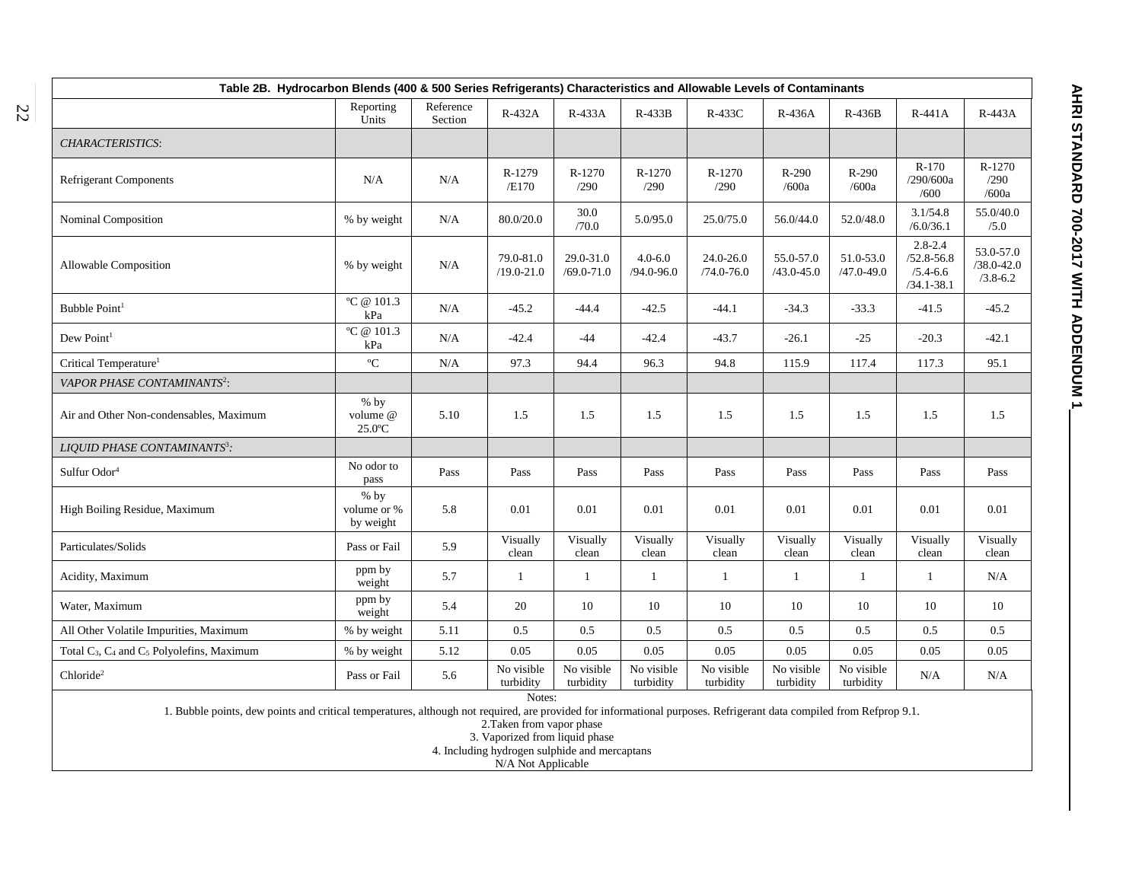| Table 2B. Hydrocarbon Blends (400 & 500 Series Refrigerants) Characteristics and Allowable Levels of Contaminants                                                   |                                    |                      |                             |                             |                               |                                 |                             |                             |                                                                 |                                             |  |  |
|---------------------------------------------------------------------------------------------------------------------------------------------------------------------|------------------------------------|----------------------|-----------------------------|-----------------------------|-------------------------------|---------------------------------|-----------------------------|-----------------------------|-----------------------------------------------------------------|---------------------------------------------|--|--|
|                                                                                                                                                                     | Reporting<br>Units                 | Reference<br>Section | R-432A                      | R-433A                      | $R-433B$                      | R-433C                          | R-436A                      | R-436B                      | $R-441A$                                                        | R-443A                                      |  |  |
| CHARACTERISTICS:                                                                                                                                                    |                                    |                      |                             |                             |                               |                                 |                             |                             |                                                                 |                                             |  |  |
| <b>Refrigerant Components</b>                                                                                                                                       | N/A                                | N/A                  | R-1279<br>/E170             | R-1270<br>/290              | R-1270<br>/290                | R-1270<br>/290                  | $R-290$<br>/600a            | R-290<br>/600a              | $R-170$<br>/290/600a<br>/600                                    | R-1270<br>/290<br>/600a                     |  |  |
| Nominal Composition                                                                                                                                                 | % by weight                        | N/A                  | 80.0/20.0                   | 30.0<br>/70.0               | 5.0/95.0                      | 25.0/75.0                       | 56.0/44.0                   | 52.0/48.0                   | 3.1/54.8<br>/6.0/36.1                                           | 55.0/40.0<br>/5.0                           |  |  |
| Allowable Composition                                                                                                                                               | % by weight                        | N/A                  | 79.0-81.0<br>$/19.0 - 21.0$ | 29.0-31.0<br>$/69.0 - 71.0$ | $4.0 - 6.0$<br>$/94.0 - 96.0$ | $24.0 - 26.0$<br>$/74.0 - 76.0$ | 55.0-57.0<br>$/43.0 - 45.0$ | 51.0-53.0<br>$/47.0 - 49.0$ | $2.8 - 2.4$<br>$/52.8 - 56.8$<br>$/5.4 - 6.6$<br>$/34.1 - 38.1$ | 53.0-57.0<br>$/38.0 - 42.0$<br>$/3.8 - 6.2$ |  |  |
| Bubble Point <sup>1</sup>                                                                                                                                           | °C @ $101.3$<br>kPa                | N/A                  | $-45.2$                     | $-44.4$                     | $-42.5$                       | $-44.1$                         | $-34.3$                     | $-33.3$                     | $-41.5$                                                         | $-45.2$                                     |  |  |
| $\mbox{Dew Point}^1$                                                                                                                                                | °C @ $101.3$<br>kPa                | N/A                  | $-42.4$                     | $-44$                       | $-42.4$                       | $-43.7$                         | $-26.1$                     | $-25$                       | $-20.3$                                                         | $-42.1$                                     |  |  |
| Critical Temperature <sup>1</sup>                                                                                                                                   | $\rm ^{o}C$                        | N/A                  | 97.3                        | 94.4                        | 96.3                          | 94.8                            | 115.9                       | 117.4                       | 117.3                                                           | 95.1                                        |  |  |
| VAPOR PHASE CONTAMINANTS <sup>2</sup> :                                                                                                                             |                                    |                      |                             |                             |                               |                                 |                             |                             |                                                                 |                                             |  |  |
| Air and Other Non-condensables, Maximum                                                                                                                             | $%$ by<br>volume @<br>$25.0$ °C    | 5.10                 | 1.5                         | 1.5                         | 1.5                           | 1.5                             | 1.5                         | 1.5                         | 1.5                                                             | 1.5                                         |  |  |
| LIOUID PHASE CONTAMINANTS <sup>3</sup> :                                                                                                                            |                                    |                      |                             |                             |                               |                                 |                             |                             |                                                                 |                                             |  |  |
| Sulfur Odor <sup>4</sup>                                                                                                                                            | No odor to<br>pass                 | Pass                 | Pass                        | Pass                        | Pass                          | Pass                            | Pass                        | Pass                        | Pass                                                            | Pass                                        |  |  |
| High Boiling Residue, Maximum                                                                                                                                       | $%$ by<br>volume or %<br>by weight | 5.8                  | 0.01                        | 0.01                        | 0.01                          | 0.01                            | 0.01                        | 0.01                        | 0.01                                                            | 0.01                                        |  |  |
| Particulates/Solids                                                                                                                                                 | Pass or Fail                       | 5.9                  | Visually<br>clean           | Visually<br>clean           | Visually<br>clean             | Visually<br>clean               | Visually<br>clean           | Visually<br>clean           | Visually<br>clean                                               | Visually<br>clean                           |  |  |
| Acidity, Maximum                                                                                                                                                    | ppm by<br>weight                   | 5.7                  | $\mathbf{1}$                | $\mathbf{1}$                | $\mathbf{1}$                  | $\mathbf{1}$                    | $\mathbf{1}$                | $\mathbf{1}$                | $\mathbf{1}$                                                    | N/A                                         |  |  |
| Water, Maximum                                                                                                                                                      | ppm by<br>weight                   | 5.4                  | 20                          | 10                          | 10                            | 10                              | 10                          | 10                          | 10                                                              | 10                                          |  |  |
| All Other Volatile Impurities, Maximum                                                                                                                              | % by weight                        | 5.11                 | 0.5                         | 0.5                         | 0.5                           | 0.5                             | 0.5                         | 0.5                         | 0.5                                                             | 0.5                                         |  |  |
| Total $C_3$ , $C_4$ and $C_5$ Polyolefins, Maximum                                                                                                                  | % by weight                        | 5.12                 | 0.05                        | 0.05                        | 0.05                          | 0.05                            | 0.05                        | 0.05                        | 0.05                                                            | 0.05                                        |  |  |
| Chloride <sup>2</sup>                                                                                                                                               | Pass or Fail                       | 5.6                  | No visible<br>turbidity     | No visible<br>turbidity     | No visible<br>turbidity       | No visible<br>turbidity         | No visible<br>turbidity     | No visible<br>turbidity     | N/A                                                             | N/A                                         |  |  |
| 1. Bubble points, dew points and critical temperatures, although not required, are provided for informational purposes. Refrigerant data compiled from Refprop 9.1. |                                    |                      | Notes:                      |                             |                               |                                 |                             |                             |                                                                 |                                             |  |  |

2.Taken from vapor phase

3. Vaporized from liquid phase

4. Including hydrogen sulphide and mercaptans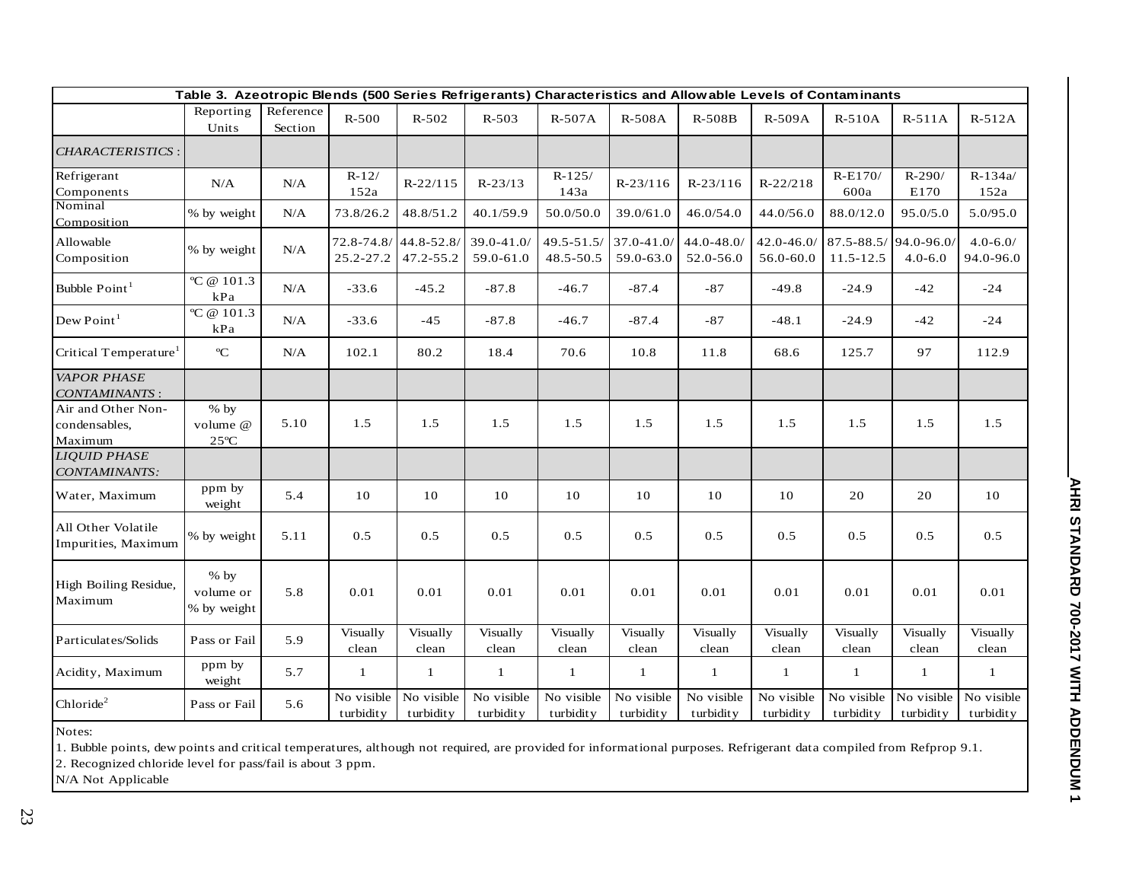| Table 3. Azeotropic Blends (500 Series Refrigerants) Characteristics and Allowable Levels of Contaminants |                                      |                      |                                   |                         |                            |                             |                         |                            |                            |                                       |                         |                           |
|-----------------------------------------------------------------------------------------------------------|--------------------------------------|----------------------|-----------------------------------|-------------------------|----------------------------|-----------------------------|-------------------------|----------------------------|----------------------------|---------------------------------------|-------------------------|---------------------------|
|                                                                                                           | Reporting<br>Units                   | Reference<br>Section | $R-500$                           | $R - 502$               | $R - 503$                  | R-507A                      | R-508A                  | R-508B                     | R-509A                     | $R-510A$                              | $R-511A$                | $R-512A$                  |
| <b>CHARACTERISTICS:</b>                                                                                   |                                      |                      |                                   |                         |                            |                             |                         |                            |                            |                                       |                         |                           |
| Refrigerant<br>Components                                                                                 | N/A                                  | N/A                  | $R-12/$<br>152a                   | $R-22/115$              | $R-23/13$                  | $R-125/$<br>143a            | $R-23/116$              | $R-23/116$                 | $R-22/218$                 | $R-E170/$<br>600a                     | $R-290/$<br>E170        | $R - 134a/$<br>152a       |
| Nominal<br>Composition                                                                                    | % by weight                          | N/A                  | 73.8/26.2                         | 48.8/51.2               | 40.1/59.9                  | 50.0/50.0                   | 39.0/61.0               | 46.0/54.0                  | 44.0/56.0                  | 88.0/12.0                             | 95.0/5.0                | 5.0/95.0                  |
| Allowable<br>Composition                                                                                  | % by weight                          | N/A                  | 72.8-74.8/44.8-52.8/<br>25.2-27.2 | 47.2-55.2               | $39.0 - 41.0$<br>59.0-61.0 | $49.5 - 51.5/$<br>48.5-50.5 | 37.0-41.0/<br>59.0-63.0 | $44.0 - 48.0$<br>52.0-56.0 | $42.0 - 46.0$<br>56.0-60.0 | 87.5-88.5/94.0-96.0/<br>$11.5 - 12.5$ | $4.0 - 6.0$             | $4.0 - 6.0/$<br>94.0-96.0 |
| Bubble Point <sup>1</sup>                                                                                 | $\overline{C}$ @ 101.3<br>kPa        | N/A                  | $-33.6$                           | $-45.2$                 | $-87.8$                    | $-46.7$                     | $-87.4$                 | $-87$                      | $-49.8$                    | $-24.9$                               | $-42$                   | $-24$                     |
| Dew Point <sup>1</sup>                                                                                    | °C @ $101.3$<br>$\mathbf{kPa}$       | N/A                  | $-33.6$                           | $-45$                   | $-87.8$                    | $-46.7$                     | $-87.4$                 | $-87$                      | $-48.1$                    | $-24.9$                               | $-42$                   | $-24$                     |
| Critical Temperature <sup>1</sup>                                                                         | $\rm ^o\!C$                          | N/A                  | 102.1                             | 80.2                    | 18.4                       | 70.6                        | 10.8                    | 11.8                       | 68.6                       | 125.7                                 | 97                      | 112.9                     |
| <b>VAPOR PHASE</b><br><b>CONTAMINANTS:</b>                                                                |                                      |                      |                                   |                         |                            |                             |                         |                            |                            |                                       |                         |                           |
| Air and Other Non-<br>condensables,<br>Maximum                                                            | $%$ by<br>volume @<br>$25^{\circ}$ C | 5.10                 | 1.5                               | 1.5                     | 1.5                        | 1.5                         | 1.5                     | 1.5                        | 1.5                        | 1.5                                   | 1.5                     | 1.5                       |
| <b>LIOUID PHASE</b><br>CONTAMINANTS:                                                                      |                                      |                      |                                   |                         |                            |                             |                         |                            |                            |                                       |                         |                           |
| Water, Maximum                                                                                            | ppm by<br>weight                     | 5.4                  | $10\,$                            | 10                      | 10                         | 10                          | 10                      | 10                         | 10                         | 20                                    | 20                      | 10                        |
| All Other Volatile<br>Impurities, Maximum                                                                 | % by weight                          | 5.11                 | 0.5                               | 0.5                     | 0.5                        | 0.5                         | 0.5                     | 0.5                        | 0.5                        | 0.5                                   | 0.5                     | 0.5                       |
| High Boiling Residue,<br>Maximum                                                                          | $%$ by<br>volume or<br>% by weight   | 5.8                  | 0.01                              | 0.01                    | 0.01                       | 0.01                        | 0.01                    | 0.01                       | 0.01                       | 0.01                                  | 0.01                    | 0.01                      |
| Particulates/Solids                                                                                       | Pass or Fail                         | 5.9                  | Visually<br>clean                 | Visually<br>clean       | Visually<br>clean          | Visually<br>clean           | Visually<br>clean       | Visually<br>clean          | Visually<br>clean          | Visually<br>clean                     | Visually<br>clean       | Visually<br>clean         |
| Acidity, Maximum                                                                                          | ppm by<br>weight                     | 5.7                  | 1                                 | 1                       | $\mathbf{1}$               | -1                          | $\mathbf{1}$            | $\mathbf{1}$               | 1                          | $\mathbf{1}$                          | 1                       | 1                         |
| Chloride <sup>2</sup>                                                                                     | Pass or Fail                         | 5.6                  | No visible<br>turbidity           | No visible<br>turbidity | No visible<br>turbidity    | No visible<br>turbidity     | No visible<br>turbidity | No visible<br>turbidity    | No visible<br>turbidity    | No visible<br>turbidity               | No visible<br>turbidity | No visible<br>turbidity   |
| Notes:                                                                                                    |                                      |                      |                                   |                         |                            |                             |                         |                            |                            |                                       |                         |                           |

1. Bubble points, dew points and critical temperatures, although not required, are provided for informational purposes. Refrigerant data compiled from Refprop 9.1.

2. Recognized chloride level for pass/fail is about 3 ppm.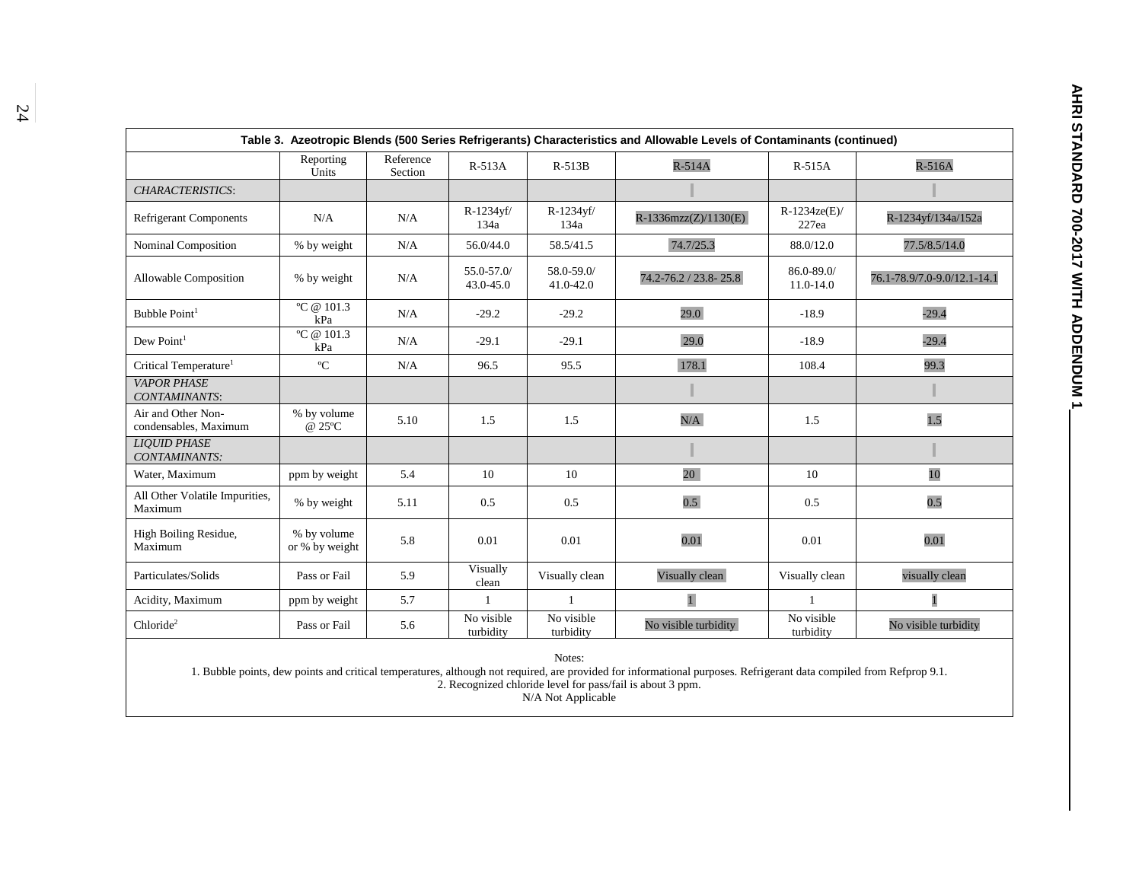|  | <b>AHRI STANDARD 700-2017 NITH ADDENDUN 1</b> |
|--|-----------------------------------------------|
|  |                                               |
|  |                                               |
|  |                                               |
|  |                                               |
|  |                                               |
|  |                                               |
|  |                                               |
|  |                                               |
|  |                                               |
|  |                                               |

| Table 3. Azeotropic Blends (500 Series Refrigerants) Characteristics and Allowable Levels of Contaminants (continued) |                               |                      |                         |                         |                        |                         |                             |  |  |  |  |
|-----------------------------------------------------------------------------------------------------------------------|-------------------------------|----------------------|-------------------------|-------------------------|------------------------|-------------------------|-----------------------------|--|--|--|--|
|                                                                                                                       | Reporting<br>Units            | Reference<br>Section | $R-513A$                | $R-513B$                | $R-514A$               | $R-515A$                | $R-516A$                    |  |  |  |  |
| <b>CHARACTERISTICS:</b>                                                                                               |                               |                      |                         |                         |                        |                         |                             |  |  |  |  |
| <b>Refrigerant Components</b>                                                                                         | N/A                           | N/A                  | R-1234yf/<br>134a       | R-1234yf/<br>134a       | $R-1336mzz(Z)/1130(E)$ | $R-1234ze(E)$<br>227ea  | R-1234yf/134a/152a          |  |  |  |  |
| Nominal Composition                                                                                                   | % by weight                   | N/A                  | 56.0/44.0               | 58.5/41.5               | 74.7/25.3              | 88.0/12.0               | 77.5/8.5/14.0               |  |  |  |  |
| Allowable Composition                                                                                                 | % by weight                   | N/A                  | 55.0-57.0/<br>43.0-45.0 | 58.0-59.0/<br>41.0-42.0 | 74.2-76.2 / 23.8-25.8  | 86.0-89.0/<br>11.0-14.0 | 76.1-78.9/7.0-9.0/12.1-14.1 |  |  |  |  |
| Bubble Point <sup>1</sup>                                                                                             | °C @ $101.3$<br>kPa           | N/A                  | $-29.2$                 | $-29.2$                 | 29.0                   | $-18.9$                 | $-29.4$                     |  |  |  |  |
| $Dew$ Point <sup>1</sup>                                                                                              | °C @ $101.3$<br>kPa           | N/A                  | $-29.1$                 | $-29.1$                 | 29.0                   | $-18.9$                 | $-29.4$                     |  |  |  |  |
| Critical Temperature <sup>1</sup>                                                                                     | $\rm ^{o}C$                   | N/A                  | 96.5                    | 95.5                    | 178.1                  | 108.4                   | 99.3                        |  |  |  |  |
| <b>VAPOR PHASE</b><br>CONTAMINANTS:                                                                                   |                               |                      |                         |                         |                        |                         |                             |  |  |  |  |
| Air and Other Non-<br>condensables, Maximum                                                                           | % by volume<br>@ 25°C         | 5.10                 | 1.5                     | 1.5                     | N/A                    | 1.5                     | 1.5                         |  |  |  |  |
| <b>LIOUID PHASE</b><br>CONTAMINANTS:                                                                                  |                               |                      |                         |                         |                        |                         |                             |  |  |  |  |
| Water, Maximum                                                                                                        | ppm by weight                 | 5.4                  | 10                      | 10                      | 20                     | 10                      | 10                          |  |  |  |  |
| All Other Volatile Impurities,<br>Maximum                                                                             | % by weight                   | 5.11                 | 0.5                     | 0.5                     | 0.5 <sub>l</sub>       | 0.5                     | 0.5                         |  |  |  |  |
| High Boiling Residue,<br>Maximum                                                                                      | % by volume<br>or % by weight | 5.8                  | 0.01                    | 0.01                    | 0.01                   | 0.01                    | 0.01                        |  |  |  |  |
| Particulates/Solids                                                                                                   | Pass or Fail                  | 5.9                  | Visually<br>clean       | Visually clean          | Visually clean         | Visually clean          | visually clean              |  |  |  |  |
| Acidity, Maximum                                                                                                      | ppm by weight                 | 5.7                  | $\mathbf{1}$            |                         | $\overline{1}$         |                         | $\overline{1}$              |  |  |  |  |
| Chloride <sup>2</sup>                                                                                                 | Pass or Fail                  | 5.6                  | No visible<br>turbidity | No visible<br>turbidity | No visible turbidity   | No visible<br>turbidity | No visible turbidity        |  |  |  |  |
|                                                                                                                       |                               |                      |                         |                         |                        |                         |                             |  |  |  |  |

1. Bubble points, dew points and critical temperatures, although not required, are provided for informational purposes. Refrigerant data compiled from Refprop 9.1. 2. Recognized chloride level for pass/fail is about 3 ppm.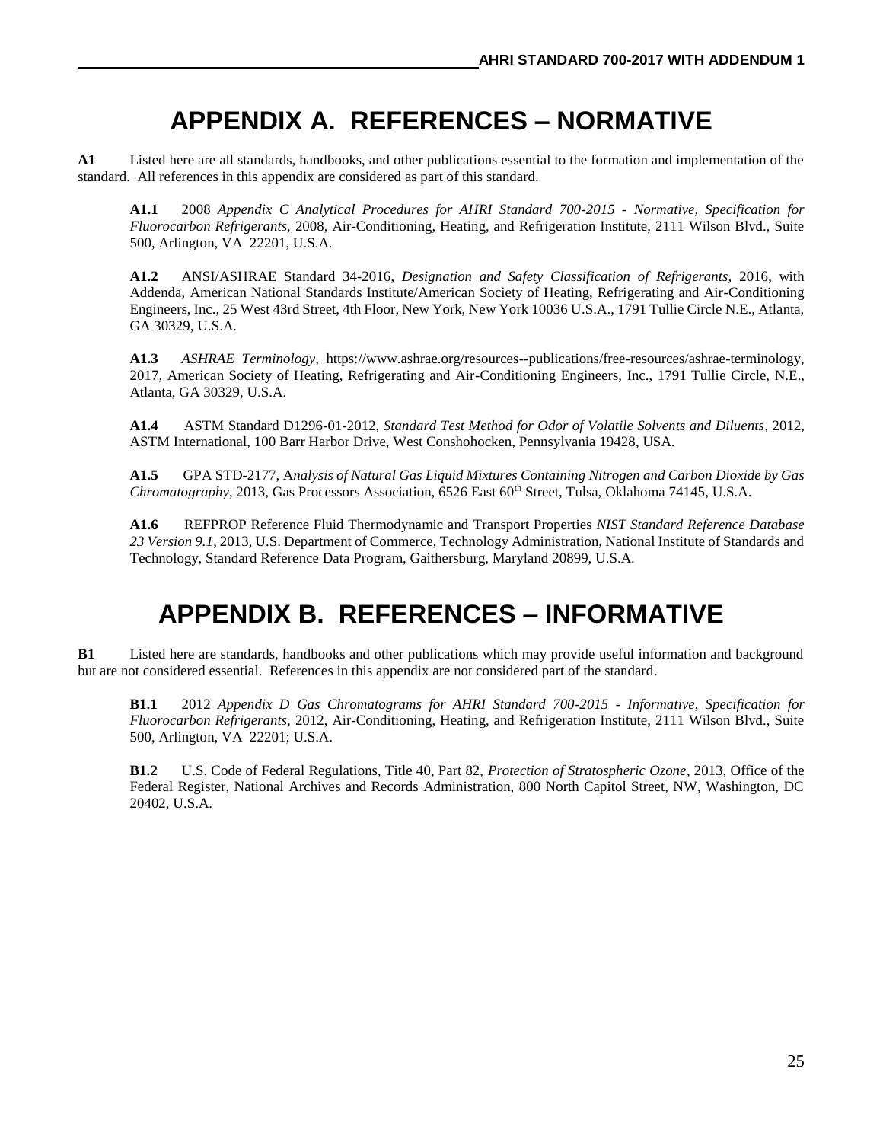### **APPENDIX A. REFERENCES – NORMATIVE**

**A1** Listed here are all standards, handbooks, and other publications essential to the formation and implementation of the standard. All references in this appendix are considered as part of this standard.

**A1.1** 2008 *Appendix C Analytical Procedures for AHRI Standard 700-2015 - Normative, Specification for Fluorocarbon Refrigerants,* 2008, Air-Conditioning, Heating, and Refrigeration Institute, 2111 Wilson Blvd., Suite 500, Arlington, VA 22201, U.S.A.

**A1.2** ANSI/ASHRAE Standard 34-2016, *Designation and Safety Classification of Refrigerants,* 2016, with Addenda, American National Standards Institute/American Society of Heating, Refrigerating and Air-Conditioning Engineers, Inc., 25 West 43rd Street, 4th Floor, New York, New York 10036 U.S.A., 1791 Tullie Circle N.E., Atlanta, GA 30329, U.S.A.

**A1.3** *ASHRAE Terminology,* https://www.ashrae.org/resources--publications/free-resources/ashrae-terminology, 2017, American Society of Heating, Refrigerating and Air-Conditioning Engineers, Inc., 1791 Tullie Circle, N.E., Atlanta, GA 30329, U.S.A.

**A1.4** ASTM Standard D1296-01-2012, *Standard Test Method for Odor of Volatile Solvents and Diluents*, 2012, ASTM International, 100 Barr Harbor Drive, West Conshohocken, Pennsylvania 19428, USA.

**A1.5** GPA STD-2177, A*nalysis of Natural Gas Liquid Mixtures Containing Nitrogen and Carbon Dioxide by Gas Chromatography*, 2013, Gas Processors Association, 6526 East 60<sup>th</sup> Street, Tulsa, Oklahoma 74145, U.S.A.

**A1.6** REFPROP Reference Fluid Thermodynamic and Transport Properties *NIST Standard Reference Database 23 Version 9.1*, 2013, U.S. Department of Commerce, Technology Administration, National Institute of Standards and Technology, Standard Reference Data Program, Gaithersburg, Maryland 20899, U.S.A.

### **APPENDIX B. REFERENCES – INFORMATIVE**

**B1** Listed here are standards, handbooks and other publications which may provide useful information and background but are not considered essential. References in this appendix are not considered part of the standard.

**B1.1** 2012 *Appendix D Gas Chromatograms for AHRI Standard 700-2015 - Informative, Specification for Fluorocarbon Refrigerants,* 2012, Air-Conditioning, Heating, and Refrigeration Institute, 2111 Wilson Blvd., Suite 500, Arlington, VA 22201; U.S.A.

**B1.2** U.S. Code of Federal Regulations, Title 40, Part 82, *Protection of Stratospheric Ozone*, 2013, Office of the Federal Register, National Archives and Records Administration, 800 North Capitol Street, NW, Washington, DC 20402, U.S.A.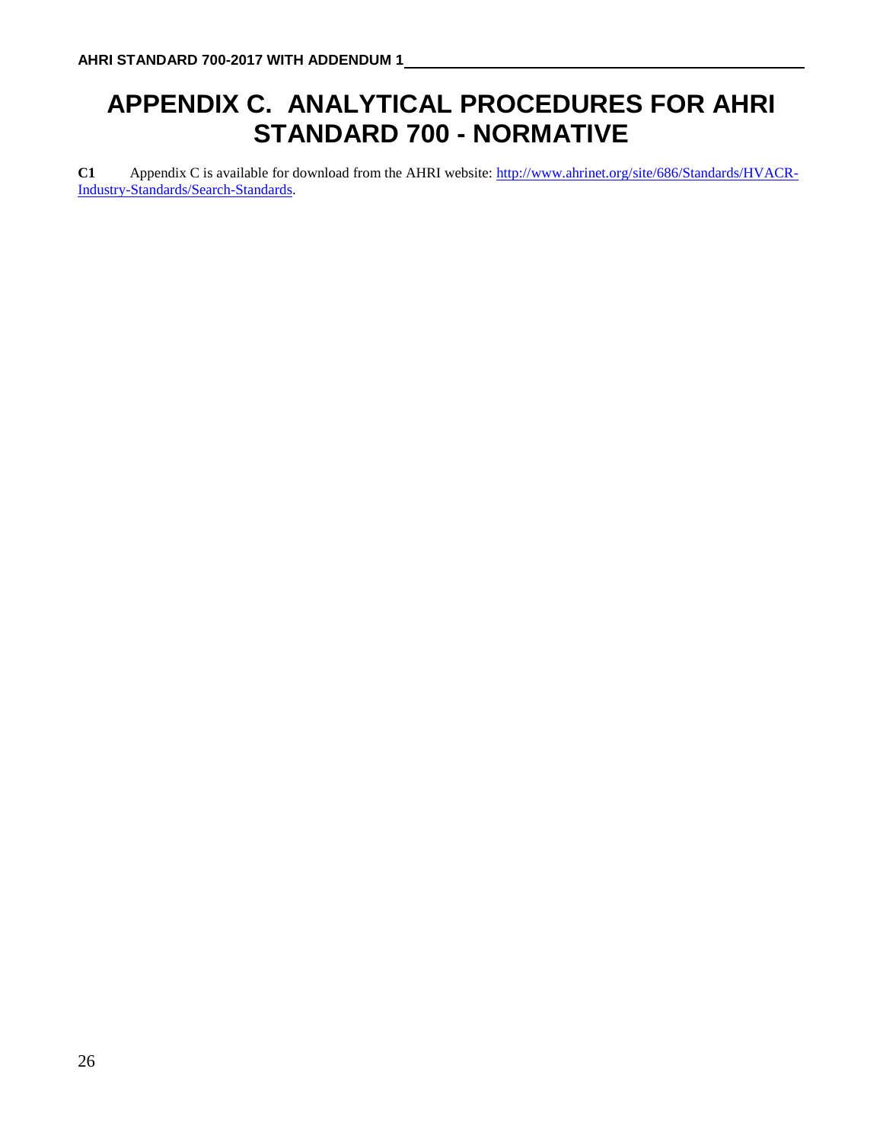# **APPENDIX C. ANALYTICAL PROCEDURES FOR AHRI STANDARD 700 - NORMATIVE**

**C1** Appendix C is available for download from the AHRI website: [http://www.ahrinet.org/site/686/Standards/HVACR-](http://www.ahrinet.org/site/686/Standards/HVACR-Industry-Standards/Search-Standards)[Industry-Standards/Search-Standards.](http://www.ahrinet.org/site/686/Standards/HVACR-Industry-Standards/Search-Standards)